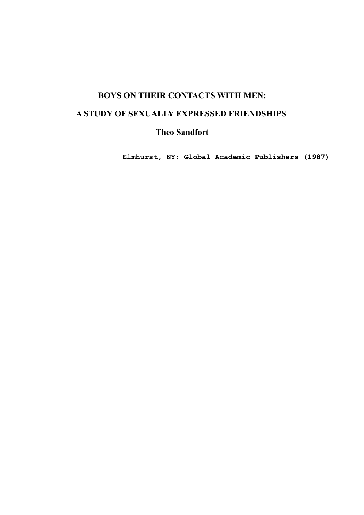# **BOYS ON THEIR CONTACTS WITH MEN: A STUDY OF SEXUALLY EXPRESSED FRIENDSHIPS**

**Theo Sandfort**

**Elmhurst, NY: Global Academic Publishers (1987)**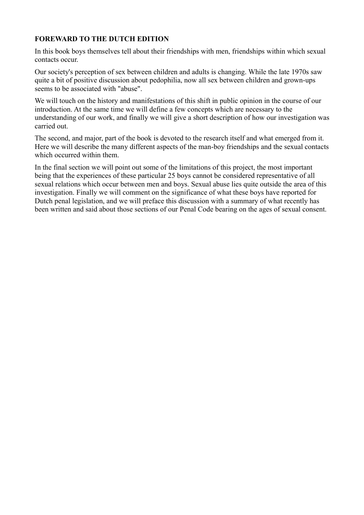# **FOREWARD TO THE DUTCH EDITION**

In this book boys themselves tell about their friendships with men, friendships within which sexual contacts occur.

Our society's perception of sex between children and adults is changing. While the late 1970s saw quite a bit of positive discussion about pedophilia, now all sex between children and grown-ups seems to be associated with "abuse".

We will touch on the history and manifestations of this shift in public opinion in the course of our introduction. At the same time we will define a few concepts which are necessary to the understanding of our work, and finally we will give a short description of how our investigation was carried out.

The second, and major, part of the book is devoted to the research itself and what emerged from it. Here we will describe the many different aspects of the man-boy friendships and the sexual contacts which occurred within them.

In the final section we will point out some of the limitations of this project, the most important being that the experiences of these particular 25 boys cannot be considered representative of all sexual relations which occur between men and boys. Sexual abuse lies quite outside the area of this investigation. Finally we will comment on the significance of what these boys have reported for Dutch penal legislation, and we will preface this discussion with a summary of what recently has been written and said about those sections of our Penal Code bearing on the ages of sexual consent.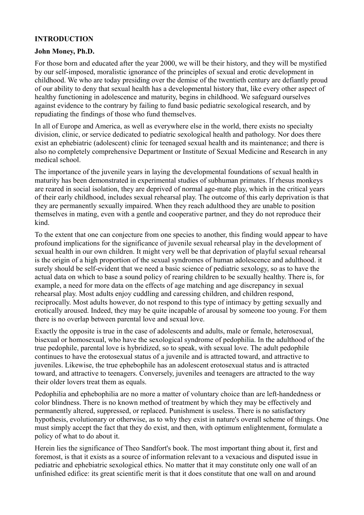# **INTRODUCTION**

## **John Money, Ph.D.**

For those born and educated after the year 2000, we will be their history, and they will be mystified by our self-imposed, moralistic ignorance of the principles of sexual and erotic development in childhood. We who are today presiding over the demise of the twentieth century are defiantly proud of our ability to deny that sexual health has a developmental history that, like every other aspect of healthy functioning in adolescence and maturity, begins in childhood. We safeguard ourselves against evidence to the contrary by failing to fund basic pediatric sexological research, and by repudiating the findings of those who fund themselves.

In all of Europe and America, as well as everywhere else in the world, there exists no specialty division, clinic, or service dedicated to pediatric sexological health and pathology. Nor does there exist an ephebiatric (adolescent) clinic for teenaged sexual health and its maintenance; and there is also no completely comprehensive Department or Institute of Sexual Medicine and Research in any medical school.

The importance of the juvenile years in laying the developmental foundations of sexual health in maturity has been demonstrated in experimental studies of subhuman primates. If rhesus monkeys are reared in social isolation, they are deprived of normal age-mate play, which in the critical years of their early childhood, includes sexual rehearsal play. The outcome of this early deprivation is that they are permanently sexually impaired. When they reach adulthood they are unable to position themselves in mating, even with a gentle and cooperative partner, and they do not reproduce their kind.

To the extent that one can conjecture from one species to another, this finding would appear to have profound implications for the significance of juvenile sexual rehearsal play in the development of sexual health in our own children. It might very well be that deprivation of playful sexual rehearsal is the origin of a high proportion of the sexual syndromes of human adolescence and adulthood. it surely should be self-evident that we need a basic science of pediatric sexology, so as to have the actual data on which to base a sound policy of rearing children to be sexually healthy. There is, for example, a need for more data on the effects of age matching and age discrepancy in sexual rehearsal play. Most adults enjoy cuddling and caressing children, and children respond, reciprocally. Most adults however, do not respond to this type of intimacy by getting sexually and erotically aroused. Indeed, they may be quite incapable of arousal by someone too young. For them there is no overlap between parental love and sexual love.

Exactly the opposite is true in the case of adolescents and adults, male or female, heterosexual, bisexual or homosexual, who have the sexological syndrome of pedophilia. In the adulthood of the true pedophile, parental love is hybridized, so to speak, with sexual love. The adult pedophile continues to have the erotosexual status of a juvenile and is attracted toward, and attractive to juveniles. Likewise, the true ephebophile has an adolescent erotosexual status and is attracted toward, and attractive to teenagers. Conversely, juveniles and teenagers are attracted to the way their older lovers treat them as equals.

Pedophilia and ephebophilia are no more a matter of voluntary choice than are left-handedness or color blindness. There is no known method of treatment by which they may be effectively and permanently altered, suppressed, or replaced. Punishment is useless. There is no satisfactory hypothesis, evolutionary or otherwise, as to why they exist in nature's overall scheme of things. One must simply accept the fact that they do exist, and then, with optimum enlightenment, formulate a policy of what to do about it.

Herein lies the significance of Theo Sandfort's book. The most important thing about it, first and foremost, is that it exists as a source of information relevant to a vexacious and disputed issue in pediatric and ephebiatric sexological ethics. No matter that it may constitute only one wall of an unfinished edifice: its great scientific merit is that it does constitute that one wall on and around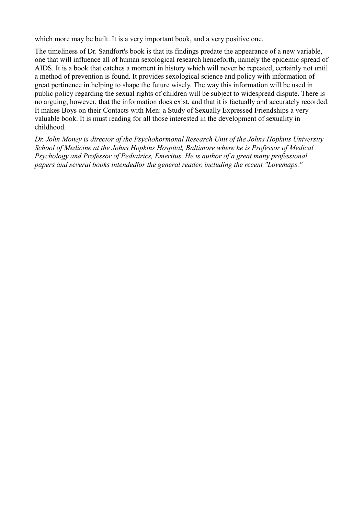which more may be built. It is a very important book, and a very positive one.

The timeliness of Dr. Sandfort's book is that its findings predate the appearance of a new variable, one that will influence all of human sexological research henceforth, namely the epidemic spread of AIDS. It is a book that catches a moment in history which will never be repeated, certainly not until a method of prevention is found. It provides sexological science and policy with information of great pertinence in helping to shape the future wisely. The way this information will be used in public policy regarding the sexual rights of children will be subject to widespread dispute. There is no arguing, however, that the information does exist, and that it is factually and accurately recorded. It makes Boys on their Contacts with Men: a Study of Sexually Expressed Friendships a very valuable book. It is must reading for all those interested in the development of sexuality in childhood.

*Dr. John Money is director of the Psychohormonal Research Unit of the Johns Hopkins University School of Medicine at the Johns Hopkins Hospital, Baltimore where he is Professor of Medical Psychology and Professor of Pediatrics, Emeritus. He is author of a great many professional papers and several books intendedfor the general reader, including the recent "Lovemaps."*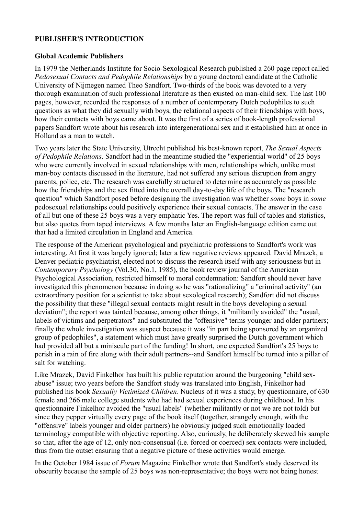### **PUBLISHER'S INTRODUCTION**

#### **Global Academic Publishers**

In 1979 the Netherlands Institute for Socio-Sexological Research published a 260 page report called *Pedosexual Contacts and Pedophile Relationships* by a young doctoral candidate at the Catholic University of Nijmegen named Theo Sandfort. Two-thirds of the book was devoted to a very thorough examination of such professional literature as then existed on man-child sex. The last 100 pages, however, recorded the responses of a number of contemporary Dutch pedophiles to such questions as what they did sexually with boys, the relational aspects of their friendships with boys, how their contacts with boys came about. It was the first of a series of book-length professional papers Sandfort wrote about his research into intergenerational sex and it established him at once in Holland as a man to watch.

Two years later the State University, Utrecht published his best-known report, *The Sexual Aspects of Pedophile Relations*. Sandfort had in the meantime studied the "experiential world" of 25 boys who were currently involved in sexual relationships with men, relationships which, unlike most man-boy contacts discussed in the literature, had not suffered any serious disruption from angry parents, police, etc. The research was carefully structured to determine as accurately as possible how the friendships and the sex fitted into the overall day-to-day life of the boys. The "research question" which Sandfort posed before designing the investigation was whether *some* boys in *some* pedosexual relationships could positively experience their sexual contacts. The answer in the case of all but one of these 25 boys was a very emphatic Yes. The report was full of tables and statistics, but also quotes from taped interviews. A few months later an English-language edition came out that had a limited circulation in England and America.

The response of the American psychological and psychiatric professions to Sandfort's work was interesting. At first it was largely ignored; later a few negative reviews appeared. David Mrazek, a Denver pediatric psychiatrist, elected not to discuss the research itself with any seriousness but in *Contemporary Psychology* (Vol.30, No.1, 1985), the book review journal of the American Psychological Association, restricted himself to moral condemnation: Sandfort should never have investigated this phenomenon because in doing so he was "rationalizing" a "criminal activity" (an extraordinary position for a scientist to take about sexological research); Sandfort did not discuss the possibility that these "illegal sexual contacts might result in the boys developing a sexual deviation"; the report was tainted because, among other things, it "militantly avoided" the "usual, labels of victims and perpetrators" and substituted the "offensive" terms younger and older partners; finally the whole investigation was suspect because it was "in part being sponsored by an organized group of pedophiles", a statement which must have greatly surprised the Dutch government which had provided all but a miniscule part of the funding! In short, one expected Sandfort's 25 boys to perish in a rain of fire along with their adult partners--and Sandfort himself be turned into a pillar of salt for watching.

Like Mrazek, David Finkelhor has built his public reputation around the burgeoning "child sexabuse" issue; two years before the Sandfort study was translated into English, Finkelhor had published his book *Sexually Victimized Children*. Nucleus of it was a study, by questionnaire, of 630 female and 266 male college students who had had sexual experiences during childhood. In his questionnaire Finkelhor avoided the "usual labels" (whether militantly or not we are not told) but since they pepper virtually every page of the book itself (together, strangely enough, with the "offensive" labels younger and older partners) he obviously judged such emotionally loaded terminology compatible with objective reporting. Also, curiously, he deliberately skewed his sample so that, after the age of 12, only non-consensual (i.e. forced or coerced) sex contacts were included, thus from the outset ensuring that a negative picture of these activities would emerge.

In the October 1984 issue of *Forum* Magazine Finkelhor wrote that Sandfort's study deserved its obscurity because the sample of 25 boys was non-representative; the boys were not being honest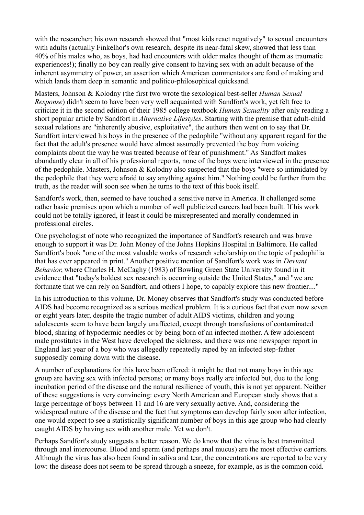with the researcher; his own research showed that "most kids react negatively" to sexual encounters with adults (actually Finkelhor's own research, despite its near-fatal skew, showed that less than 40% of his males who, as boys, had had encounters with older males thought of them as traumatic experiences!); finally no boy can really give consent to having sex with an adult because of the inherent asymmetry of power, an assertion which American commentators are fond of making and which lands them deep in semantic and politico-philosophical quicksand.

Masters, Johnson & Kolodny (the first two wrote the sexological best-seller *Human Sexual Response*) didn't seem to have been very well acquainted with Sandfort's work, yet felt free to criticize it in the second edition of their 1985 college textbook *Human Sexuality* after only reading a short popular article by Sandfort in *Alternative Lifestyles*. Starting with the premise that adult-child sexual relations are "inherently abusive, exploitative", the authors then went on to say that Dr. Sandfort interviewed his boys in the presence of the pedophile "without any apparent regard for the fact that the adult's presence would have almost assuredly prevented the boy from voicing complaints about the way he was treated because of fear of punishment." As Sandfort makes abundantly clear in all of his professional reports, none of the boys were interviewed in the presence of the pedophile. Masters, Johnson & Kolodny also suspected that the boys "were so intimidated by the pedophile that they were afraid to say anything against him." Nothing could be further from the truth, as the reader will soon see when he turns to the text of this book itself.

Sandfort's work, then, seemed to have touched a sensitive nerve in America. It challenged some rather basic premises upon which a number of well publicized careers had been built. If his work could not be totally ignored, it least it could be misrepresented and morally condemned in professional circles.

One psychologist of note who recognized the importance of Sandfort's research and was brave enough to support it was Dr. John Money of the Johns Hopkins Hospital in Baltimore. He called Sandfort's book "one of the most valuable works of research scholarship on the topic of pedophilia that has ever appeared in print." Another positive mention of Sandfort's work was in *Deviant Behavior*, where Charles H. McCaghy (1983) of Bowling Green State University found in it evidence that "today's boldest sex research is occurring outside the United States," and "we are fortunate that we can rely on Sandfort, and others I hope, to capably explore this new frontier...."

In his introduction to this volume, Dr. Money observes that Sandfort's study was conducted before AIDS had become recognized as a serious medical problem. It is a curious fact that even now seven or eight years later, despite the tragic number of adult AIDS victims, children and young adolescents seem to have been largely unaffected, except through transfusions of contaminated blood, sharing of hypodermic needles or by being born of an infected mother. A few adolescent male prostitutes in the West have developed the sickness, and there was one newspaper report in England last year of a boy who was allegedly repeatedly raped by an infected step-father supposedly coming down with the disease.

A number of explanations for this have been offered: it might be that not many boys in this age group are having sex with infected persons; or many boys really are infected but, due to the long incubation period of the disease and the natural resilience of youth, this is not yet apparent. Neither of these suggestions is very convincing: every North American and European study shows that a large percentage of boys between 11 and 16 are very sexually active. And, considering the widespread nature of the disease and the fact that symptoms can develop fairly soon after infection, one would expect to see a statistically significant number of boys in this age group who had clearly caught AIDS by having sex with another male. Yet we don't.

Perhaps Sandfort's study suggests a better reason. We do know that the virus is best transmitted through anal intercourse. Blood and sperm (and perhaps anal mucus) are the most effective carriers. Although the virus has also been found in saliva and tear, the concentrations are reported to be very low: the disease does not seem to be spread through a sneeze, for example, as is the common cold.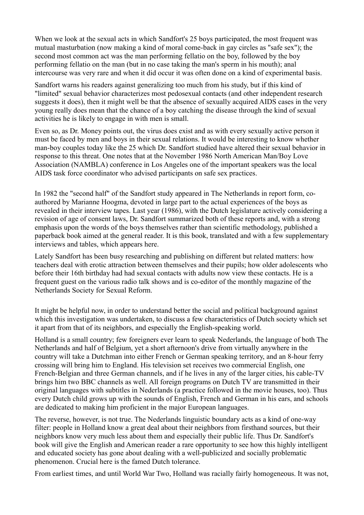When we look at the sexual acts in which Sandfort's 25 boys participated, the most frequent was mutual masturbation (now making a kind of moral come-back in gay circles as "safe sex"); the second most common act was the man performing fellatio on the boy, followed by the boy performing fellatio on the man (but in no case taking the man's sperm in his mouth); anal intercourse was very rare and when it did occur it was often done on a kind of experimental basis.

Sandfort warns his readers against generalizing too much from his study, but if this kind of "limited" sexual behavior characterizes most pedosexual contacts (and other independent research suggests it does), then it might well be that the absence of sexually acquired AIDS cases in the very young really does mean that the chance of a boy catching the disease through the kind of sexual activities he is likely to engage in with men is small.

Even so, as Dr. Money points out, the virus does exist and as with every sexually active person it must be faced by men and boys in their sexual relations. It would be interesting to know whether man-boy couples today like the 25 which Dr. Sandfort studied have altered their sexual behavior in response to this threat. One notes that at the November 1986 North American Man/Boy Love Association (NAMBLA) conference in Los Angeles one of the important speakers was the local AIDS task force coordinator who advised participants on safe sex practices.

In 1982 the "second half" of the Sandfort study appeared in The Netherlands in report form, coauthored by Marianne Hoogma, devoted in large part to the actual experiences of the boys as revealed in their interview tapes. Last year (1986), with the Dutch legislature actively considering a revision of age of consent laws, Dr. Sandfort summarized both of these reports and, with a strong emphasis upon the words of the boys themselves rather than scientific methodology, published a paperback book aimed at the general reader. It is this book, translated and with a few supplementary interviews and tables, which appears here.

Lately Sandfort has been busy researching and publishing on different but related matters: how teachers deal with erotic attraction between themselves and their pupils; how older adolescents who before their 16th birthday had had sexual contacts with adults now view these contacts. He is a frequent guest on the various radio talk shows and is co-editor of the monthly magazine of the Netherlands Society for Sexual Reform.

It might be helpful now, in order to understand better the social and political background against which this investigation was undertaken, to discuss a few characteristics of Dutch society which set it apart from that of its neighbors, and especially the English-speaking world.

Holland is a small country; few foreigners ever learn to speak Nederlands, the language of both The Netherlands and half of Belgium, yet a short afternoon's drive from virtually anywhere in the country will take a Dutchman into either French or German speaking territory, and an 8-hour ferry crossing will bring him to England. His television set receives two commercial English, one French-Belgian and three German channels, and if he lives in any of the larger cities, his cable-TV brings him two BBC channels as well. All foreign programs on Dutch TV are transmitted in their original languages with subtitles in Nederlands (a practice followed in the movie houses, too). Thus every Dutch child grows up with the sounds of English, French and German in his ears, and schools are dedicated to making him proficient in the major European languages.

The reverse, however, is not true. The Nederlands linguistic boundary acts as a kind of one-way filter: people in Holland know a great deal about their neighbors from firsthand sources, but their neighbors know very much less about them and especially their public life. Thus Dr. Sandfort's book will give the English and American reader a rare opportunity to see how this highly intelligent and educated society has gone about dealing with a well-publicized and socially problematic phenomenon. Crucial here is the famed Dutch tolerance.

From earliest times, and until World War Two, Holland was racially fairly homogeneous. It was not,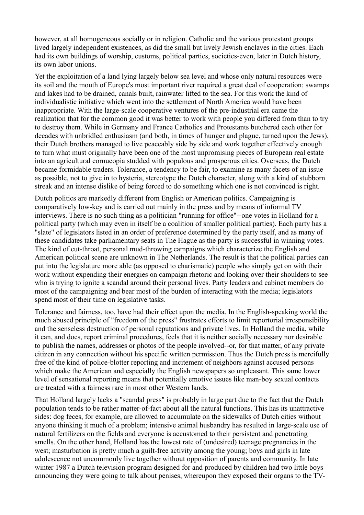however, at all homogeneous socially or in religion. Catholic and the various protestant groups lived largely independent existences, as did the small but lively Jewish enclaves in the cities. Each had its own buildings of worship, customs, political parties, societies-even, later in Dutch history, its own labor unions.

Yet the exploitation of a land lying largely below sea level and whose only natural resources were its soil and the mouth of Europe's most important river required a great deal of cooperation: swamps and lakes had to be drained, canals built, rainwater lifted to the sea. For this work the kind of individualistic initiative which went into the settlement of North America would have been inappropriate. With the large-scale cooperative ventures of the pre-industrial era came the realization that for the common good it was better to work with people you differed from than to try to destroy them. While in Germany and France Catholics and Protestants butchered each other for decades with unbridled enthusiasm (and both, in times of hunger and plague, turned upon the Jews), their Dutch brothers managed to live peaceably side by side and work together effectively enough to turn what must originally have been one of the most unpromising pieces of European real estate into an agricultural cornucopia studded with populous and prosperous cities. Overseas, the Dutch became formidable traders. Tolerance, a tendency to be fair, to examine as many facets of an issue as possible, not to give in to hysteria, stereotype the Dutch character, along with a kind of stubborn streak and an intense dislike of being forced to do something which one is not convinced is right.

Dutch politics are markedly different from English or American politics. Campaigning is comparatively low-key and is carried out mainly in the press and by means of informal TV interviews. There is no such thing as a politician "running for office"--one votes in Holland for a political party (which may even in itself be a coalition of smaller political parties). Each party has a "slate" of legislators listed in an order of preference determined by the party itself, and as many of these candidates take parliamentary seats in The Hague as the party is successful in winning votes. The kind of cut-throat, personal mud-throwing campaigns which characterize the English and American political scene are unknown in The Netherlands. The result is that the political parties can put into the legislature more able (as opposed to charismatic) people who simply get on with their work without expending their energies on campaign rhetoric and looking over their shoulders to see who is trying to ignite a scandal around their personal lives. Party leaders and cabinet members do most of the campaigning and bear most of the burden of interacting with the media; legislators spend most of their time on legislative tasks.

Tolerance and fairness, too, have had their effect upon the media. In the English-speaking world the much abused principle of "freedom of the press" frustrates efforts to limit reportorial irresponsibility and the senseless destruction of personal reputations and private lives. In Holland the media, while it can, and does, report criminal procedures, feels that it is neither socially necessary nor desirable to publish the names, addresses or photos of the people involved--or, for that matter, of any private citizen in any connection without his specific written permission. Thus the Dutch press is mercifully free of the kind of police-blotter reporting and incitement of neighbors against accused persons which make the American and especially the English newspapers so unpleasant. This same lower level of sensational reporting means that potentially emotive issues like man-boy sexual contacts are treated with a fairness rare in most other Western lands.

That Holland largely lacks a "scandal press" is probably in large part due to the fact that the Dutch population tends to be rather matter-of-fact about all the natural functions. This has its unattractive sides: dog feces, for example, are allowed to accumulate on the sidewalks of Dutch cities without anyone thinking it much of a problem; intensive animal husbandry has resulted in large-scale use of natural fertilizers on the fields and everyone is accustomed to their persistent and penetrating smells. On the other hand, Holland has the lowest rate of (undesired) teenage pregnancies in the west; masturbation is pretty much a guilt-free activity among the young; boys and girls in late adolescence not uncommonly live together without opposition of parents and community. In late winter 1987 a Dutch television program designed for and produced by children had two little boys announcing they were going to talk about penises, whereupon they exposed their organs to the TV-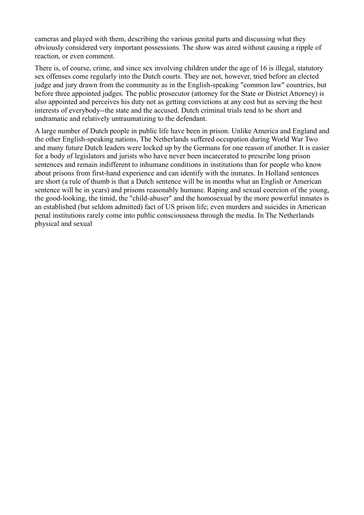cameras and played with them, describing the various genital parts and discussing what they obviously considered very important possessions. The show was aired without causing a ripple of reaction, or even comment.

There is, of course, crime, and since sex involving children under the age of 16 is illegal, statutory sex offenses come regularly into the Dutch courts. They are not, however, tried before an elected judge and jury drawn from the community as in the English-speaking "common law" countries, but before three appointed judges. The public prosecutor (attorney for the State or District Attorney) is also appointed and perceives his duty not as getting convictions at any cost but as serving the best interests of everybody--the state and the accused. Dutch criminal trials tend to be short and undramatic and relatively untraumatizing to the defendant.

A large number of Dutch people in public life have been in prison. Unlike America and England and the other English-speaking nations, The Netherlands suffered occupation during World War Two and many future Dutch leaders were locked up by the Germans for one reason of another. It is easier for a body of legislators and jurists who have never been incarcerated to prescribe long prison sentences and remain indifferent to inhumane conditions in institutions than for people who know about prisons from first-hand experience and can identify with the inmates. In Holland sentences are short (a rule of thumb is that a Dutch sentence will be in months what an English or American sentence will be in years) and prisons reasonably humane. Raping and sexual coercion of the young, the good-looking, the timid, the "child-abuser" and the homosexual by the more powerful inmates is an established (but seldom admitted) fact of US prison life; even murders and suicides in American penal institutions rarely come into public consciousness through the media. In The Netherlands physical and sexual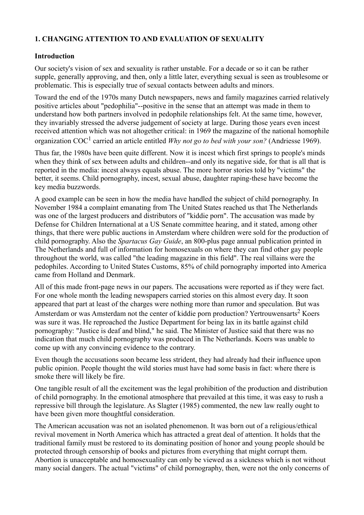# **1. CHANGING ATTENTION TO AND EVALUATION OF SEXUALITY**

# **Introduction**

Our society's vision of sex and sexuality is rather unstable. For a decade or so it can be rather supple, generally approving, and then, only a little later, everything sexual is seen as troublesome or problematic. This is especially true of sexual contacts between adults and minors.

Toward the end of the 1970s many Dutch newspapers, news and family magazines carried relatively positive articles about "pedophilia"--positive in the sense that an attempt was made in them to understand how both partners involved in pedophile relationships felt. At the same time, however, they invariably stressed the adverse judgement of society at large. During those years even incest received attention which was not altogether critical: in 1969 the magazine of the national homophile organization COC<sup>1</sup> carried an article entitled *Why not go to bed with your son?* (Andriesse 1969).

Thus far, the 1980s have been quite different. Now it is incest which first springs to people's minds when they think of sex between adults and children--and only its negative side, for that is all that is reported in the media: incest always equals abuse. The more horror stories told by "victims" the better, it seems. Child pornography, incest, sexual abuse, daughter raping-these have become the key media buzzwords.

A good example can be seen in how the media have handled the subject of child pornography. In November 1984 a complaint emanating from The United States reached us that The Netherlands was one of the largest producers and distributors of "kiddie porn". The accusation was made by Defense for Children International at a US Senate committee hearing, and it stated, among other things, that there were public auctions in Amsterdam where children were sold for the production of child pornography. Also the *Spartacus Gay Guide*, an 800-plus page annual publication printed in The Netherlands and full of information for homosexuals on where they can find other gay people throughout the world, was called "the leading magazine in this field". The real villains were the pedophiles. According to United States Customs, 85% of child pornography imported into America came from Holland and Denmark.

All of this made front-page news in our papers. The accusations were reported as if they were fact. For one whole month the leading newspapers carried stories on this almost every day. It soon appeared that part at least of the charges were nothing more than rumor and speculation. But was Amsterdam or was Amsterdam not the center of kiddie porn production? Yertrouwensarts<sup>2</sup> Koers was sure it was. He reproached the Justice Department for being lax in its battle against child pornography: "Justice is deaf and blind," he said. The Minister of Justice said that there was no indication that much child pornography was produced in The Netherlands. Koers was unable to come up with any convincing evidence to the contrary.

Even though the accusations soon became less strident, they had already had their influence upon public opinion. People thought the wild stories must have had some basis in fact: where there is smoke there will likely be fire.

One tangible result of all the excitement was the legal prohibition of the production and distribution of child pornography. In the emotional atmosphere that prevailed at this time, it was easy to rush a repressive bill through the legislature. As Slagter (1985) commented, the new law really ought to have been given more thoughtful consideration.

The American accusation was not an isolated phenomenon. It was born out of a religious/ethical revival movement in North America which has attracted a great deal of attention. It holds that the traditional family must be restored to its dominating position of honor and young people should be protected through censorship of books and pictures from everything that might corrupt them. Abortion is unacceptable and homosexuality can only be viewed as a sickness which is not without many social dangers. The actual "victims" of child pornography, then, were not the only concerns of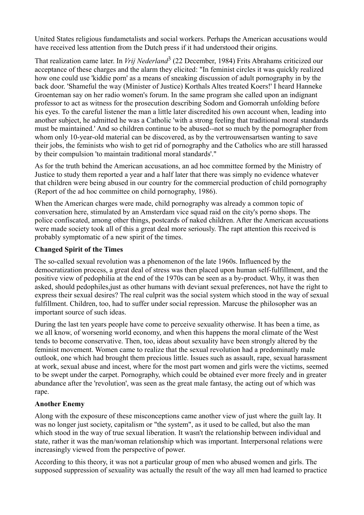United States religious fundametalists and social workers. Perhaps the American accusations would have received less attention from the Dutch press if it had understood their origins.

That realization came later. In *Vrij Nederland*<sup>3</sup> (22 December, 1984) Frits Abrahams criticized our acceptance of these charges and the alarm they elicited: "In feminist circles it was quickly realized how one could use 'kiddie porn' as a means of sneaking discussion of adult pornography in by the back door. 'Shameful the way (Minister of Justice) Korthals Altes treated Koers!' I heard Hanneke Groenteman say on her radio women's forum. In the same program she called upon an indignant professor to act as witness for the prosecution describing Sodom and Gomorrah unfolding before his eyes. To the careful listener the man a little later discredited his own account when, leading into another subject, he admitted he was a Catholic 'with a strong feeling that traditional moral standards must be maintained.' And so children continue to be abused--not so much by the pornographer from whom only 10-year-old material can be discovered, as by the vertrouwensartsen wanting to save their jobs, the feminists who wish to get rid of pornography and the Catholics who are still harassed by their compulsion 'to maintain traditional moral standards'."

As for the truth behind the American accusations, an ad hoc committee formed by the Ministry of Justice to study them reported a year and a half later that there was simply no evidence whatever that children were being abused in our country for the commercial production of child pornography (Report of the ad hoc committee on child pornography, 1986).

When the American charges were made, child pornography was already a common topic of conversation here, stimulated by an Amsterdam vice squad raid on the city's porno shops. The police confiscated, among other things, postcards of naked children. After the American accusations were made society took all of this a great deal more seriously. The rapt attention this received is probably symptomatic of a new spirit of the times.

# **Changed Spirit of the Times**

The so-called sexual revolution was a phenomenon of the late 1960s. Influenced by the democratization process, a great deal of stress was then placed upon human self-fulfillment, and the positive view of pedophilia at the end of the 1970s can be seen as a by-product. Why, it was then asked, should pedophiles,just as other humans with deviant sexual preferences, not have the right to express their sexual desires? The real culprit was the social system which stood in the way of sexual fulfillment. Children, too, had to suffer under social repression. Marcuse the philosopher was an important source of such ideas.

During the last ten years people have come to perceive sexuality otherwise. It has been a time, as we all know, of worsening world economy, and when this happens the moral climate of the West tends to become conservative. Then, too, ideas about sexuality have been strongly altered by the feminist movement. Women came to realize that the sexual revolution had a predominatly male outlook, one which had brought them precious little. Issues such as assault, rape, sexual harassment at work, sexual abuse and incest, where for the most part women and girls were the victims, seemed to be swept under the carpet. Pornography, which could be obtained ever more freely and in greater abundance after the 'revolution', was seen as the great male fantasy, the acting out of which was rape.

# **Another Enemy**

Along with the exposure of these misconceptions came another view of just where the guilt lay. It was no longer just society, capitalism or "the system", as it used to be called, but also the man which stood in the way of true sexual liberation. It wasn't the relationship between individual and state, rather it was the man/woman relationship which was important. Interpersonal relations were increasingly viewed from the perspective of power.

According to this theory, it was not a particular group of men who abused women and girls. The supposed suppression of sexuality was actually the result of the way all men had learned to practice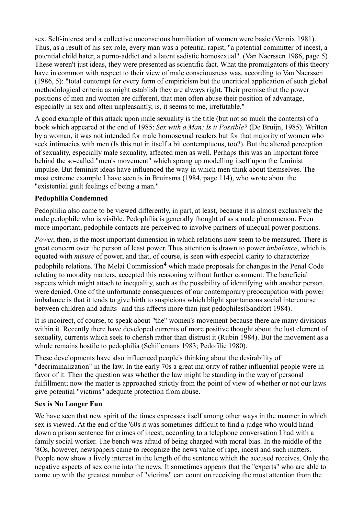sex. Self-interest and a collective unconscious humiliation of women were basic (Vennix 1981). Thus, as a result of his sex role, every man was a potential rapist, "a potential committer of incest, a potential child hater, a porno-addict and a latent sadistic homosexual". (Van Naerssen 1986, page 5) These weren't just ideas, they were presented as scientific fact. What the promulgators of this theory have in common with respect to their view of male consciousness was, according to Van Naerssen (1986, 5): "total contempt for every form of empiricism but the uncritical application of such global methodological criteria as might establish they are always right. Their premise that the power positions of men and women are different, that men often abuse their position of advantage, especially in sex and often unpleasantly, is, it seems to me, irrefutable."

A good example of this attack upon male sexuality is the title (but not so much the contents) of a book which appeared at the end of 1985: *Sex with a Man: Is it Possible?* (De Bruijn, 1985). Written by a woman, it was not intended for male homosexual readers but for that majority of women who seek intimacies with men (Is this not in itself a bit contemptuous, too?). But the altered perception of sexuality, especially male sexuality, affected men as well. Perhaps this was an important force behind the so-called "men's movement" which sprang up modelling itself upon the feminist impulse. But feminist ideas have influenced the way in which men think about themselves. The most extreme example I have seen is in Bruinsma (1984, page 114), who wrote about the "existential guilt feelings of being a man."

# **Pedophilia Condemned**

Pedophilia also came to be viewed differently, in part, at least, because it is almost exclusively the male pedophile who is visible. Pedophilia is generally thought of as a male phenomenon. Even more important, pedophile contacts are perceived to involve partners of unequal power positions.

*Power*, then, is the most important dimension in which relations now seem to be measured. There is great concern over the person of least power. Thus attention is drawn to power *imbalance*, which is equated with *misuse* of power, and that, of course, is seen with especial clarity to characterize pedophile relations. The Melai Commission<sup>4</sup> which made proposals for changes in the Penal Code relating to morality matters, accepted this reasoning without further comment. The beneficial aspects which might attach to inequality, such as the possibility of identifying with another person, were denied. One of the unfortunate consequences of our contemporary preoccupation with power imbalance is that it tends to give birth to suspicions which blight spontaneous social intercourse between children and adults--and this affects more than just pedophiles(Sandfort 1984).

It is incoirect, of course, to speak about "the" women's movement because there are many divisions within it. Recently there have developed currents of more positive thought about the lust element of sexuality, currents which seek to cherish rather than distrust it (Rubin 1984). But the movement as a whole remains hostile to pedophilia (Schillemans 1983; Pedofilie 1980).

These developments have also influenced people's thinking about the desirability of "decriminalization" in the law. In the early 70s a great majority of rather influential people were in favor of it. Then the question was whether the law might be standing in the way of personal fulfillment; now the matter is approached strictly from the point of view of whether or not our laws give potential "victims" adequate protection from abuse.

# **Sex is No Longer Fun**

We have seen that new spirit of the times expresses itself among other ways in the manner in which sex is viewed. At the end of the '60s it was sometimes difficult to find a judge who would hand down a prison sentence for crimes of incest, according to a telephone conversation I had with a family social worker. The bench was afraid of being charged with moral bias. In the middle of the '8Os, however, newspapers came to recognize the news value of rape, incest and such matters. People now show a lively interest in the length of the sentence which the accused receives. Only the negative aspects of sex come into the news. It sometimes appears that the "experts" who are able to come up with the greatest number of "victims" can count on receiving the most attention from the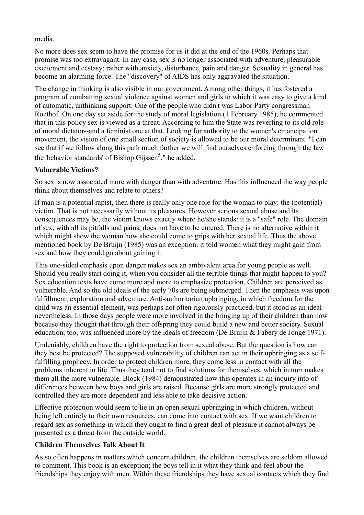media.

No more does sex seem to have the promise for us it did at the end of the 1960s. Perhaps that promise was too extravagant. In any case, sex is no longer associated with adventure, pleasurable excitement and ecstasy; rather with anxiety, disturbance, pain and danger. Sexuality in general has become an alarming force. The "discovery" of AIDS has only aggravated the situation.

The change in thinking is also visible in our government. Among other things, it has fostered a program of combatting sexual violence against women and girls to which it was easy to give a kind of automatic, unthinking support. One of the people who didn't was Labor Party congressman Roethof. On one day set aside for the study of moral legislation (1 February 1985), he commented that in this policy sex is viewed as a threat. According to him the State was reverting to its old role of moral dictator--and a feminist one at that. Looking for authority to the women's emancipation movement, the vision of one small section of society is allowed to be our moral determinant. "I can see that if we follow along this path much farther we will find ourselves enforcing through the law the 'behavior standards' of Bishop Gijssen<sup>5</sup>," he added.

# **Vulnerable Victims?**

So sex is now associated more with danger than with adventure. Has this influenced the way people think about themselves and relate to others?

If man is a potential rapist, then there is really only one role for the woman to play: the (potential) victim. That is not necessarily without its pleasures. However serious sexual abuse and its consequences may be, the victim knows exactly where he/she stands: it is a "safe" role. The domain of sex, with all its pitfalls and pains, does not have to be entered. There is no alternative within it which might show the woman how she could come to grips with her sexual life. Thus the above mentioned book by De Bruijn (1985) was an exception: it told women what they might gain from sex and how they could go about gaining it.

This one-sided emphasis upon danger makes sex an ambivalent area for young people as well. Should you really start doing it, when you consider all the terrible things that might happen to you? Sex education texts have come more and more to emphasize protection. Children are perceived as vulnerable. And so the old ideals of the early 70s are being submerged. Then the emphasis was upon fulfillment, exploration and adventure. Anti-authoritarian upbringing, in which freedom for the child was an essential element, was perhaps not often rigorously practiced, but it stood as an ideal nevertheless. In those days people were more involved in the bringing up of their children than now because they thought that through their offspring they could build a new and better society. Sexual education, too, was influenced more by the ideals of freedom (De Bruijn & Fabery de Jonge 1971).

Undeniably, children have the right to protection from sexual abuse. But the question is how can they best be protected? The supposed vulnerability of children can act in their upbringing as a selffulfilling prophecy. In order to protect children more, they come less in contact with all the problems inherent in life. Thus they tend not to find solutions for themselves, which in turn makes them all the more vulnerable. Block (1984) demonstrated how this operates in an inquiry into of differences between how boys and girls are raised. Because girls are more strongly protected and controlled they are more dependent and less able to take decisive action.

Effective protection would seem to lie in an open sexual upbringing in which children, without being left entirely to their own resources, can come into contact with sex. If we want children to regard sex as something in which they ought to find a great deal of pleasure it cannot always be presented as a threat from the outside world.

# **Children Themselves Talk About It**

As so often happens in matters which concern children, the children themselves are seldom allowed to comment. This book is an exception; the boys tell in it what they think and feel about the friendships they enjoy with men. Within these friendships they have sexual contacts which they find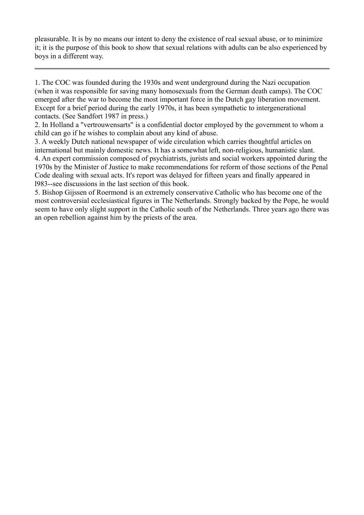pleasurable. It is by no means our intent to deny the existence of real sexual abuse, or to minimize it; it is the purpose of this book to show that sexual relations with adults can be also experienced by boys in a different way.

1. The COC was founded during the 1930s and went underground during the Nazi occupation (when it was responsible for saving many homosexuals from the German death camps). The COC emerged after the war to become the most important force in the Dutch gay liberation movement. Except for a brief period during the early 1970s, it has been sympathetic to intergenerational contacts. (See Sandfort 1987 in press.)

2. In Holland a "vertrouwensarts" is a confidential doctor employed by the government to whom a child can go if he wishes to complain about any kind of abuse.

3. A weekly Dutch national newspaper of wide circulation which carries thoughtful articles on international but mainly domestic news. It has a somewhat left, non-religious, humanistic slant. 4. An expert commission composed of psychiatrists, jurists and social workers appointed during the 1970s by the Minister of Justice to make recommendations for reform of those sections of the Penal Code dealing with sexual acts. It's report was delayed for fifteen years and finally appeared in l983--see discussions in the last section of this book.

5. Bishop Gijssen of Roermond is an extremely conservative Catholic who has become one of the most controversial ecclesiastical figures in The Netherlands. Strongly backed by the Pope, he would seem to have only slight support in the Catholic south of the Netherlands. Three years ago there was an open rebellion against him by the priests of the area.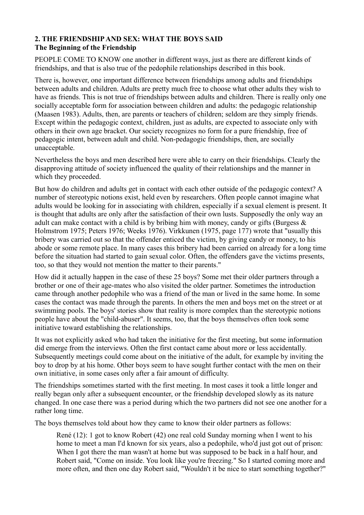# **2. THE FRIENDSHIP AND SEX: WHAT THE BOYS SAID The Beginning of the Friendship**

PEOPLE COME TO KNOW one another in different ways, just as there are different kinds of friendships, and that is also true of the pedophile relationships described in this book.

There is, however, one important difference between friendships among adults and friendships between adults and children. Adults are pretty much free to choose what other adults they wish to have as friends. This is not true of friendships between adults and children. There is really only one socially acceptable form for association between children and adults: the pedagogic relationship (Maasen 1983). Adults, then, are parents or teachers of children; seldom are they simply friends. Except within the pedagogic context, children, just as adults, are expected to associate only with others in their own age bracket. Our society recognizes no form for a pure friendship, free of pedagogic intent, between adult and child. Non-pedagogic friendships, then, are socially unacceptable.

Nevertheless the boys and men described here were able to carry on their friendships. Clearly the disapproving attitude of society influenced the quality of their relationships and the manner in which they proceeded.

But how do children and adults get in contact with each other outside of the pedagogic context? A number of stereotypic notions exist, held even by researchers. Often people cannot imagine what adults would be looking for in associating with children, especially if a sexual element is present. It is thought that adults are only after the satisfaction of their own lusts. Supposedly the only way an adult can make contact with a child is by bribing him with money, candy or gifts (Burgess & Holmstrom 1975; Peters 1976; Weeks 1976). Virkkunen (1975, page 177) wrote that "usually this bribery was carried out so that the offender enticed the victim, by giving candy or money, to his abode or some remote place. In many cases this bribery had been carried on already for a long time before the situation had started to gain sexual color. Often, the offenders gave the victims presents, too, so that they would not mention the matter to their parents."

How did it actually happen in the case of these 25 boys? Some met their older partners through a brother or one of their age-mates who also visited the older partner. Sometimes the introduction came through another pedophile who was a friend of the man or lived in the same home. In some cases the contact was made through the parents. In others the men and boys met on the street or at swimming pools. The boys' stories show that reality is more complex than the stereotypic notions people have about the "child-abuser". It seems, too, that the boys themselves often took some initiative toward establishing the relationships.

It was not explicitly asked who had taken the initiative for the first meeting, but some information did emerge from the interviews. Often the first contact came about more or less accidentally. Subsequently meetings could come about on the initiative of the adult, for example by inviting the boy to drop by at his home. Other boys seem to have sought further contact with the men on their own initiative, in some cases only after a fair amount of difficulty.

The friendships sometimes started with the first meeting. In most cases it took a little longer and really began only after a subsequent encounter, or the friendship developed slowly as its nature changed. In one case there was a period during which the two partners did not see one another for a rather long time.

The boys themselves told about how they came to know their older partners as follows:

René (12): 1 got to know Robert (42) one real cold Sunday morning when I went to his home to meet a man I'd known for six years, also a pedophile, who'd just got out of prison: When I got there the man wasn't at home but was supposed to be back in a half hour, and Robert said, "Come on inside. You look like you're freezing." So I started coming more and more often, and then one day Robert said, "Wouldn't it be nice to start something together?"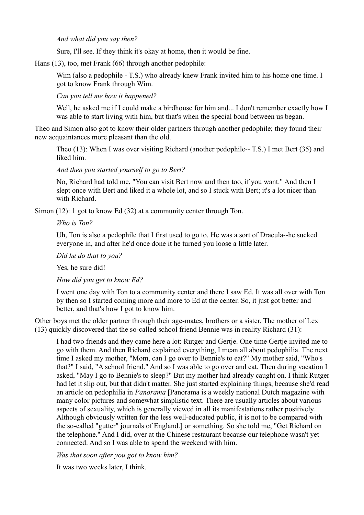*And what did you say then?*

Sure, I'll see. If they think it's okay at home, then it would be fine.

Hans (13), too, met Frank (66) through another pedophile:

Wim (also a pedophile - T.S.) who already knew Frank invited him to his home one time. I got to know Frank through Wim.

*Can you tell me how it happened?*

Well, he asked me if I could make a birdhouse for him and... I don't remember exactly how I was able to start living with him, but that's when the special bond between us began.

Theo and Simon also got to know their older partners through another pedophile; they found their new acquaintances more pleasant than the old.

Theo (13): When I was over visiting Richard (another pedophile-- T.S.) I met Bert (35) and liked him.

*And then you started yourself to go to Bert?*

No, Richard had told me, "You can visit Bert now and then too, if you want." And then I slept once with Bert and liked it a whole lot, and so I stuck with Bert; it's a lot nicer than with Richard.

Simon (12): 1 got to know Ed (32) at a community center through Ton.

*Who is Ton?*

Uh, Ton is also a pedophile that I first used to go to. He was a sort of Dracula--he sucked everyone in, and after he'd once done it he turned you loose a little later.

*Did he do that to you?*

Yes, he sure did!

*How did you get to know Ed?*

I went one day with Ton to a community center and there I saw Ed. It was all over with Ton by then so I started coming more and more to Ed at the center. So, it just got better and better, and that's how I got to know him.

Other boys met the older partner through their age-mates, brothers or a sister. The mother of Lex (13) quickly discovered that the so-called school friend Bennie was in reality Richard (31):

I had two friends and they came here a lot: Rutger and Gertje. One time Gertje invited me to go with them. And then Richard explained everything, I mean all about pedophilia. The next time I asked my mother, "Mom, can I go over to Bennie's to eat?" My mother said, "Who's that?" I said, "A school friend." And so I was able to go over and eat. Then during vacation I asked, "May I go to Bennie's to sleep?" But my mother had already caught on. I think Rutger had let it slip out, but that didn't matter. She just started explaining things, because she'd read an article on pedophilia in *Panorama* [Panorama is a weekly national Dutch magazine with many color pictures and somewhat simplistic text. There are usually articles about various aspects of sexuality, which is generally viewed in all its manifestations rather positively. Although obviously written for the less well-educated public, it is not to be compared with the so-called "gutter" journals of England.] or something. So she told me, "Get Richard on the telephone." And I did, over at the Chinese restaurant because our telephone wasn't yet connected. And so I was able to spend the weekend with him.

*Was that soon after you got to know him?*

It was two weeks later, I think.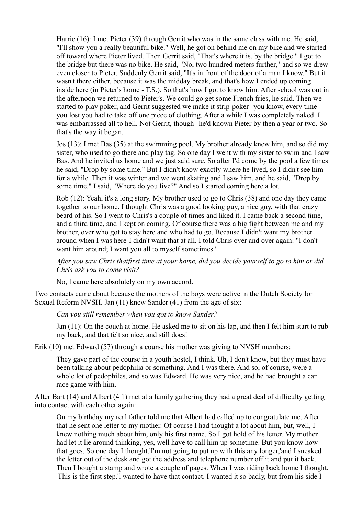Harrie (16): I met Pieter (39) through Gerrit who was in the same class with me. He said, "I'll show you a really beautiful bike." Well, he got on behind me on my bike and we started off toward where Pieter lived. Then Gerrit said, "That's where it is, by the bridge." I got to the bridge but there was no bike. He said, "No, two hundred meters further," and so we drew even closer to Pieter. Suddenly Gerrit said, "It's in front of the door of a man I know." But it wasn't there either, because it was the midday break, and that's how I ended up coming inside here (in Pieter's home - T.S.). So that's how I got to know him. After school was out in the afternoon we returned to Pieter's. We could go get some French fries, he said. Then we started to play poker, and Gerrit suggested we make it strip-poker--you know, every time you lost you had to take off one piece of clothing. After a while I was completely naked. I was embarrassed all to hell. Not Gerrit, though--he'd known Pieter by then a year or two. So that's the way it began.

Jos (13): I met Bas (35) at the swimming pool. My brother already knew him, and so did my sister, who used to go there and play tag. So one day I went with my sister to swim and I saw Bas. And he invited us home and we just said sure. So after I'd come by the pool a few times he said, "Drop by some time." But I didn't know exactly where he lived, so I didn't see him for a while. Then it was winter and we went skating and I saw him, and he said, "Drop by some time." I said, "Where do you live?" And so I started coming here a lot.

Rob (12): Yeah, it's a long story. My brother used to go to Chris (38) and one day they came together to our home. I thought Chris was a good looking guy, a nice guy, with that crazy beard of his. So I went to Chris's a couple of times and liked it. I came back a second time, and a third time, and I kept on coming. Of course there was a big fight between me and my brother, over who got to stay here and who had to go. Because I didn't want my brother around when I was here-I didn't want that at all. I told Chris over and over again: "I don't want him around; I want you all to myself sometimes."

*After you saw Chris thatfirst time at your home, did you decide yourself to go to him or did Chris ask you to come visit?*

No, I came here absolutely on my own accord.

Two contacts came about because the mothers of the boys were active in the Dutch Society for Sexual Reform NVSH. Jan (11) knew Sander (41) from the age of six:

*Can you still remember when you got to know Sander?*

Jan (11): On the couch at home. He asked me to sit on his lap, and then I felt him start to rub my back, and that felt so nice, and still does!

Erik (10) met Edward (57) through a course his mother was giving to NVSH members:

They gave part of the course in a youth hostel, I think. Uh, I don't know, but they must have been talking about pedophilia or something. And I was there. And so, of course, were a whole lot of pedophiles, and so was Edward. He was very nice, and he had brought a car race game with him.

After Bart (14) and Albert (4 1) met at a family gathering they had a great deal of difficulty getting into contact with each other again:

On my birthday my real father told me that Albert had called up to congratulate me. After that he sent one letter to my mother. Of course I had thought a lot about him, but, well, I knew nothing much about him, only his first name. So I got hold of his letter. My mother had let it lie around thinking, yes, well have to call him up sometime. But you know how that goes. So one day I thought,'I'm not going to put up with this any longer,'and I sneaked the letter out of the desk and got the address and telephone number off it and put it back. Then I bought a stamp and wrote a couple of pages. When I was riding back home I thought, 'This is the first step.'l wanted to have that contact. I wanted it so badly, but from his side I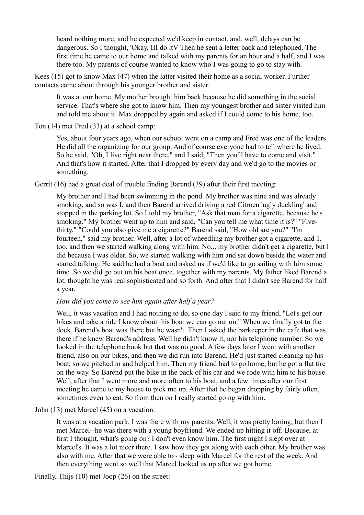heard nothing more, and he expected we'd keep in contact, and, well, delays can be dangerous. So I thought, 'Okay, III do itV Then he sent a letter back and telephoned. The first time he came to our home and talked with my parents for an hour and a half, and I was there too. My parents of course wanted to know who I was going to go to stay with.

Kees (15) got to know Max (47) when the latter visited their home as a social worker. Further contacts came about through his younger brother and sister:

It was at our home. My mother brought him back because he did something in the social service. That's where she got to know him. Then my youngest brother and sister visited him and told me about it. Max dropped by again and asked if I could come to his home, too.

Ton (14) met Fred (33) at a school camp:

Yes, about four years ago, when our school went on a camp and Fred was one of the leaders. He did all the organizing for our group. And of course everyone had to tell where he lived. So he said, "Oh, I live right near there," and I said, "Then you'll have to come and visit." And that's how it started. After that I dropped by every day and we'd go to the movies or something.

Gerrit (16) had a great deal of trouble finding Barend (39) after their first meeting:

My brother and I had been swimming in the pond. My brother was nine and was already smoking, and so was I, and then Barend arrived driving a red Citroen 'ugly duckling' and stopped in the parking lot. So I told my brother, "Ask that man for a cigarette, because he's smoking." My brother went up to him and said, "Can you tell me what time it is?" "Fivethirty." "Could you also give me a cigarette?" Barend said, "How old are you?" "I'm fourteen," said my brother. Well, after a lot of wheedling my brother got a cigarette, and 1, too, and then we started walking along with him. No... my brother didn't get a cigarette, but I did because I was older. So, we started walking with him and sat down beside the water and started talking. He said he had a boat and asked us if we'd like to go sailing with him some time. So we did go out on his boat once, together with my parents. My father liked Barend a lot, thought he was real sophisticated and so forth. And after that I didn't see Barend for half a year.

### *How did you come to see him again after half a year?*

Well, it was vacation and I had nothing to do, so one day I said to my friend. "Let's get our bikes and take a ride I know about this boat we can go out on." When we finally got to the dock, Barend's boat was there but he wasn't. Then I asked the barkeeper in the cafe that was there if he knew Barend's address. Well he didn't know it, nor his telephone number. So we looked in the telephone book but that was no good. A few days later I went with another friend, also on our bikes, and then we did run into Barend. He'd just started cleaning up his boat, so we pitched in and helped him. Then my friend had to go home, but he got a flat tire on the way. So Barend put the bike in the back of his car and we rode with him to his house. Well, after that I went more and more often to his boat, and a few times after our first meeting he came to my house to pick me up. After that he began dropping by fairly often, sometimes even to eat. So from then on I really started going with him.

John (13) met Marcel (45) on a vacation.

It was at a vacation park. I was there with my parents. Well, it was pretty boring, but then I met Marcel--he was there with a young boyfriend. We ended up hitting it off. Because, at first I thought, what's going on? I don't even know him. The first night I slept over at Marcel's. It was a lot nicer there. I saw how they got along with each other. My brother was also with me. After that we were able to $\sim$  sleep with Marcel for the rest of the week. And then everything went so well that Marcel looked us up after we got home.

Finally, Thijs (10) met Joop (26) on the street: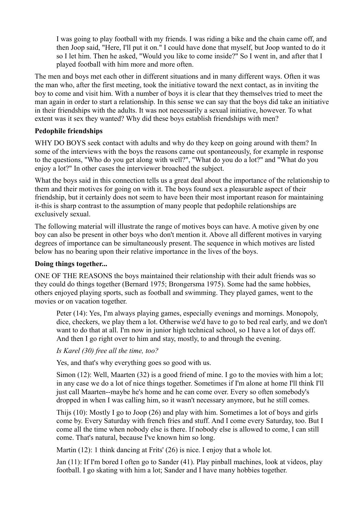I was going to play football with my friends. I was riding a bike and the chain came off, and then Joop said, "Here, I'll put it on." I could have done that myself, but Joop wanted to do it so I let him. Then he asked, "Would you like to come inside?" So I went in, and after that I played football with him more and more often.

The men and boys met each other in different situations and in many different ways. Often it was the man who, after the first meeting, took the initiative toward the next contact, as in inviting the boy to come and visit him. With a number of boys it is clear that they themselves tried to meet the man again in order to start a relationship. In this sense we can say that the boys did take an initiative in their friendships with the adults. It was not necessarily a sexual initiative, however. To what extent was it sex they wanted? Why did these boys establish friendships with men?

# **Pedophile friendships**

WHY DO BOYS seek contact with adults and why do they keep on going around with them? In some of the interviews with the boys the reasons came out spontaneously, for example in response to the questions, "Who do you get along with well?", "What do you do a lot?" and "What do you enjoy a lot?" In other cases the interviewer broached the subject.

What the boys said in this connection tells us a great deal about the importance of the relationship to them and their motives for going on with it. The boys found sex a pleasurable aspect of their friendship, but it certainly does not seem to have been their most important reason for maintaining it-this is sharp contrast to the assumption of many people that pedophile relationships are exclusively sexual.

The following material will illustrate the range of motives boys can have. A motive given by one boy can also be present in other boys who don't mention it. Above all different motives in varying degrees of importance can be simultaneously present. The sequence in which motives are listed below has no bearing upon their relative importance in the lives of the boys.

# **Doing things together...**

ONE OF THE REASONS the boys maintained their relationship with their adult friends was so they could do things together (Bernard 1975; Brongersma 1975). Some had the same hobbies, others enjoyed playing sports, such as football and swimming. They played games, went to the movies or on vacation together.

Peter (14): Yes, I'm always playing games, especially evenings and mornings. Monopoly, dice, checkers, we play them a lot. Otherwise we'd have to go to bed real early, and we don't want to do that at all. I'm now in junior high technical school, so I have a lot of days off. And then I go right over to him and stay, mostly, to and through the evening.

# *Is Karel (30) free all the time, too?*

Yes, and that's why everything goes so good with us.

Simon (12): Well, Maarten (32) is a good friend of mine. I go to the movies with him a lot; in any case we do a lot of nice things together. Sometimes if I'm alone at home I'll think I'll just call Maarten--maybe he's home and he can come over. Every so often somebody's dropped in when I was calling him, so it wasn't necessary anymore, but he still comes.

Thijs (10): Mostly I go to Joop (26) and play with him. Sometimes a lot of boys and girls come by. Every Saturday with french fries and stuff. And I come every Saturday, too. But I come all the time when nobody else is there. If nobody else is allowed to come, I can still come. That's natural, because I've known him so long.

Martin (12): 1 think dancing at Frits' (26) is nice. I enjoy that a whole lot.

Jan (11): If I'm bored I often go to Sander (41). Play pinball machines, look at videos, play football. I go skating with him a lot; Sander and I have many hobbies together.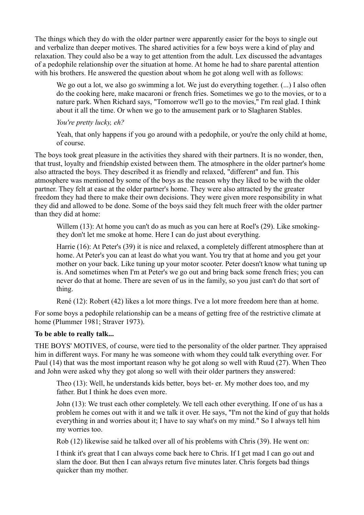The things which they do with the older partner were apparently easier for the boys to single out and verbalize than deeper motives. The shared activities for a few boys were a kind of play and relaxation. They could also be a way to get attention from the adult. Lex discussed the advantages of a pedophile relationship over the situation at home. At home he had to share parental attention with his brothers. He answered the question about whom he got along well with as follows:

We go out a lot, we also go swimming a lot. We just do everything together.  $(...)$  I also often do the cooking here, make macaroni or french fries. Sometimes we go to the movies, or to a nature park. When Richard says, "Tomorrow we'll go to the movies," I'm real glad. I think about it all the time. Or when we go to the amusement park or to Slagharen Stables.

*You're pretty lucky, eh?*

Yeah, that only happens if you go around with a pedophile, or you're the only child at home, of course.

The boys took great pleasure in the activities they shared with their partners. It is no wonder, then, that trust, loyalty and friendship existed between them. The atmosphere in the older partner's home also attracted the boys. They described it as friendly and relaxed, "different" and fun. This atmosphere was mentioned by some of the boys as the reason why they liked to be with the older partner. They felt at ease at the older partner's home. They were also attracted by the greater freedom they had there to make their own decisions. They were given more responsibility in what they did and allowed to be done. Some of the boys said they felt much freer with the older partner than they did at home:

Willem (13): At home you can't do as much as you can here at Roel's (29). Like smokingthey don't let me smoke at home. Here I can do just about everything.

Harrie (16): At Peter's (39) it is nice and relaxed, a completely different atmosphere than at home. At Peter's you can at least do what you want. You try that at home and you get your mother on your back. Like tuning up your motor scooter. Peter doesn't know what tuning up is. And sometimes when I'm at Peter's we go out and bring back some french fries; you can never do that at home. There are seven of us in the family, so you just can't do that sort of thing.

René (12): Robert (42) likes a lot more things. I've a lot more freedom here than at home.

For some boys a pedophile relationship can be a means of getting free of the restrictive climate at home (Plummer 1981; Straver 1973).

# **To be able to really talk...**

THE BOYS' MOTIVES, of course, were tied to the personality of the older partner. They appraised him in different ways. For many he was someone with whom they could talk everything over. For Paul (14) that was the most important reason why he got along so well with Ruud (27). When Theo and John were asked why they got along so well with their older partners they answered:

Theo (13): Well, he understands kids better, boys bet- er. My mother does too, and my father. But I think he does even more.

John (13): We trust each other completely. We tell each other everything. If one of us has a problem he comes out with it and we talk it over. He says, "I'm not the kind of guy that holds everything in and worries about it; I have to say what's on my mind." So I always tell him my worries too.

Rob (12) likewise said he talked over all of his problems with Chris (39). He went on:

I think it's great that I can always come back here to Chris. If I get mad I can go out and slam the door. But then I can always return five minutes later. Chris forgets bad things quicker than my mother.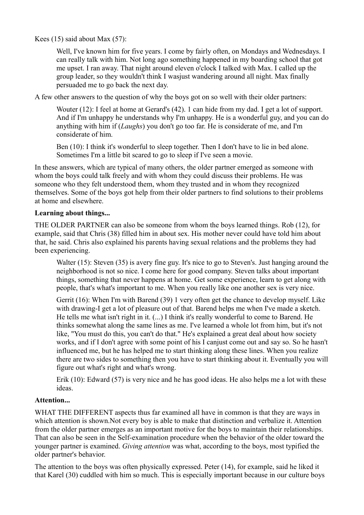Kees (15) said about Max (57):

Well, I've known him for five years. I come by fairly often, on Mondays and Wednesdays. I can really talk with him. Not long ago something happened in my boarding school that got me upset. I ran away. That night around eleven o'clock I talked with Max. I called up the group leader, so they wouldn't think I wasjust wandering around all night. Max finally persuaded me to go back the next day.

A few other answers to the question of why the boys got on so well with their older partners:

Wouter (12): I feel at home at Gerard's (42). 1 can hide from my dad. I get a lot of support. And if I'm unhappy he understands why I'm unhappy. He is a wonderful guy, and you can do anything with him if (*Laughs*) you don't go too far. He is considerate of me, and I'm considerate of him.

Ben (10): I think it's wonderful to sleep together. Then I don't have to lie in bed alone. Sometimes I'm a little bit scared to go to sleep if I've seen a movie.

In these answers, which are typical of many others, the older partner emerged as someone with whom the boys could talk freely and with whom they could discuss their problems. He was someone who they felt understood them, whom they trusted and in whom they recognized themselves. Some of the boys got help from their older partners to find solutions to their problems at home and elsewhere.

# **Learning about things...**

THE OLDER PARTNER can also be someone from whom the boys learned things. Rob (12), for example, said that Chris (38) filled him in about sex. His mother never could have told him about that, he said. Chris also explained his parents having sexual relations and the problems they had been experiencing.

Walter (15): Steven (35) is avery fine guy. It's nice to go to Steven's. Just hanging around the neighborhood is not so nice. I come here for good company. Steven talks about important things, something that never happens at home. Get some experience, learn to get along with people, that's what's important to me. When you really like one another sex is very nice.

Gerrit (16): When I'm with Barend (39) 1 very often get the chance to develop myself. Like with drawing-I get a lot of pleasure out of that. Barend helps me when I've made a sketch. He tells me what isn't right in it. (...) I think it's really wonderful to come to Barend. He thinks somewhat along the same lines as me. I've learned a whole lot from him, but it's not like, "You must do this, you can't do that." He's explained a great deal about how society works, and if I don't agree with some point of his I canjust come out and say so. So he hasn't influenced me, but he has helped me to start thinking along these lines. When you realize there are two sides to something then you have to start thinking about it. Eventually you will figure out what's right and what's wrong.

Erik (10): Edward (57) is very nice and he has good ideas. He also helps me a lot with these ideas.

# **Attention...**

WHAT THE DIFFERENT aspects thus far examined all have in common is that they are ways in which attention is shown.Not every boy is able to make that distinction and verbalize it. Attention from the older partner emerges as an important motive for the boys to maintain their relationships. That can also be seen in the Self-examination procedure when the behavior of the older toward the younger partner is examined. *Giving attention* was what, according to the boys, most typified the older partner's behavior.

The attention to the boys was often physically expressed. Peter (14), for example, said he liked it that Karel (30) cuddled with him so much. This is especially important because in our culture boys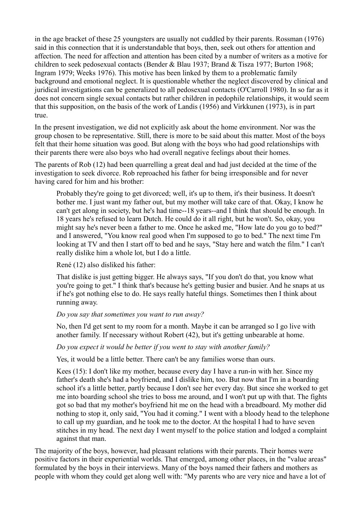in the age bracket of these 25 youngsters are usually not cuddled by their parents. Rossman (1976) said in this connection that it is understandable that boys, then, seek out others for attention and affection. The need for affection and attention has been cited by a number of writers as a motive for children to seek pedosexual contacts (Bender & Blau 1937; Brand & Tisza 1977; Burton 1968; Ingram 1979; Weeks 1976). This motive has been linked by them to a problematic family background and emotional neglect. It is questionable whether the neglect discovered by clinical and juridical investigations can be generalized to all pedosexual contacts (O'Carroll 1980). In so far as it does not concern single sexual contacts but rather children in pedophile relationships, it would seem that this supposition, on the basis of the work of Landis (1956) and Virkkunen (1973), is in part true.

In the present investigation, we did not explicitly ask about the home environment. Nor was the group chosen to be representative. Still, there is more to be said about this matter. Most of the boys felt that their home situation was good. But along with the boys who had good relationships with their parents there were also boys who had overall negative feelings about their homes.

The parents of Rob (12) had been quarrelling a great deal and had just decided at the time of the investigation to seek divorce. Rob reproached his father for being irresponsible and for never having cared for him and his brother:

Probably they're going to get divorced; well, it's up to them, it's their business. It doesn't bother me. I just want my father out, but my mother will take care of that. Okay, I know he can't get along in society, but he's had time--18 years--and I think that should be enough. In 18 years he's refused to learn Dutch. He could do it all right, but he won't. So, okay, you might say he's never been a father to me. Once he asked me, "How late do you go to bed?" and I answered, "You know real good when I'm supposed to go to bed." The next time I'm looking at TV and then I start off to bed and he says, "Stay here and watch the film." I can't really dislike him a whole lot, but I do a little.

René (12) also disliked his father:

That dislike is just getting bigger. He always says, "If you don't do that, you know what you're going to get." I think that's because he's getting busier and busier. And he snaps at us if he's got nothing else to do. He says really hateful things. Sometimes then I think about running away.

# *Do you say that sometimes you want to run away?*

No, then I'd get sent to my room for a month. Maybe it can be arranged so I go live with another family. If necessary without Robert (42), but it's getting unbearable at home.

*Do you expect it would be better if you went to stay with another family?*

Yes, it would be a little better. There can't be any families worse than ours.

Kees (15): I don't like my mother, because every day I have a run-in with her. Since my father's death she's had a boyfriend, and I dislike him, too. But now that I'm in a boarding school it's a little better, partly because I don't see her every day. But since she worked to get me into boarding school she tries to boss me around, and I won't put up with that. The fights got so bad that my mother's boyfriend hit me on the head with a breadboard. My mother did nothing to stop it, only said, "You had it coming." I went with a bloody head to the telephone to call up my guardian, and he took me to the doctor. At the hospital I had to have seven stitches in my head. The next day I went myself to the police station and lodged a complaint against that man.

The majority of the boys, however, had pleasant relations with their parents. Their homes were positive factors in their experiential worlds. That emerged, among other places, in the "value areas" formulated by the boys in their interviews. Many of the boys named their fathers and mothers as people with whom they could get along well with: "My parents who are very nice and have a lot of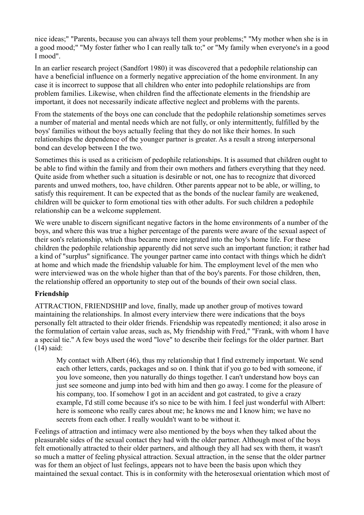nice ideas;" "Parents, because you can always tell them your problems;" "My mother when she is in a good mood;" "My foster father who I can really talk to;" or "My family when everyone's in a good I mood".

In an earlier research project (Sandfort 1980) it was discovered that a pedophile relationship can have a beneficial influence on a formerly negative appreciation of the home environment. In any case it is incorrect to suppose that all children who enter into pedophile relationships are from problem families. Likewise, when children find the affectionate elements in the friendship are important, it does not necessarily indicate affective neglect and problems with the parents.

From the statements of the boys one can conclude that the pedophile relationship sometimes serves a number of material and mental needs which are not fully, or only intermittently, fulfilled by the boys' families without the boys actually feeling that they do not like their homes. In such relationships the dependence of the younger partner is greater. As a result a strong interpersonal bond can develop between I the two.

Sometimes this is used as a criticism of pedophile relationships. It is assumed that children ought to be able to find within the family and from their own mothers and fathers everything that they need. Quite aside from whether such a situation is desirable or not, one has to recognize that divorced parents and unwed mothers, too, have children. Other parents appear not to be able, or willing, to satisfy this requirement. It can be expected that as the bonds of the nuclear family are weakened, children will be quicker to form emotional ties with other adults. For such children a pedophile relationship can be a welcome supplement.

We were unable to discern significant negative factors in the home environments of a number of the boys, and where this was true a higher percentage of the parents were aware of the sexual aspect of their son's relationship, which thus became more integrated into the boy's home life. For these children the pedophile relationship apparently did not serve such an important function; it rather had a kind of "surplus" significance. The younger partner came into contact with things which he didn't at home and which made the friendship valuable for him. The employment level of the men who were interviewed was on the whole higher than that of the boy's parents. For those children, then, the relationship offered an opportunity to step out of the bounds of their own social class.

# **Friendship**

ATTRACTION, FRIENDSHIP and love, finally, made up another group of motives toward maintaining the relationships. In almost every interview there were indications that the boys personally felt attracted to their older friends. Friendship was repeatedly mentioned; it also arose in the formulation of certain value areas, such as, My friendship with Fred," "Frank, with whom I have a special tie." A few boys used the word "love" to describe their feelings for the older partner. Bart (14) said:

My contact with Albert (46), thus my relationship that I find extremely important. We send each other letters, cards, packages and so on. I think that if you go to bed with someone, if you love someone, then you naturally do things together. I can't understand how boys can just see someone and jump into bed with him and then go away. I come for the pleasure of his company, too. If somehow I got in an accident and got castrated, to give a crazy example, I'd still come because it's so nice to be with him. I feel just wonderful with Albert: here is someone who really cares about me; he knows me and I know him; we have no secrets from each other. I really wouldn't want to be without it.

Feelings of attraction and intimacy were also mentioned by the boys when they talked about the pleasurable sides of the sexual contact they had with the older partner. Although most of the boys felt emotionally attracted to their older partners, and although they all had sex with them, it wasn't so much a matter of feeling physical attraction. Sexual attraction, in the sense that the older partner was for them an object of lust feelings, appears not to have been the basis upon which they maintained the sexual contact. This is in conformity with the heterosexual orientation which most of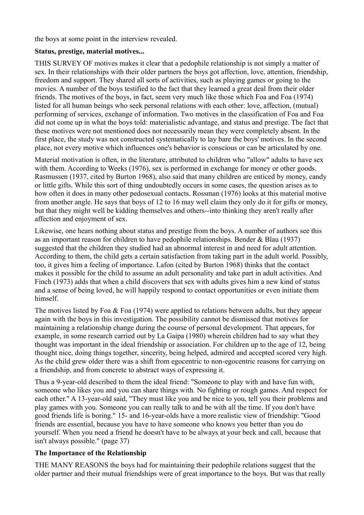the boys at some point in the interview revealed.

# **Status, prestige, material motives...**

THIS SURVEY OF motives makes it clear that a pedophile relationship is not simply a matter of sex. In their relationships with their older partners the boys got affection, love, attention, friendship, freedom and support. They shared all sorts of activities, such as playing games or going to the movies. A number of the boys testified to the fact that they learned a great deal from their older friends. The motives of the boys, in fact, seem very much like those which Foa and Foa (1974) listed for all human beings who seek personal relations with each other: love, affection, (mutual) performing of services, exchange of information. Two motives in the classification of Foa and Foa did not come up in what the boys told: materialistic advantage, and status and prestige. The fact that these motives were not mentioned does not necessarily mean they were completely absent. In the first place, the study was not constructed systematically to lay bare the boys' motives. In the second place, not every motive which influences one's behavior is conscious or can be articulated by one.

Material motivation is often, in the literature, attributed to children who "allow" adults to have sex with them. According to Weeks (1976), sex is performed in exchange for money or other goods. Rasmussen (1937, cited by Burton 1968), also said that many children are enticed by money, candy or little gifts. While this sort of thing undoubtedly occurs in some cases, the question arises as to how often it does in many other pedosexual contacts. Rossman (1976) looks at this material motive from another angle. He says that boys of 12 to 16 may well claim they only do it for gifts or money, but that they might well be kidding themselves and others--into thinking they aren't really after affection and enjoyment of sex.

Likewise, one hears nothing about status and prestige from the boys. A number of authors see this as an important reason for children to have pedophile relationships. Bender & Blau (1937) suggested that the children they studied had an abnormal interest in and need for adult attention. According to them, the child gets a certain satisfaction from taking part in the adult world. Possibly, too, it gives him a feeling of importance. Lafon (cited by Burton 1968) thinks that the contact makes it possible for the child to assume an adult personality and take part in adult activities. And Finch (1973) adds that when a child discovers that sex with adults gives him a new kind of status and a sense of being loved, he will happily respond to contact opportunities or even initiate them himself.

The motives listed by Foa & Foa (1974) were applied to relations between adults, but they appear again with the boys in this investigation. The possibility cannot be dismissed that motives for maintaining a relationship change during the course of personal development. That appears, for example, in some research carried out by La Gaipa (1980) wherein children had to say what they thought was important in the ideal friendship or association. For children up to the age of 12, being thought nice, doing things together, sincerity, being helped, admired and accepted scored very high. As the child grew older there was a shift from egocentric to non-egocentric reasons for carrying on a friendship, and from concrete to abstract ways of expressing it.

Thus a 9-year-old described to them the ideal friend: "Someone to play with and have fun with, someone who likes you and you can share things with. No fighting or rough games. And respect for each other." A 13-year-old said, "They must like you and be nice to you, tell you their problems and play games with you. Someone you can really talk to and be with all the time. If you don't have good friends life is boring." 15- and 16-year-olds have a more realistic view of friendship: "Good friends are essential, because you have to have someone who knows you better than you do yourself. When you need a friend he doesn't have to be always at your beck and call, because that isn't always possible." (page 37)

# **The Importance of the Relationship**

THE MANY REASONS the boys had for maintaining their pedophile relations suggest that the older partner and their mutual friendships were of great importance to the boys. But was that really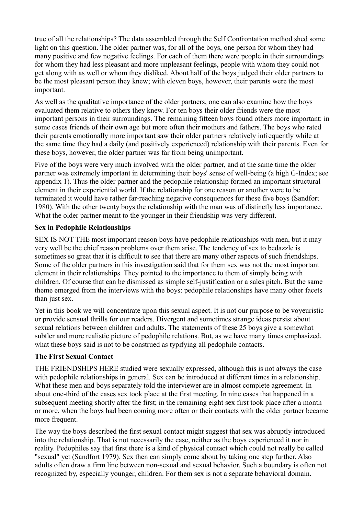true of all the relationships? The data assembled through the Self Confrontation method shed some light on this question. The older partner was, for all of the boys, one person for whom they had many positive and few negative feelings. For each of them there were people in their surroundings for whom they had less pleasant and more unpleasant feelings, people with whom they could not get along with as well or whom they disliked. About half of the boys judged their older partners to be the most pleasant person they knew; with eleven boys, however, their parents were the most important.

As well as the qualitative importance of the older partners, one can also examine how the boys evaluated them relative to others they knew. For ten boys their older friends were the most important persons in their surroundings. The remaining fifteen boys found others more important: in some cases friends of their own age but more often their mothers and fathers. The boys who rated their parents emotionally more important saw their older partners relatively infrequently while at the same time they had a daily (and positively experienced) relationship with their parents. Even for these boys, however, the older partner was far from being unimportant.

Five of the boys were very much involved with the older partner, and at the same time the older partner was extremely important in determining their boys' sense of well-being (a high G-Index; see appendix 1). Thus the older partner and the pedophile relationship formed an important structural element in their experiential world. If the relationship for one reason or another were to be terminated it would have rather far-reaching negative consequences for these five boys (Sandfort 1980). With the other twenty boys the relationship with the man was of distinctly less importance. What the older partner meant to the younger in their friendship was very different.

# **Sex in Pedophile Relationships**

SEX IS NOT THE most important reason boys have pedophile relationships with men, but it may very well be the chief reason problems over them arise. The tendency of sex to bedazzle is sometimes so great that it is difficult to see that there are many other aspects of such friendships. Some of the older partners in this investigation said that for them sex was not the most important element in their relationships. They pointed to the importance to them of simply being with children. Of course that can be dismissed as simple self-justification or a sales pitch. But the same theme emerged from the interviews with the boys: pedophile relationships have many other facets than just sex.

Yet in this book we will concentrate upon this sexual aspect. It is not our purpose to be voyeuristic or provide sensual thrills for our readers. Divergent and sometimes strange ideas persist about sexual relations between children and adults. The statements of these 25 boys give a somewhat subtler and more realistic picture of pedophile relations. But, as we have many times emphasized, what these boys said is not to be construed as typifying all pedophile contacts.

# **The First Sexual Contact**

THE FRIENDSHIPS HERE studied were sexually expressed, although this is not always the case with pedophile relationships in general. Sex can be introduced at different times in a relationship. What these men and boys separately told the interviewer are in almost complete agreement. In about one-third of the cases sex took place at the first meeting. In nine cases that happened in a subsequent meeting shortly after the first; in the remaining eight sex first took place after a month or more, when the boys had been coming more often or their contacts with the older partner became more frequent.

The way the boys described the first sexual contact might suggest that sex was abruptly introduced into the relationship. That is not necessarily the case, neither as the boys experienced it nor in reality. Pedophiles say that first there is a kind of physical contact which could not really be called "sexual" yet (Sandfort 1979). Sex then can simply come about by taking one step further. Also adults often draw a firm line between non-sexual and sexual behavior. Such a boundary is often not recognized by, especially younger, children. For them sex is not a separate behavioral domain.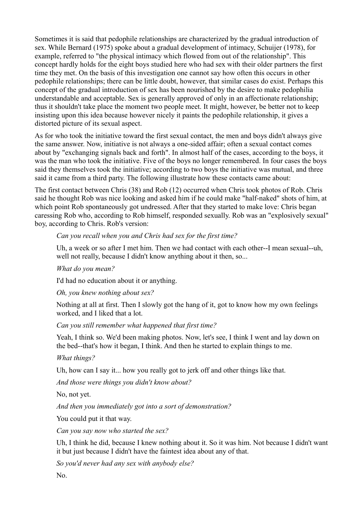Sometimes it is said that pedophile relationships are characterized by the gradual introduction of sex. While Bernard (1975) spoke about a gradual development of intimacy, Schuijer (1978), for example, referred to "the physical intimacy which flowed from out of the relationship". This concept hardly holds for the eight boys studied here who had sex with their older partners the first time they met. On the basis of this investigation one cannot say how often this occurs in other pedophile relationships; there can be little doubt, however, that similar cases do exist. Perhaps this concept of the gradual introduction of sex has been nourished by the desire to make pedophilia understandable and acceptable. Sex is generally approved of only in an affectionate relationship; thus it shouldn't take place the moment two people meet. It might, however, be better not to keep insisting upon this idea because however nicely it paints the pedophile relationship, it gives a distorted picture of its sexual aspect.

As for who took the initiative toward the first sexual contact, the men and boys didn't always give the same answer. Now, initiative is not always a one-sided affair; often a sexual contact comes about by "exchanging signals back and forth". In almost half of the cases, according to the boys, it was the man who took the initiative. Five of the boys no longer remembered. In four cases the boys said they themselves took the initiative; according to two boys the initiative was mutual, and three said it came from a third party. The following illustrate how these contacts came about:

The first contact between Chris (38) and Rob (12) occurred when Chris took photos of Rob. Chris said he thought Rob was nice looking and asked him if he could make "half-naked" shots of him, at which point Rob spontaneously got undressed. After that they started to make love: Chris began caressing Rob who, according to Rob himself, responded sexually. Rob was an "explosively sexual" boy, according to Chris. Rob's version:

## *Can you recall when you and Chris had sex for the first time?*

Uh, a week or so after I met him. Then we had contact with each other--I mean sexual--uh, well not really, because I didn't know anything about it then, so...

## *What do you mean?*

I'd had no education about it or anything.

### *Oh, you knew nothing about sex?*

Nothing at all at first. Then I slowly got the hang of it, got to know how my own feelings worked, and I liked that a lot.

### *Can you still remember what happened that first time?*

Yeah, I think so. We'd been making photos. Now, let's see, I think I went and lay down on the bed--that's how it began, I think. And then he started to explain things to me.

### *What things?*

Uh, how can I say it... how you really got to jerk off and other things like that.

*And those were things you didn't know about?*

No, not yet.

*And then you immediately got into a sort of demonstration?*

You could put it that way.

*Can you say now who started the sex?*

Uh, I think he did, because I knew nothing about it. So it was him. Not because I didn't want it but just because I didn't have the faintest idea about any of that.

*So you'd never had any sex with anybody else?*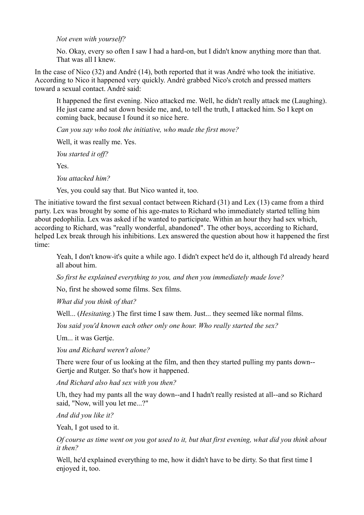## *Not even with yourself?*

No. Okay, every so often I saw I had a hard-on, but I didn't know anything more than that. That was all I knew.

In the case of Nico (32) and André (14), both reported that it was André who took the initiative. According to Nico it happened very quickly. André grabbed Nico's crotch and pressed matters toward a sexual contact. André said:

It happened the first evening. Nico attacked me. Well, he didn't really attack me (Laughing). He just came and sat down beside me, and, to tell the truth, I attacked him. So I kept on coming back, because I found it so nice here.

*Can you say who took the initiative, who made the first move?*

Well, it was really me. Yes.

*You started it off?*

Yes.

*You attacked him?*

Yes, you could say that. But Nico wanted it, too.

The initiative toward the first sexual contact between Richard (31) and Lex (13) came from a third party. Lex was brought by some of his age-mates to Richard who immediately started telling him about pedophilia. Lex was asked if he wanted to participate. Within an hour they had sex which, according to Richard, was "really wonderful, abandoned". The other boys, according to Richard, helped Lex break through his inhibitions. Lex answered the question about how it happened the first time:

Yeah, I don't know-it's quite a while ago. I didn't expect he'd do it, although I'd already heard all about him.

*So first he explained everything to you, and then you immediately made love?*

No, first he showed some films. Sex films.

*What did you think of that?*

Well... *(Hesitating.)* The first time I saw them. Just... they seemed like normal films.

*You said you'd known each other only one hour. Who really started the sex?*

Um... it was Gertje.

*You and Richard weren't alone?*

There were four of us looking at the film, and then they started pulling my pants down-- Gertje and Rutger. So that's how it happened.

*And Richard also had sex with you then?*

Uh, they had my pants all the way down--and I hadn't really resisted at all--and so Richard said, "Now, will you let me...?"

*And did you like it?*

Yeah, I got used to it.

*Of course as time went on you got used to it, but that first evening, what did you think about it then?*

Well, he'd explained everything to me, how it didn't have to be dirty. So that first time I enjoyed it, too.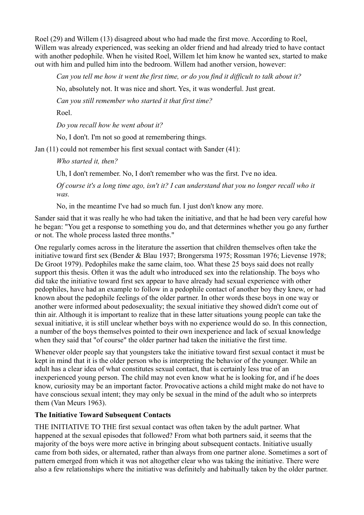Roel (29) and Willem (13) disagreed about who had made the first move. According to Roel, Willem was already experienced, was seeking an older friend and had already tried to have contact with another pedophile. When he visited Roel, Willem let him know he wanted sex, started to make out with him and pulled him into the bedroom. Willem had another version, however:

*Can you tell me how it went the first time, or do you find it difficult to talk about it?*

No, absolutely not. It was nice and short. Yes, it was wonderful. Just great.

*Can you still remember who started it that first time?*

Roel.

*Do you recall how he went about it?*

No, I don't. I'm not so good at remembering things.

Jan (11) could not remember his first sexual contact with Sander (41):

*Who started it, then?*

Uh, I don't remember. No, I don't remember who was the first. I've no idea.

*Of course it's a long time ago, isn't it? I can understand that you no longer recall who it was.*

No, in the meantime I've had so much fun. I just don't know any more.

Sander said that it was really he who had taken the initiative, and that he had been very careful how he began: "You get a response to something you do, and that determines whether you go any further or not. The whole process lasted three months."

One regularly comes across in the literature the assertion that children themselves often take the initiative toward first sex (Bender & Blau 1937; Brongersma 1975; Rossman 1976; Lievense 1978; De Groot 1979). Pedophiles make the same claim, too. What these 25 boys said does not really support this thesis. Often it was the adult who introduced sex into the relationship. The boys who did take the initiative toward first sex appear to have already had sexual experience with other pedophiles, have had an example to follow in a pedophile contact of another boy they knew, or had known about the pedophile feelings of the older partner. In other words these boys in one way or another were informed about pedosexuality; the sexual initiative they showed didn't come out of thin air. Although it is important to realize that in these latter situations young people can take the sexual initiative, it is still unclear whether boys with no experience would do so. In this connection, a number of the boys themselves pointed to their own inexperience and lack of sexual knowledge when they said that "of course" the older partner had taken the initiative the first time.

Whenever older people say that youngsters take the initiative toward first sexual contact it must be kept in mind that it is the older person who is interpreting the behavior of the younger. While an adult has a clear idea of what constitutes sexual contact, that is certainly less true of an inexperienced young person. The child may not even know what he is looking for, and if he does know, curiosity may be an important factor. Provocative actions a child might make do not have to have conscious sexual intent; they may only be sexual in the mind of the adult who so interprets them (Van Meurs 1963).

# **The Initiative Toward Subsequent Contacts**

THE INITIATIVE TO THE first sexual contact was often taken by the adult partner. What happened at the sexual episodes that followed? From what both partners said, it seems that the majority of the boys were more active in bringing about subsequent contacts. Initiative usually came from both sides, or alternated, rather than always from one partner alone. Sometimes a sort of pattern emerged from which it was not altogether clear who was taking the initiative. There were also a few relationships where the initiative was definitely and habitually taken by the older partner.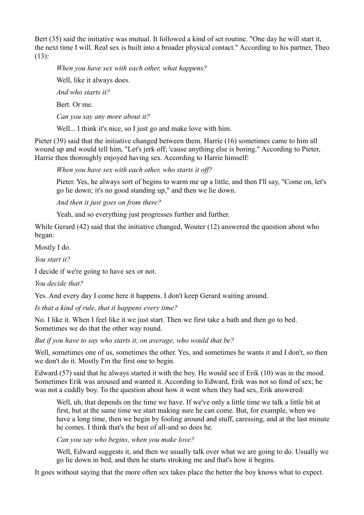Bert (35) said the initiative was mutual. It followed a kind of set routine. "One day he will start it, the next time I will. Real sex is built into a broader physical contact." According to his partner, Theo  $(13)$ :

*When you have sex with each other, what happens?* Well, like it always does.

*And who starts it?*

Bert. Or me.

*Can you say any more about it?*

Well... I think it's nice, so I just go and make love with him.

Pieter (39) said that the initiative changed between them. Harrie (16) sometimes came to him all wound up and would tell him, "Let's jerk off; 'cause anything else is boring." According to Pieter, Harrie then thoroughly enjoyed having sex. According to Harrie himself:

*When you have sex with each other, who starts it off?*

Pieter. Yes, he always sort of begins to warm me up a little, and then I'll say, "Come on, let's go lie down; it's no good standing up," and then we lie down.

*And then it just goes on from there?*

Yeah, and so everything just progresses further and further.

While Gerard (42) said that the initiative changed, Wouter (12) answered the question about who began:

Mostly I do.

*You start it?*

I decide if we're going to have sex or not.

*You decide that?*

Yes. And every day I come here it happens. I don't keep Gerard waiting around.

*Is that a kind of rule, that it happens every time?*

No. I like it. When I feel like it we just start. Then we first take a bath and then go to bed. Sometimes we do that the other way round.

*But if you have to say who starts it, on average, who would that be?*

Well, sometimes one of us, sometimes the other. Yes, and sometimes he wants it and I don't, so then we don't do it. Mostly I'm the first one to begin.

Edward (57) said that he always started it with the boy. He would see if Erik (10) was in the mood. Sometimes Erik was aroused and wanted it. According to Edward, Erik was not so fond of sex; he was not a cuddly boy. To the question about how it went when they had sex, Erik answered:

Well, uh, that depends on the time we have. If we've only a little time we talk a little bit at first, but at the same time we start making sure he can come. But, for example, when we have a long time, then we begin by fooling around and stuff, caressing, and at the last minute he comes. I think that's the best of all-and so does he.

*Can you say who begins, when you make love?*

Well, Edward suggests it, and then we usually talk over what we are going to do. Usually we go lie down in bed, and then he starts stroking me and that's how it begins.

It goes without saying that the more often sex takes place the better the boy knows what to expect.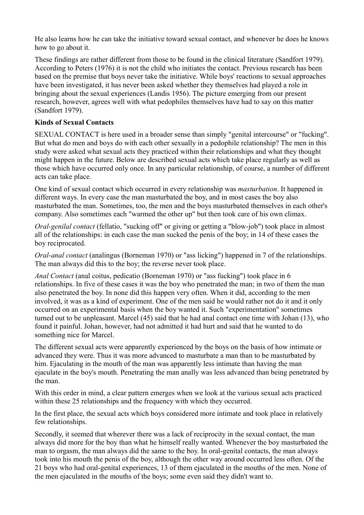He also learns how he can take the initiative toward sexual contact, and whenever he does he knows how to go about it.

These findings are rather different from those to be found in the clinical literature (Sandfort 1979). According to Peters (1976) it is not the child who initiates the contact. Previous research has been based on the premise that boys never take the initiative. While boys' reactions to sexual approaches have been investigated, it has never been asked whether they themselves had played a role in bringing about the sexual experiences (Landis 1956). The picture emerging from our present research, however, agrees well with what pedophiles themselves have had to say on this matter (Sandfort 1979).

# **Kinds of Sexual Contacts**

SEXUAL CONTACT is here used in a broader sense than simply "genital intercourse" or "fucking". But what do men and boys do with each other sexually in a pedophile relationship? The men in this study were asked what sexual acts they practiced within their relationships and what they thought might happen in the future. Below are described sexual acts which take place regularly as well as those which have occurred only once. In any particular relationship, of course, a number of different acts can take place.

One kind of sexual contact which occurred in every relationship was *masturbation*. It happened in different ways. In every case the man masturbated the boy, and in most cases the boy also masturbated the man. Sometimes, too, the men and the boys masturbated themselves in each other's company. Also sometimes each "warmed the other up" but then took care of his own climax.

*Oral-genilal contact* (fellatio, "sucking off" or giving or getting a "blow-job") took place in almost all of the relationships: in each case the man sucked the penis of the boy; in 14 of these cases the boy reciprocated.

*Oral-anal contact* (analingus (Borneman 1970) or "ass licking") happened in 7 of the relationships. The man always did this to the boy; the reverse never took place.

*Anal Contact* (anal coitus, pedicatio (Borneman 1970) or "ass fucking") took place in 6 relationships. In five of these cases it was the boy who penetrated the man; in two of them the man also penetrated the boy. In none did this happen very often. When it did, according to the men involved, it was as a kind of experiment. One of the men said he would rather not do it and it only occurred on an experimental basis when the boy wanted it. Such "experimentation" sometimes turned out to be unpleasant. Marcel (45) said that he had anal contact one time with Johan (13), who found it painful. Johan, however, had not admitted it had hurt and said that he wanted to do something nice for Marcel.

The different sexual acts were apparently experienced by the boys on the basis of how intimate or advanced they were. Thus it was more advanced to masturbate a man than to be masturbated by him. Ejaculating in the mouth of the man was apparently less intimate than having the man ejaculate in the boy's mouth. Penetrating the man anally was less advanced than being penetrated by the man.

With this order in mind, a clear pattern emerges when we look at the various sexual acts practiced within these 25 relationships and the frequency with which they occurred.

In the first place, the sexual acts which boys considered more intimate and took place in relatively few relationships.

Secondly, it seemed that wherever there was a lack of reciprocity in the sexual contact, the man always did more for the boy than what he himself really wanted. Whenever the boy masturbated the man to orgasm, the man always did the same to the boy. In oral-genital contacts, the man always took into his mouth the penis of the boy, although the other way around occurred less often. Of the 21 boys who had oral-genital experiences, 13 of them ejaculated in the mouths of the men. None of the men ejaculated in the mouths of the boys; some even said they didn't want to.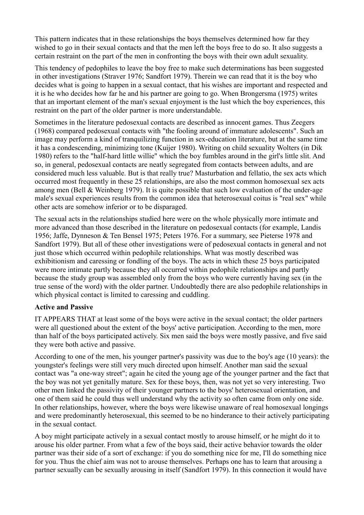This pattern indicates that in these relationships the boys themselves determined how far they wished to go in their sexual contacts and that the men left the boys free to do so. It also suggests a certain restraint on the part of the men in confronting the boys with their own adult sexuality.

This tendency of pedophiles to leave the boy free to make such determinations has been suggested in other investigations (Straver 1976; Sandfort 1979). Therein we can read that it is the boy who decides what is going to happen in a sexual contact, that his wishes are important and respected and it is he who decides how far he and his partner are going to go. When Brongersma (1975) writes that an important element of the man's sexual enjoyment is the lust which the boy experiences, this restraint on the part of the older partner is more understandable.

Sometimes in the literature pedosexual contacts are described as innocent games. Thus Zeegers (1968) compared pedosexual contacts with "the fooling around of immature adolescents". Such an image may perform a kind of tranquilizing function in sex-education literature, but at the same time it has a condescending, minimizing tone (Kuijer 1980). Writing on child sexuality Wolters (in Dik 1980) refers to the "half-hard little willie" which the boy fumbles around in the girl's little slit. And so, in general, pedosexual contacts are neatly segregated from contacts between adults, and are considered much less valuable. But is that really true? Masturbation and fellatio, the sex acts which occurred most frequently in these 25 relationships, are also the most common homosexual sex acts among men (Bell & Weinberg 1979). It is quite possible that such low evaluation of the under-age male's sexual experiences results from the common idea that heterosexual coitus is "real sex" while other acts are somehow inferior or to be disparaged.

The sexual acts in the relationships studied here were on the whole physically more intimate and more advanced than those described in the literature on pedosexual contacts (for example, Landis 1956; Jaffe, Dynneson & Ten Bensel 1975; Peters 1976. For a summary, see Pieterse 1978 and Sandfort 1979). But all of these other investigations were of pedosexual contacts in general and not just those which occurred within pedophile relationships. What was mostly described was exhibitionism and caressing or fondling of the boys. The acts in which these 25 boys participated were more intimate partly because they all occurred within pedophile relationships and partly because the study group was assembled only from the boys who were currently having sex (in the true sense of the word) with the older partner. Undoubtedly there are also pedophile relationships in which physical contact is limited to caressing and cuddling.

# **Active and Passive**

IT APPEARS THAT at least some of the boys were active in the sexual contact; the older partners were all questioned about the extent of the boys' active participation. According to the men, more than half of the boys participated actively. Six men said the boys were mostly passive, and five said they were both active and passive.

According to one of the men, his younger partner's passivity was due to the boy's age (10 years): the youngster's feelings were still very much directed upon himself. Another man said the sexual contact was "a one-way street"; again he cited the young age of the younger partner and the fact that the boy was not yet genitally mature. Sex for these boys, then, was not yet so very interesting. Two other men linked the passivity of their younger partners to the boys' heterosexual orientation, and one of them said he could thus well understand why the activity so often came from only one side. In other relationships, however, where the boys were likewise unaware of real homosexual longings and were predominantly heterosexual, this seemed to be no hinderance to their actively participating in the sexual contact.

A boy might participate actively in a sexual contact mostly to arouse himself, or he might do it to arouse his older partner. From what a few of the boys said, their active behavior towards the older partner was their side of a sort of exchange: if you do something nice for me, I'll do something nice for you. Thus the chief aim was not to arouse themselves. Perhaps one has to learn that arousing a partner sexually can be sexually arousing in itself (Sandfort 1979). In this connection it would have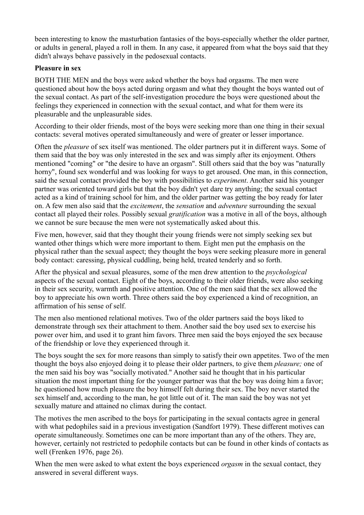been interesting to know the masturbation fantasies of the boys-especially whether the older partner, or adults in general, played a roll in them. In any case, it appeared from what the boys said that they didn't always behave passively in the pedosexual contacts.

# **Pleasure in sex**

BOTH THE MEN and the boys were asked whether the boys had orgasms. The men were questioned about how the boys acted during orgasm and what they thought the boys wanted out of the sexual contact. As part of the self-investigation procedure the boys were questioned about the feelings they experienced in connection with the sexual contact, and what for them were its pleasurable and the unpleasurable sides.

According to their older friends, most of the boys were seeking more than one thing in their sexual contacts: several motives operated simultaneously and were of greater or lesser importance.

Often the *pleasure* of sex itself was mentioned. The older partners put it in different ways. Some of them said that the boy was only interested in the sex and was simply after its enjoyment. Others mentioned "coming" or "the desire to have an orgasm". Still others said that the boy was "naturally horny", found sex wonderful and was looking for ways to get aroused. One man, in this connection, said the sexual contact provided the boy with possibilities to *experiment*. Another said his younger partner was oriented toward girls but that the boy didn't yet dare try anything; the sexual contact acted as a kind of training school for him, and the older partner was getting the boy ready for later on. A few men also said that the *excitement*, the *sensation* and *adventure* surrounding the sexual contact all played their roles. Possibly sexual *gratification* was a motive in all of the boys, although we cannot be sure because the men were not systematically asked about this.

Five men, however, said that they thought their young friends were not simply seeking sex but wanted other things which were more important to them. Eight men put the emphasis on the physical rather than the sexual aspect; they thought the boys were seeking pleasure more in general body contact: caressing, physical cuddling, being held, treated tenderly and so forth.

After the physical and sexual pleasures, some of the men drew attention to the *psychological* aspects of the sexual contact. Eight of the boys, according to their older friends, were also seeking in their sex security, warmth and positive attention. One of the men said that the sex allowed the boy to appreciate his own worth. Three others said the boy experienced a kind of recognition, an affirmation of his sense of self.

The men also mentioned relational motives. Two of the older partners said the boys liked to demonstrate through sex their attachment to them. Another said the boy used sex to exercise his power over him, and used it to grant him favors. Three men said the boys enjoyed the sex because of the friendship or love they experienced through it.

The boys sought the sex for more reasons than simply to satisfy their own appetites. Two of the men thought the boys also enjoyed doing it to please their older partners, to give them *pleasure;* one of the men said his boy was "socially motivated." Another said he thought that in his particular situation the most important thing for the younger partner was that the boy was doing him a favor; he questioned how much pleasure the boy himself felt during their sex. The boy never started the sex himself and, according to the man, he got little out of it. The man said the boy was not yet sexually mature and attained no climax during the contact.

The motives the men ascribed to the boys for participating in the sexual contacts agree in general with what pedophiles said in a previous investigation (Sandfort 1979). These different motives can operate simultaneously. Sometimes one can be more important than any of the others. They are, however, certainly not restricted to pedophile contacts but can be found in other kinds of contacts as well (Frenken 1976, page 26).

When the men were asked to what extent the boys experienced *orgasm* in the sexual contact, they answered in several different ways.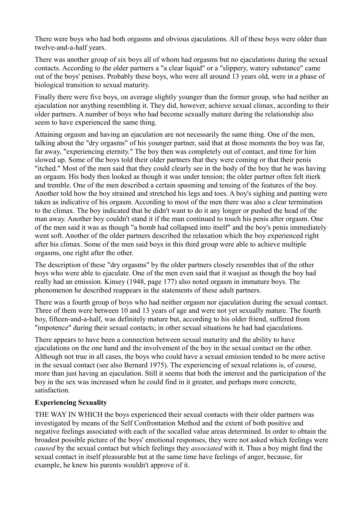There were boys who had both orgasms and obvious ejaculations. All of these boys were older than twelve-and-a-half years.

There was another group of six boys all of whom had orgasms but no ejaculations during the sexual contacts. According to the older partners a "a clear liquid" or a "slippery, watery substance" came out of the boys' penises. Probably these boys, who were all around 13 years old, were in a phase of biological transition to sexual maturity.

Finally there were five boys, on average slightly younger than the former group, who had neither an ejaculation nor anything resembling it. They did, however, achieve sexual climax, according to their older partners. A number of boys who had become sexually mature during the relationship also seem to have experienced the same thing.

Attaining orgasm and having an ejaculation are not necessarily the same thing. One of the men, talking about the "dry orgasms" of his younger partner, said that at those moments the boy was far, far away, "experiencing eternity." The boy then was completely out of contact, and time for him slowed up. Some of the boys told their older partners that they were coming or that their penis "itched." Most of the men said that they could clearly see in the body of the boy that he was having an orgasm. His body then looked as though it was under tension; the older partner often felt itierk and tremble. One of the men described a certain spasming and tensing of the features of the boy. Another told how the boy strained and stretched his legs and toes. A boy's sighing and panting were taken as indicative of his orgasm. According to most of the men there was also a clear termination to the climax. The boy indicated that he didn't want to do it any longer or pushed the head of the man away. Another boy couldn't stand it if the man continued to touch his penis after orgasm. One of the men said it was as though "a bomb had collapsed into itself" and the boy's penis immediately went soft. Another of the older partners described the relaxation which the boy experienced right after his climax. Some of the men said boys in this third group were able to achieve multiple orgasms, one right after the other.

The description of these "dry orgasms" by the older partners closely resembles that of the other boys who were able to ejaculate. One of the men even said that it wasjust as though the boy had really had an emission. Kinsey (1948, page 177) also noted orgasm in immature boys. The phenomenon he described reappears in the statements of these adult partners.

There was a fourth group of boys who had neither orgasm nor ejaculation during the sexual contact. Three of them were between 10 and 13 years of age and were not yet sexually mature. The fourth boy, fifteen-and-a-half, was definitely mature but, according to his older friend, suffered from "impotence" during their sexual contacts; in other sexual situations he had had ejaculations.

There appears to have been a connection between sexual maturity and the ability to have ejaculations on the one hand and the involvement of the boy in the sexual contact on the other. Although not true in all cases, the boys who could have a sexual emission tended to be more active in the sexual contact (see also Bernard 1975). The experiencing of sexual relations is, of course, more than just having an ejaculation. Still it seems that both the interest and the participation of the boy in the sex was increased when he could find in it greater, and perhaps more concrete, satisfaction.

# **Experiencing Sexuality**

THE WAY IN WHICH the boys experienced their sexual contacts with their older partners was investigated by means of the Self Confrontation Method and the extent of both positive and negative feelings associated with each of the socalled value areas determined. In order to obtain the broadest possible picture of the boys' emotional responses, they were not asked which feelings were *caused* by the sexual contact but which feelings they *associated* with it. Thus a boy might find the sexual contact in itself pleasurable but at the same time have feelings of anger, because, for example, he knew his parents wouldn't approve of it.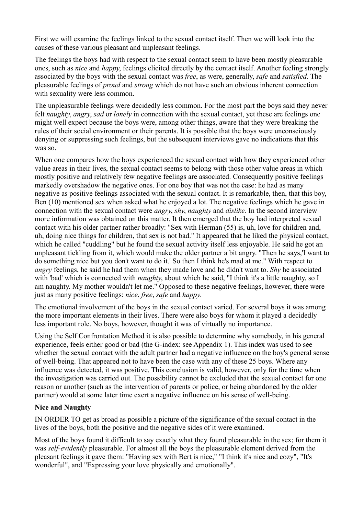First we will examine the feelings linked to the sexual contact itself. Then we will look into the causes of these various pleasant and unpleasant feelings.

The feelings the boys had with respect to the sexual contact seem to have been mostly pleasurable ones, such as *nice* and *happy*, feelings elicited directly by the contact itself. Another feeling strongly associated by the boys with the sexual contact was *free*, as were, generally, *safe* and *satisfied*. The pleasurable feelings of *proud* and *strong* which do not have such an obvious inherent connection with sexuality were less common.

The unpleasurable feelings were decidedly less common. For the most part the boys said they never felt *naughty*, *angry*, *sad* or *lonely* in connection with the sexual contact, yet these are feelings one might well expect because the boys were, among other things, aware that they were breaking the rules of their social environment or their parents. It is possible that the boys were unconsciously denying or suppressing such feelings, but the subsequent interviews gave no indications that this was so.

When one compares how the boys experienced the sexual contact with how they experienced other value areas in their lives, the sexual contact seems to belong with those other value areas in which mostly positive and relatively few negative feelings are associated. Consequently positive feelings markedly overshadow the negative ones. For one boy that was not the case: he had as many negative as positive feelings associated with the sexual contact. It is remarkable, then, that this boy, Ben (10) mentioned sex when asked what he enjoyed a lot. The negative feelings which he gave in connection with the sexual contact were *angry*, *shy*, *naughty* and *dislike*. In the second interview more information was obtained on this matter. It then emerged that the boy had interpreted sexual contact with his older partner rather broadly: "Sex with Herman (55) is, uh, love for children and, uh, doing nice things for children, that sex is not bad." It appeared that he liked the physical contact, which he called "cuddling" but he found the sexual activity itself less enjoyable. He said he got an unpleasant tickling from it, which would make the older partner a bit angry. "Then he says,'I want to do something nice but you don't want to do it.' So then I think he's mad at me." With respect to *angry* feelings, he said he had them when they made love and he didn't want to. *Shy* he associated with 'bad' which is connected with *naughty*, about which he said, "I think it's a little naughty, so I am naughty. My mother wouldn't let me." Opposed to these negative feelings, however, there were just as many positive feelings: *nice*, *free*, *safe* and *happy*.

The emotional involvement of the boys in the sexual contact varied. For several boys it was among the more important elements in their lives. There were also boys for whom it played a decidedly less important role. No boys, however, thought it was of virtually no importance.

Using the Self Confrontation Method it is also possible to determine why somebody, in his general experience, feels either good or bad (the G-index: see Appendix 1). This index was used to see whether the sexual contact with the adult partner had a negative influence on the boy's general sense of well-being. That appeared not to have been the case with any of these 25 boys. Where any influence was detected, it was positive. This conclusion is valid, however, only for the time when the investigation was carried out. The possibility cannot be excluded that the sexual contact for one reason or another (such as the intervention of parents or police, or being abandoned by the older partner) would at some later time exert a negative influence on his sense of well-being.

# **Nice and Naughty**

IN ORDER TO get as broad as possible a picture of the significance of the sexual contact in the lives of the boys, both the positive and the negative sides of it were examined.

Most of the boys found it difficult to say exactly what they found pleasurable in the sex; for them it was *self-evidently* pleasurable. For almost all the boys the pleasurable element derived from the pleasant feelings it gave them: "Having sex with Bert is nice," "I think it's nice and cozy", "It's wonderful", and "Expressing your love physically and emotionally".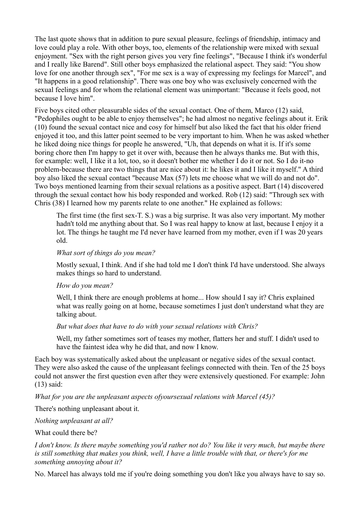The last quote shows that in addition to pure sexual pleasure, feelings of friendship, intimacy and love could play a role. With other boys, too, elements of the relationship were mixed with sexual enjoyment. "Sex with the right person gives you very fine feelings", "Because I think it's wonderful and I really like Barend". Still other boys emphasized the relational aspect. They said: "You show love for one another through sex", "For me sex is a way of expressing my feelings for Marcel", and "It happens in a good relationship". There was one boy who was exclusively concerned with the sexual feelings and for whom the relational element was unimportant: "Because it feels good, not because I love him".

Five boys cited other pleasurable sides of the sexual contact. One of them, Marco (12) said, "Pedophiles ought to be able to enjoy themselves"; he had almost no negative feelings about it. Erik (10) found the sexual contact nice and cosy for himself but also liked the fact that his older friend enjoyed it too, and this latter point seemed to be very important to him. When he was asked whether he liked doing nice things for people he answered, "Uh, that depends on what it is. If it's some boring chore then I'm happy to get it over with, because then he always thanks me. But with this, for example: well, I like it a lot, too, so it doesn't bother me whether I do it or not. So I do it-no problem-because there are two things that are nice about it: he likes it and I like it myself." A third boy also liked the sexual contact "because Max (57) lets me choose what we will do and not do". Two boys mentioned learning from their sexual relations as a positive aspect. Bart (14) discovered through the sexual contact how his body responded and worked. Rob (12) said: "Through sex with Chris (38) I learned how my parents relate to one another." He explained as follows:

The first time (the first sex-T. S.) was a big surprise. It was also very important. My mother hadn't told me anything about that. So I was real happy to know at last, because I enjoy it a lot. The things he taught me I'd never have learned from my mother, even if I was 20 years old.

#### *What sort of things do you mean?*

Mostly sexual, I think. And if she had told me I don't think I'd have understood. She always makes things so hard to understand.

#### *How do you mean?*

Well, I think there are enough problems at home... How should I say it? Chris explained what was really going on at home, because sometimes I just don't understand what they are talking about.

#### *But what does that have to do with your sexual relations with Chris?*

Well, my father sometimes sort of teases my mother, flatters her and stuff. I didn't used to have the faintest idea why he did that, and now I know.

Each boy was systematically asked about the unpleasant or negative sides of the sexual contact. They were also asked the cause of the unpleasant feelings connected with thein. Ten of the 25 boys could not answer the first question even after they were extensively questioned. For example: John (13) said:

*What for you are the unpleasant aspects ofyoursexual relations with Marcel (45)?*

There's nothing unpleasant about it.

*Nothing unpleasant at all?*

What could there be?

*I don't know. Is there maybe something you'd rather not do? You like it very much, but maybe there is still something that makes you think, well, I have a little trouble with that, or there's for me something annoying about it?*

No. Marcel has always told me if you're doing something you don't like you always have to say so.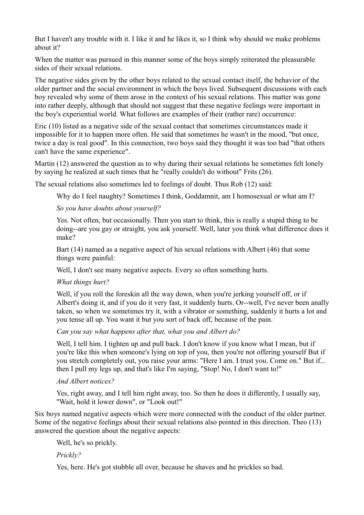But I haven't any trouble with it. I like it and he likes it, so I think why should we make problems about it?

When the matter was pursued in this manner some of the boys simply reiterated the pleasurable sides of their sexual relations.

The negative sides given by the other boys related to the sexual contact itself, the behavior of the older partner and the social environment in which the boys lived. Subsequent discussions with each boy revealed why some of them arose in the context of his sexual relations. This matter was gone into rather deeply, although that should not suggest that these negative feelings were important in the boy's experiential world. What follows are examples of their (rather rare) occurrence:

Eric (10) listed as a negative side of the sexual contact that sometimes circumstances made it impossible for it to happen more often. He said that sometimes he wasn't in the mood, "but once, twice a day is real good". In this connection, two boys said they thought it was too bad "that others can't have the same experience".

Martin (12) answered the question as to why during their sexual relations he sometimes felt lonely by saying he realized at such times that he "really couldn't do without" Frits (26).

The sexual relations also sometimes led to feelings of doubt. Thus Rob (12) said:

Why do I feel naughty? Sometimes I think, Goddamnit, am I homosexual or what am I?

#### *So you have doubts about yourself?*

Yes. Not often, but occasionally. Then you start to think, this is really a stupid thing to be doing--are you gay or straight, you ask yourself. Well, later you think what difference does it make?

Bart (14) named as a negative aspect of his sexual relations with Albert (46) that some things were painful:

Well, I don't see many negative aspects. Every so often something hurts.

#### *What things hurt?*

Well, if you roll the foreskin all the way down, when you're jerking yourself off, or if Albert's doing it, and if you do it very fast, it suddenly hurts. Or--well, I've never been anally taken, so when we sometimes try it, with a vibrator or something, suddenly it hurts a lot and you tense all up. You want it but you sort of back off, because of the pain.

*Can you say what happens after that, what you and Albert do?*

Well, I tell him. I tighten up and pull back. I don't know if you know what I mean, but if you're like this when someone's lying on top of you, then you're not offering yourself But if you stretch completely out, you raise your arms: "Here I am. I trust you. Come on." But if... then I pull my legs up, and that's like I'm saying, "Stop! No, I don't want to!"

#### *And Albert notices?*

Yes, right away, and I tell him right away, too. So then he does it differently, I usually say, "Wait, hold it lower down", or "Look out!"

Six boys named negative aspects which were more connected with the conduct of the older partner. Some of the negative feelings about their sexual relations also pointed in this direction. Theo (13) answered the question about the negative aspects:

Well, he's so prickly.

*Prickly?*

Yes, here. He's got stubble all over, because he shaves and he prickles so bad.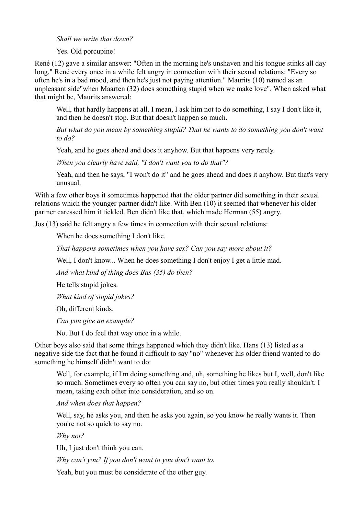*Shall we write that down?*

Yes. Old porcupine!

René (12) gave a similar answer: "Often in the morning he's unshaven and his tongue stinks all day long." René every once in a while felt angry in connection with their sexual relations: "Every so often he's in a bad mood, and then he's just not paying attention." Maurits (10) named as an unpleasant side"when Maarten (32) does something stupid when we make love". When asked what that might be, Maurits answered:

Well, that hardly happens at all. I mean, I ask him not to do something, I say I don't like it, and then he doesn't stop. But that doesn't happen so much.

*But what do you mean by something stupid? That he wants to do something you don't want to do?*

Yeah, and he goes ahead and does it anyhow. But that happens very rarely.

*When you clearly have said, "I don't want you to do that"?*

Yeah, and then he says, "I won't do it" and he goes ahead and does it anyhow. But that's very unusual.

With a few other boys it sometimes happened that the older partner did something in their sexual relations which the younger partner didn't like. With Ben (10) it seemed that whenever his older partner caressed him it tickled. Ben didn't like that, which made Herman (55) angry.

Jos (13) said he felt angry a few times in connection with their sexual relations:

When he does something I don't like.

*That happens sometimes when you have sex? Can you say more about it?*

Well, I don't know... When he does something I don't enjoy I get a little mad.

*And what kind of thing does Bas (35) do then?*

He tells stupid jokes.

*What kind of stupid jokes?*

Oh, different kinds.

*Can you give an example?*

No. But I do feel that way once in a while.

Other boys also said that some things happened which they didn't like. Hans (13) listed as a negative side the fact that he found it difficult to say "no" whenever his older friend wanted to do something he himself didn't want to do:

Well, for example, if I'm doing something and, uh, something he likes but I, well, don't like so much. Sometimes every so often you can say no, but other times you really shouldn't. I mean, taking each other into consideration, and so on.

*And when does that happen?*

Well, say, he asks you, and then he asks you again, so you know he really wants it. Then you're not so quick to say no.

*Why not?*

Uh, I just don't think you can.

*Why can't you? If you don't want to you don't want to.*

Yeah, but you must be considerate of the other guy.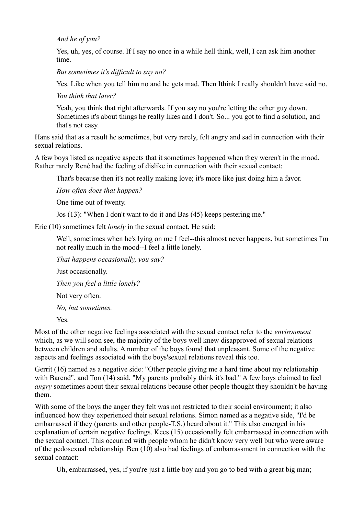#### *And he of you?*

Yes, uh, yes, of course. If I say no once in a while hell think, well, I can ask him another time.

*But sometimes it's difficult to say no?*

Yes. Like when you tell him no and he gets mad. Then Ithink I really shouldn't have said no.

*You think that later?*

Yeah, you think that right afterwards. If you say no you're letting the other guy down. Sometimes it's about things he really likes and I don't. So... you got to find a solution, and that's not easy.

Hans said that as a result he sometimes, but very rarely, felt angry and sad in connection with their sexual relations.

A few boys listed as negative aspects that it sometimes happened when they weren't in the mood. Rather rarely René had the feeling of dislike in connection with their sexual contact:

That's because then it's not really making love; it's more like just doing him a favor.

*How often does that happen?*

One time out of twenty.

Jos (13): "When I don't want to do it and Bas (45) keeps pestering me."

Eric (10) sometimes felt *lonely* in the sexual contact. He said:

Well, sometimes when he's lying on me I feel--this almost never happens, but sometimes I'm not really much in the mood--I feel a little lonely.

*That happens occasionally, you say?*

Just occasionally.

*Then you feel a little lonely?*

Not very often.

*No, but sometimes.*

Yes.

Most of the other negative feelings associated with the sexual contact refer to the *environment* which, as we will soon see, the majority of the boys well knew disapproved of sexual relations between children and adults. A number of the boys found that unpleasant. Some of the negative aspects and feelings associated with the boys'sexual relations reveal this too.

Gerrit (16) named as a negative side: "Other people giving me a hard time about my relationship with Barend", and Ton (14) said, "My parents probably think it's bad." A few boys claimed to feel *angry* sometimes about their sexual relations because other people thought they shouldn't be having them.

With some of the boys the anger they felt was not restricted to their social environment; it also influenced how they experienced their sexual relations. Simon named as a negative side, "I'd be embarrassed if they (parents and other people-T.S.) heard about it." This also emerged in his explanation of certain negative feelings. Kees (15) occasionally felt embarrassed in connection with the sexual contact. This occurred with people whom he didn't know very well but who were aware of the pedosexual relationship. Ben (10) also had feelings of embarrassment in connection with the sexual contact:

Uh, embarrassed, yes, if you're just a little boy and you go to bed with a great big man;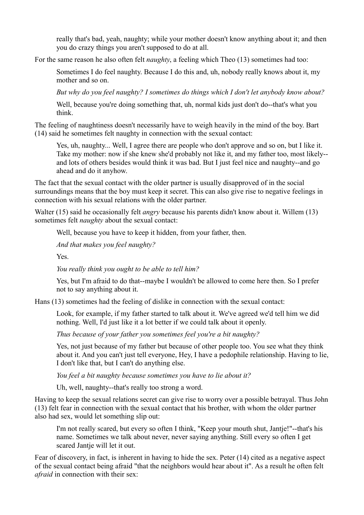really that's bad, yeah, naughty; while your mother doesn't know anything about it; and then you do crazy things you aren't supposed to do at all.

For the same reason he also often felt *naughty*, a feeling which Theo (13) sometimes had too:

Sometimes I do feel naughty. Because I do this and, uh, nobody really knows about it, my mother and so on.

*But why do you feel naughty? I sometimes do things which I don't let anybody know about?*

Well, because you're doing something that, uh, normal kids just don't do--that's what you think.

The feeling of naughtiness doesn't necessarily have to weigh heavily in the mind of the boy. Bart (14) said he sometimes felt naughty in connection with the sexual contact:

Yes, uh, naughty... Well, I agree there are people who don't approve and so on, but I like it. Take my mother: now if she knew she'd probably not like it, and my father too, most likely- and lots of others besides would think it was bad. But I just feel nice and naughty--and go ahead and do it anyhow.

The fact that the sexual contact with the older partner is usually disapproved of in the social surroundings means that the boy must keep it secret. This can also give rise to negative feelings in connection with his sexual relations with the older partner.

Walter (15) said he occasionally felt *angry* because his parents didn't know about it. Willem (13) sometimes felt *naughty* about the sexual contact:

Well, because you have to keep it hidden, from your father, then.

*And that makes you feel naughty?*

Yes.

*You really think you ought to be able to tell him?*

Yes, but I'm afraid to do that--maybe I wouldn't be allowed to come here then. So I prefer not to say anything about it.

Hans (13) sometimes had the feeling of dislike in connection with the sexual contact:

Look, for example, if my father started to talk about it. We've agreed we'd tell him we did nothing. Well, I'd just like it a lot better if we could talk about it openly.

*Thus because of your father you sometimes feel you're a bit naughty?*

Yes, not just because of my father but because of other people too. You see what they think about it. And you can't just tell everyone, Hey, I have a pedophile relationship. Having to lie, I don't like that, but I can't do anything else.

*You feel a bit naughty because sometimes you have to lie about it?*

Uh, well, naughty--that's really too strong a word.

Having to keep the sexual relations secret can give rise to worry over a possible betrayal. Thus John (13) felt fear in connection with the sexual contact that his brother, with whom the older partner also had sex, would let something slip out:

I'm not really scared, but every so often I think, "Keep your mouth shut, Jantje!"--that's his name. Sometimes we talk about never, never saying anything. Still every so often I get scared Jantje will let it out.

Fear of discovery, in fact, is inherent in having to hide the sex. Peter (14) cited as a negative aspect of the sexual contact being afraid "that the neighbors would hear about it". As a result he often felt *afraid* in connection with their sex: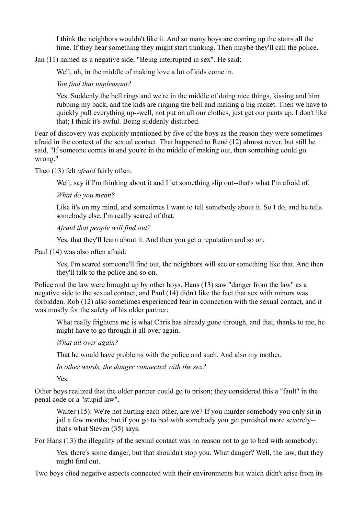I think the neighbors wouldn't like it. And so many boys are coming up the stairs all the time. If they hear something they might start thinking. Then maybe they'll call the police.

Jan (11) named as a negative side, "Being interrupted in sex". He said:

Well, uh, in the middle of making love a lot of kids come in.

*You find that unpleasant?*

Yes. Suddenly the bell rings and we're in the middle of doing nice things, kissing and him rubbing my back, and the kids are ringing the bell and making a big racket. Then we have to quickly pull everything up--well, not put on all our clothes, just get our pants up. I don't like that; I think it's awful. Being suddenly disturbed.

Fear of discovery was explicitly mentioned by five of the boys as the reason they were sometimes afraid in the context of the sexual contact. That happened to René (12) almost never, but still he said, "If someone comes in and you're in the middle of making out, then something could go wrong."

Theo (13) felt *afraid* fairly often:

Well, say if I'm thinking about it and I let something slip out--that's what I'm afraid of.

*What do you mean?*

Like it's on my mind, and sometimes I want to tell somebody about it. So I do, and he tells somebody else. I'm really scared of that.

*Afraid that people will find out?*

Yes, that they'll learn about it. And then you get a reputation and so on.

Paul (14) was also often afraid:

Yes, I'm scared someone'll find out, the neighbors will see or something like that. And then they'll talk to the police and so on.

Police and the law were brought up by other boys. Hans (13) saw "danger from the law" as a negative side to the sexual contact, and Paul (14) didn't like the fact that sex with minors was forbidden. Rob (12) also sometimes experienced fear in connection with the sexual contact, and it was mostly for the safety of his older partner:

What really frightens me is what Chris has already gone through, and that, thanks to me, he might have to go through it all over again.

*What all over again?*

That he would have problems with the police and such. And also my mother.

*In other words, the danger connected with the sex?*

Yes.

Other boys realized that the older partner could go to prison; they considered this a "fault" in the penal code or a "stupid law".

Walter (15): We're not hurting each other, are we? If you murder somebody you only sit in jail a few months; but if you go to bed with somebody you get punished more severely- that's what Steven (35) says.

For Hans (13) the illegality of the sexual contact was no reason not to go to bed with somebody:

Yes, there's some danger, but that shouldn't stop you. What danger? Well, the law, that they might find out.

Two boys cited negative aspects connected with their environments but which didn't arise from its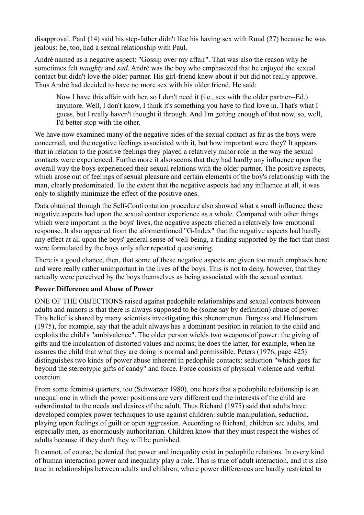disapproval. Paul (14) said his step-father didn't like his having sex with Ruud (27) because he was jealous: he, too, had a sexual relationship with Paul.

André named as a negative aspect: "Gossip over my affair". That was also the reason why he sometimes felt *naughty* and *sad*. André was the boy who emphasized that he enjoyed the sexual contact but didn't love the older partner. His girl-friend knew about it but did not really approve. Thus André had decided to have no more sex with his older friend. He said:

Now I have this affair with her, so I don't need it (i.e., sex with the older partner--Ed.) anymore. Well, I don't know, I think it's something you have to find love in. That's what I guess, but I really haven't thought it through. And I'm getting enough of that now, so, well, I'd better stop with the other.

We have now examined many of the negative sides of the sexual contact as far as the boys were concerned, and the negative feelings associated with it, but how important were they? It appears that in relation to the positive feelings they played a relatively minor role in the way the sexual contacts were experienced. Furthermore it also seems that they had hardly any influence upon the overall way the boys experienced their sexual relations with the older partner. The positive aspects, which arose out of feelings of sexual pleasure and certain elements of the boy's relationship with the man, clearly predominated. To the extent that the negative aspects had any influence at all, it was only to slightly minimize the effect of the positive ones.

Data obtained through the Self-Confrontation procedure also showed what a small influence these negative aspects had upon the sexual contact experience as a whole. Compared with other things which were important in the boys' lives, the negative aspects elicited a relatively low emotional response. It also appeared from the aformentioned "G-Index" that the negative aspects had hardly any effect at all upon the boys' general sense of well-being, a finding supported by the fact that most were formulated by the boys only after repeated questioning.

There is a good chance, then, that some of these negative aspects are given too much emphasis here and were really rather unimportant in the lives of the boys. This is not to deny, however, that they actually were perceived by the boys themselves as being associated with the sexual contact.

### **Power Difference and Abuse of Power**

ONE OF THE OBJECTIONS raised against pedophile relationships and sexual contacts between adults and minors is that there is always supposed to be (some say by definition) abuse of power. This belief is shared by many scientists investigating this phenomenon. Burgess and Holmstrom (1975), for example, say that the adult always has a dominant position in relation to the child and exploits the child's "ambivalence". The older person wields two weapons of power: the giving of gifts and the inculcation of distorted values and norms; he does the latter, for example, when he assures the child that what they are doing is normal and permissible. Peters (1976, page 425) distinguishes two kinds of power abuse inherent in pedophile contacts: seduction "which goes far beyond the stereotypic gifts of candy" and force. Force consists of physical violence and verbal coercion.

From some feminist quarters, too (Schwarzer 1980), one hears that a pedophile relationship is an unequal one in which the power positions are very different and the interests of the child are subordinated to the needs and desires of the adult. Thus Richard (1975) said that adults have developed complex power techniques to use against children: subtle manipulation, seduction, playing upon feelings of guilt or open aggression. According to Richard, children see adults, and especially men, as enormously authoritarian. Children know that they must respect the wishes of adults because if they don't they will be punished.

It cannot, of course, be denied that power and inequality exist in pedophile relations. In every kind of human interaction power and inequality play a role. This is true of adult interaction, and it is also true in relationships between adults and children, where power differences are hardly restricted to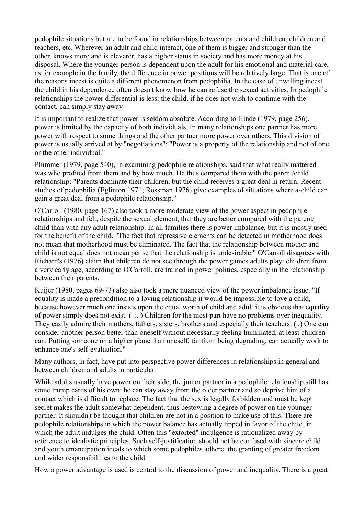pedophile situations but are to be found in relationships between parents and children, children and teachers, etc. Wherever an adult and child interact, one of them is bigger and stronger than the other, knows more and is cleverer, has a higher status in society and has more money at his disposal. Where the younger person is dependent upon the adult for his emotional and material care, as for example in the family, the difference in power positions will be relatively large. That is one of the reasons incest is quite a different phenomenon from pedophilia. In the case of unwilling incest the child in his dependence often doesn't know how he can refuse the sexual activities. In pedophile relationships the power differential is less: the child, if he does not wish to continue with the contact, can simply stay away.

It is important to realize that power is seldom absolute. According to Hinde (1979, page 256), power is limited by the capacity of both individuals. In many relationships one partner has more power with respect to some things and the other partner more power over others. This division of power is usually arrived at by "negotiations": "Power is a property of the relationship and not of one or the other individual."

Plummer (1979, page 540), in examining pedophile relationships, said that what really mattered was who profited from them and by how much. He thus compared them with the parent/child relationship: "Parents dominate their children, but the child receives a great deal in return. Recent studies of pedophilia (Eglinton 1971; Rossman 1976) give examples of situations where a-child can gain a great deal from a pedophile relationship."

O'Carroll (1980, page 167) also took a more moderate view of the power aspect in pedophile relationships and felt, despite the sexual element, that they are better compared with the parent/ child than with any adult relationship. In all families there is power imbalance, but it is mostly used for the benefit of the child. "The fact that repressive elements can be detected in motherhood does not mean that motherhood must be eliminated. The fact that the relationship between mother and child is not equal does not mean per se that the relationship is undesirable." O'Carroll disagrees with Richard's (1976) claim that children do not see through the power games adults play: children from a very early age, according to O'Carroll, are trained in power politics, especially in the relationship between their parents.

Kuijer (1980, pages 69-73) also also took a more nuanced view of the power imbalance issue. "If equality is made a precondition to a loving relationship it would be impossible to love a child, because however much one insists upon the equal worth of child and adult it is obvious that equality of power simply does not exist. ( ... ) Children for the most part have no problems over inequality. They easily admire their mothers, fathers, sisters, brothers and especially their teachers. (..) One can consider another person better than oneself without necessarily feeling humiliated, at least children can. Putting someone on a higher plane than oneself, far from being degrading, can actually work to enhance one's self-evaluation."

Many authors, in fact, have put into perspective power differences in relationships in general and between children and adults in particular.

While adults usually have power on their side, the junior partner in a pedophile relationship still has some trump cards of his own: he can stay away from the older partner and so deprive him of a contact which is difficult to replace. The fact that the sex is legally forbidden and must be kept secret makes the adult somewhat dependent, thus bestowing a degree of power on the younger partner. It shouldn't be thought that children are not in a position to make use of this. There are pedophile relationships in which the power balance has actually tipped in favor of the child, in which the adult indulges the child. Often this "extorted" indulgence is rationalized away by reference to idealistic principles. Such self-justification should not be confused with sincere child and youth emancipation ideals to which some pedophiles adhere: the granting of greater freedom and wider responsibilities to the child.

How a power advantage is used is central to the discussion of power and inequality. There is a great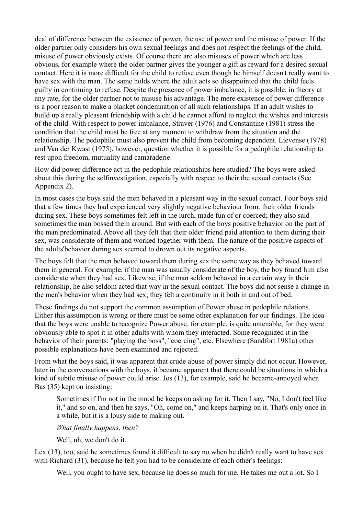deal of difference between the existence of power, the use of power and the misuse of power. If the older partner only considers his own sexual feelings and does not respect the feelings of the child, misuse of power obviously exists. Of course there are also misuses of power which are less obvious, for example where the older partner gives the younger a gift as reward for a desired sexual contact. Here it is more difficult for the child to refuse even though he himself doesn't really want to have sex with the man. The same holds where the adult acts so disappointed that the child feels guilty in continuing to refuse. Despite the presence of power imbalance, it is possible, in theory at any rate, for the older partner not to misuse his advantage. The mere existence of power difference is a poor reason to make a blanket condemnation of all such relationships. If an adult wishes to build up a really pleasant friendship with a child he cannot afford to neglect the wishes and interests of the child. With respect to power imbalance, Straver (1976) and Constantine (1981) stress the condition that the child must be free at any moment to withdraw from the situation and the relationship. The pedophile must also prevent the child from becoming dependent. Lievense (1978) and Van der Kwast (1975), however, question whether it is possible for a pedophile relationship to rest upon freedom, mutuality and camaraderie.

How did power difference act in the pedophile relationships here studied? The boys were asked about this during the selfinvestigation, especially with respect to their the sexual contacts (See Appendix 2).

In most cases the boys said the men behaved in a pleasant way in the sexual contact. Four boys said that a few times they had experienced very slightly negative behaviour from. their older friends during sex. These boys sometimes felt left in the lurch, made fun of or coerced; they also said sometimes the man bossed them around. But with each of the boys positive behavior on the part of the man predominated. Above all they felt that their older friend paid attention to them during their sex, was considerate of them and worked together with them. The nature of the positive aspects of the adults'behavior during sex seemed to drown out its negative aspects.

The boys felt that the men behaved toward them during sex the same way as they behaved toward them in general. For example, if the man was usually considerate of the boy, the boy found him also considerate when they had sex. Likewise, if the man seldom behaved in a certain way in their relationship, he also seldom acted that way in the sexual contact. The boys did not sense a change in the men's behavior when they had sex; they felt a continuity in it both in and out of bed.

These findings do not support the common assumption of Power abuse in pedophile relations. Either this assumption is wrong or there must be some other explanation for our findings. The idea that the boys were unable to recognize Power abuse, for example, is quite untenable, for they were obviously able to spot it in other adults with whom they interacted. Some recognized it in the behavior of their parents: "playing the boss", "coercing", etc. Elsewhere (Sandfort 1981a) other possible explanations have been examined and rejected.

From what the boys said, it was apparent that crude abuse of power simply did not occur. However, later in the conversations with the boys, it became apparent that there could be situations in which a kind of subtle misuse of power could arise. Jos (13), for example, said he became-annoyed when Bas (35) kept on insisting:

Sometimes if I'm not in the mood he keeps on asking for it. Then I say, "No, I don't feel like it," and so on, and then he says, "Oh, come on," and keeps harping on it. That's only once in a while, but it is a lousy side to making out.

*What finally happens, then?*

Well, uh, we don't do it.

Lex (13), too, said he sometimes found it difficult to say no when he didn't really want to have sex with Richard (31), because he felt you had to be considerate of each other's feelings:

Well, you ought to have sex, because he does so much for me. He takes me out a lot. So I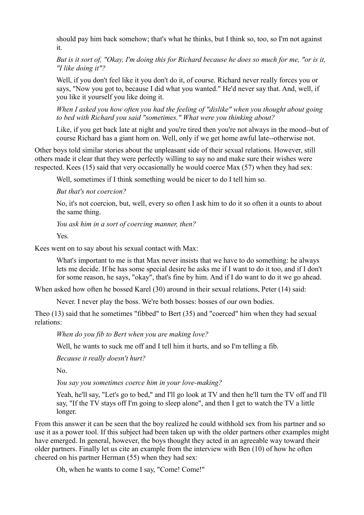should pay him back somehow; that's what he thinks, but I think so, too, so I'm not against it.

*But is it sort of, "Okay, I'm doing this for Richard because he does so much for me, "or is it, "I like doing it"?*

Well, if you don't feel like it you don't do it, of course. Richard never really forces you or says, "Now you got to, because I did what you wanted." He'd never say that. And, well, if you like it yourself you like doing it.

*When I asked you how often you had the feeling of "dislike" when you thought about going to bed with Richard you said "sometimes." What were you thinking about?*

Like, if you get back late at night and you're tired then you're not always in the mood--but of course Richard has a giant horn on. Well, only if we get home awful late--otherwise not.

Other boys told similar stories about the unpleasant side of their sexual relations. However, still others made it clear that they were perfectly willing to say no and make sure their wishes were respected. Kees (15) said that very occasionally he would coerce Max (57) when they had sex:

Well, sometimes if I think something would be nicer to do I tell him so.

*But that's not coercion?*

No, it's not coercion, but, well, every so often I ask him to do it so often it a ounts to about the same thing.

*You ask him in a sort of coercing manner, then?*

Yes.

Kees went on to say about his sexual contact with Max:

What's important to me is that Max never insists that we have to do something: he always lets me decide. If he has some special desire he asks me if I want to do it too, and if I don't for some reason, he says, "okay", that's fine by him. And if I do want to do it we go ahead.

When asked how often he bossed Karel (30) around in their sexual relations, Peter (14) said:

Never. I never play the boss. We're both bosses: bosses of our own bodies.

Theo (13) said that he sometimes "fibbed" to Bert (35) and "coerced" him when they had sexual relations:

*When do you fib to Bert when you are making love?*

Well, he wants to suck me off and I tell him it hurts, and so I'm telling a fib.

*Because it really doesn't hurt?*

No.

*You say you sometimes coerce him in your love-making?*

Yeah, he'll say, "Let's go to bed," and I'll go look at TV and then he'll turn the TV off and I'll say, "If the TV stays off I'm going to sleep alone", and then I get to watch the TV a little longer.

From this answer it can be seen that the boy realized he could withhold sex from his partner and so use it as a power tool. If this subject had been taken up with the older partners other examples might have emerged. In general, however, the boys thought they acted in an agreeable way toward their older partners. Finally let us cite an example from the interview with Ben (10) of how he often cheered on his partner Herman (55) when they had sex:

Oh, when he wants to come I say, "Come! Come!"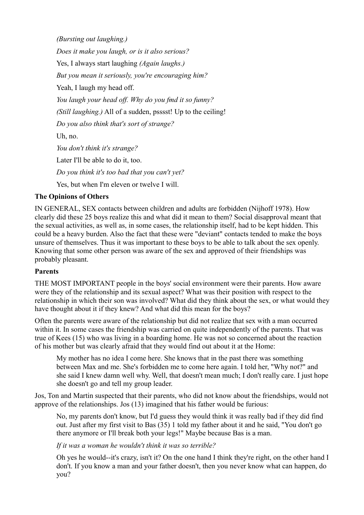*(Bursting out laughing.) Does it make you laugh, or is it also serious?* Yes, I always start laughing *(Again laughs.) But you mean it seriously, you're encouraging him?* Yeah, I laugh my head off. *You laugh your head off. Why do you fmd it so funny? (Still laughing.)* All of a sudden, psssst! Up to the ceiling! *Do you also think that's sort of strange?* Uh, no. *You don't think it's strange?* Later I'll be able to do it, too. *Do you think it's too bad that you can't yet?* Yes, but when I'm eleven or twelve I will.

### **The Opinions of Others**

IN GENERAL, SEX contacts between children and adults are forbidden (Nijhoff 1978). How clearly did these 25 boys realize this and what did it mean to them? Social disapproval meant that the sexual activities, as well as, in some cases, the relationship itself, had to be kept hidden. This could be a heavy burden. Also the fact that these were "deviant" contacts tended to make the boys unsure of themselves. Thus it was important to these boys to be able to talk about the sex openly. Knowing that some other person was aware of the sex and approved of their friendships was probably pleasant.

#### **Parents**

THE MOST IMPORTANT people in the boys' social environment were their parents. How aware were they of the relationship and its sexual aspect? What was their position with respect to the relationship in which their son was involved? What did they think about the sex, or what would they have thought about it if they knew? And what did this mean for the boys?

Often the parents were aware of the relationship but did not realize that sex with a man occurred within it. In some cases the friendship was carried on quite independently of the parents. That was true of Kees (15) who was living in a boarding home. He was not so concerned about the reaction of his mother but was clearly afraid that they would find out about it at the Home:

My mother has no idea I come here. She knows that in the past there was something between Max and me. She's forbidden me to come here again. I told her, "Why not?" and she said I knew damn well why. Well, that doesn't mean much; I don't really care. I just hope she doesn't go and tell my group leader.

Jos, Ton and Martin suspected that their parents, who did not know about the friendships, would not approve of the relationships. Jos (13) imagined that his father would be furious:

No, my parents don't know, but I'd guess they would think it was really bad if they did find out. Just after my first visit to Bas (35) 1 told my father about it and he said, "You don't go there anymore or I'll break both your legs!" Maybe because Bas is a man.

*If it was a woman he wouldn't think it was so terrible?*

Oh yes he would--it's crazy, isn't it? On the one hand I think they're right, on the other hand I don't. If you know a man and your father doesn't, then you never know what can happen, do you?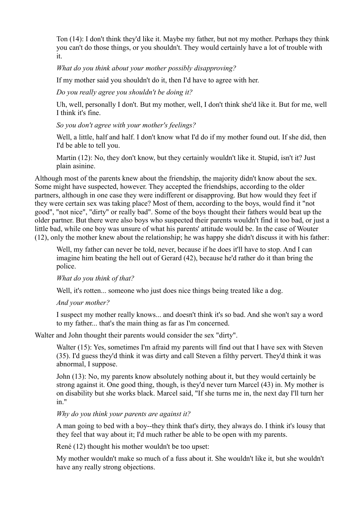Ton (14): I don't think they'd like it. Maybe my father, but not my mother. Perhaps they think you can't do those things, or you shouldn't. They would certainly have a lot of trouble with it.

*What do you think about your mother possibly disapproving?*

If my mother said you shouldn't do it, then I'd have to agree with her.

*Do you really agree you shouldn't be doing it?*

Uh, well, personally I don't. But my mother, well, I don't think she'd like it. But for me, well I think it's fine.

*So you don't agree with your mother's feelings?*

Well, a little, half and half. I don't know what I'd do if my mother found out. If she did, then I'd be able to tell you.

Martin (12): No, they don't know, but they certainly wouldn't like it. Stupid, isn't it? Just plain asinine.

Although most of the parents knew about the friendship, the majority didn't know about the sex. Some might have suspected, however. They accepted the friendships, according to the older partners, although in one case they were indifferent or disapproving. But how would they feet if they were certain sex was taking place? Most of them, according to the boys, would find it "not good", "not nice", "dirty" or really bad". Some of the boys thought their fathers would beat up the older partner. But there were also boys who suspected their parents wouldn't find it too bad, or just a little bad, while one boy was unsure of what his parents' attitude would be. In the case of Wouter (12), only the mother knew about the relationship; he was happy she didn't discuss it with his father:

Well, my father can never be told, never, because if he does it'll have to stop. And I can imagine him beating the hell out of Gerard (42), because he'd rather do it than bring the police.

*What do you think of that?*

Well, it's rotten... someone who just does nice things being treated like a dog.

*And your mother?*

I suspect my mother really knows... and doesn't think it's so bad. And she won't say a word to my father... that's the main thing as far as I'm concerned.

Walter and John thought their parents would consider the sex "dirty".

Walter (15): Yes, sometimes I'm afraid my parents will find out that I have sex with Steven (35). I'd guess they'd think it was dirty and call Steven a filthy pervert. They'd think it was abnormal, I suppose.

John (13): No, my parents know absolutely nothing about it, but they would certainly be strong against it. One good thing, though, is they'd never turn Marcel (43) in. My mother is on disability but she works black. Marcel said, "If she turns me in, the next day I'll turn her in."

*Why do you think your parents are against it?*

A man going to bed with a boy--they think that's dirty, they always do. I think it's lousy that they feel that way about it; I'd much rather be able to be open with my parents.

René (12) thought his mother wouldn't be too upset:

My mother wouldn't make so much of a fuss about it. She wouldn't like it, but she wouldn't have any really strong objections.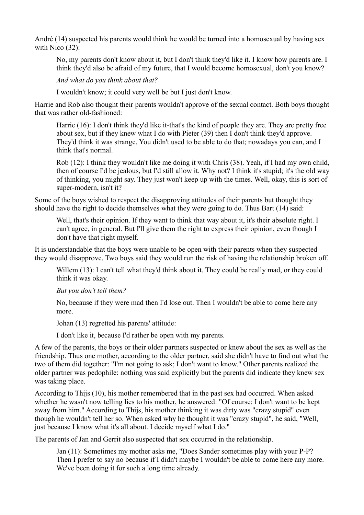André (14) suspected his parents would think he would be turned into a homosexual by having sex with Nico (32):

No, my parents don't know about it, but I don't think they'd like it. I know how parents are. I think they'd also be afraid of my future, that I would become homosexual, don't you know?

*And what do you think about that?*

I wouldn't know; it could very well be but I just don't know.

Harrie and Rob also thought their parents wouldn't approve of the sexual contact. Both boys thought that was rather old-fashioned:

Harrie (16): I don't think they'd like it-that's the kind of people they are. They are pretty free about sex, but if they knew what I do with Pieter (39) then I don't think they'd approve. They'd think it was strange. You didn't used to be able to do that; nowadays you can, and I think that's normal.

Rob (12): I think they wouldn't like me doing it with Chris (38). Yeah, if I had my own child, then of course I'd be jealous, but I'd still allow it. Why not? I think it's stupid; it's the old way of thinking, you might say. They just won't keep up with the times. Well, okay, this is sort of super-modern, isn't it?

Some of the boys wished to respect the disapproving attitudes of their parents but thought they should have the right to decide themselves what they were going to do. Thus Bart (14) said:

Well, that's their opinion. If they want to think that way about it, it's their absolute right. I can't agree, in general. But I'll give them the right to express their opinion, even though I don't have that right myself.

It is understandable that the boys were unable to be open with their parents when they suspected they would disapprove. Two boys said they would run the risk of having the relationship broken off.

Willem (13): I can't tell what they'd think about it. They could be really mad, or they could think it was okay.

*But you don't tell them?*

No, because if they were mad then I'd lose out. Then I wouldn't be able to come here any more.

Johan (13) regretted his parents' attitude:

I don't like it, because I'd rather be open with my parents.

A few of the parents, the boys or their older partners suspected or knew about the sex as well as the friendship. Thus one mother, according to the older partner, said she didn't have to find out what the two of them did together: "I'm not going to ask; I don't want to know." Other parents realized the older partner was pedophile: nothing was said explicitly but the parents did indicate they knew sex was taking place.

According to Thijs (10), his mother remembered that in the past sex had occurred. When asked whether he wasn't now telling lies to his mother, he answered: "Of course: I don't want to be kept away from him." According to Thijs, his mother thinking it was dirty was "crazy stupid" even though he wouldn't tell her so. When asked why he thought it was "crazy stupid", he said, "Well, just because I know what it's all about. I decide myself what I do."

The parents of Jan and Gerrit also suspected that sex occurred in the relationship.

Jan (11): Sometimes my mother asks me, "Does Sander sometimes play with your P-P? Then I prefer to say no because if I didn't maybe I wouldn't be able to come here any more. We've been doing it for such a long time already.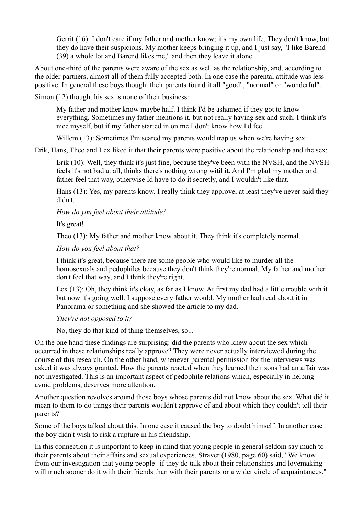Gerrit (16): I don't care if my father and mother know; it's my own life. They don't know, but they do have their suspicions. My mother keeps bringing it up, and I just say, "I like Barend (39) a whole lot and Barend likes me," and then they leave it alone.

About one-third of the parents were aware of the sex as well as the relationship, and, according to the older partners, almost all of them fully accepted both. In one case the parental attitude was less positive. In general these boys thought their parents found it all "good", "normal" or "wonderful".

Simon (12) thought his sex is none of their business:

My father and mother know maybe half. I think I'd be ashamed if they got to know everything. Sometimes my father mentions it, but not really having sex and such. I think it's nice myself, but if my father started in on me I don't know how I'd feel.

Willem (13): Sometimes I'm scared my parents would trap us when we're having sex.

Erik, Hans, Theo and Lex liked it that their parents were positive about the relationship and the sex:

Erik (10): Well, they think it's just fine, because they've been with the NVSH, and the NVSH feels it's not bad at all, thinks there's nothing wrong witil it. And I'm glad my mother and father feel that way, otherwise Id have to do it secretly, and I wouldn't like that.

Hans (13): Yes, my parents know. I really think they approve, at least they've never said they didn't.

*How do you feel about their attitude?*

It's great!

Theo (13): My father and mother know about it. They think it's completely normal.

*How do you feel about that?*

I think it's great, because there are some people who would like to murder all the homosexuals and pedophiles because they don't think they're normal. My father and mother don't feel that way, and I think they're right.

Lex (13): Oh, they think it's okay, as far as I know. At first my dad had a little trouble with it but now it's going well. I suppose every father would. My mother had read about it in Panorama or something and she showed the article to my dad.

*They're not opposed to it?*

No, they do that kind of thing themselves, so...

On the one hand these findings are surprising: did the parents who knew about the sex which occurred in these relationships really approve? They were never actually interviewed during the course of this research. On the other hand, whenever parental permission for the interviews was asked it was always granted. How the parents reacted when they learned their sons had an affair was not investigated. This is an important aspect of pedophile relations which, especially in helping avoid problems, deserves more attention.

Another question revolves around those boys whose parents did not know about the sex. What did it mean to them to do things their parents wouldn't approve of and about which they couldn't tell their parents?

Some of the boys talked about this. In one case it caused the boy to doubt himself. In another case the boy didn't wish to risk a rupture in his friendship.

In this connection it is important to keep in mind that young people in general seldom say much to their parents about their affairs and sexual experiences. Straver (1980, page 60) said, "We know from our investigation that young people--if they do talk about their relationships and lovemaking- will much sooner do it with their friends than with their parents or a wider circle of acquaintances."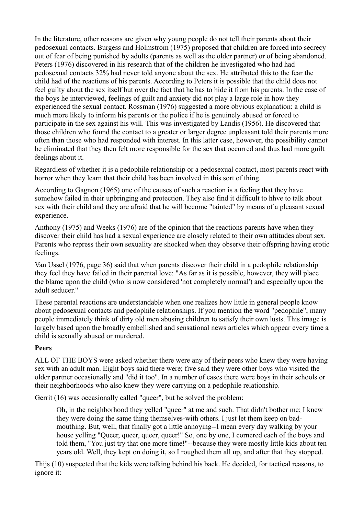In the literature, other reasons are given why young people do not tell their parents about their pedosexual contacts. Burgess and Holmstrom (1975) proposed that children are forced into secrecy out of fear of being punished by adults (parents as well as the older partner) or of being abandoned. Peters (1976) discovered in his research that of the children he investigated who had had pedosexual contacts 32% had never told anyone about the sex. He attributed this to the fear the child had of the reactions of his parents. According to Peters it is possible that the child does not feel guilty about the sex itself but over the fact that he has to hide it from his parents. In the case of the boys he interviewed, feelings of guilt and anxiety did not play a large role in how they experienced the sexual contact. Rossman (1976) suggested a more obvious explanation: a child is much more likely to inform his parents or the police if he is genuinely abused or forced to participate in the sex against his will. This was investigated by Landis (1956). He discovered that those children who found the contact to a greater or larger degree unpleasant told their parents more often than those who had responded with interest. In this latter case, however, the possibility cannot be eliminated that they then felt more responsible for the sex that occurred and thus had more guilt feelings about it.

Regardless of whether it is a pedophile relationship or a pedosexual contact, most parents react with horror when they learn that their child has been involved in this sort of thing.

According to Gagnon (1965) one of the causes of such a reaction is a feeling that they have somehow failed in their upbringing and protection. They also find it difficult to hhve to talk about sex with their child and they are afraid that he will become "tainted" by means of a pleasant sexual experience.

Anthony (1975) and Weeks (1976) are of the opinion that the reactions parents have when they discover their child has had a sexual experience are closely related to their own attitudes about sex. Parents who repress their own sexuality are shocked when they observe their offspring having erotic feelings.

Van Ussel (1976, page 36) said that when parents discover their child in a pedophile relationship they feel they have failed in their parental love: "As far as it is possible, however, they will place the blame upon the child (who is now considered 'not completely normal') and especially upon the adult seducer."

These parental reactions are understandable when one realizes how little in general people know about pedosexual contacts and pedophile relationships. If you mention the word "pedophile", many people immediately think of dirty old men abusing children to satisfy their own lusts. This image is largely based upon the broadly embellished and sensational news articles which appear every time a child is sexually abused or murdered.

### **Peers**

ALL OF THE BOYS were asked whether there were any of their peers who knew they were having sex with an adult man. Eight boys said there were; five said they were other boys who visited the older partner occasionally and "did it too". In a number of cases there were boys in their schools or their neighborhoods who also knew they were carrying on a pedophile relationship.

Gerrit (16) was occasionally called "queer", but he solved the problem:

Oh, in the neighborhood they yelled "queer" at me and such. That didn't bother me; I knew they were doing the same thing themselves-with others. I just let them keep on badmouthing. But, well, that finally got a little annoying--I mean every day walking by your house yelling "Queer, queer, queer, queer!" So, one by one, I cornered each of the boys and told them, "You just try that one more time!"--because they were mostly little kids about ten years old. Well, they kept on doing it, so I roughed them all up, and after that they stopped.

Thijs (10) suspected that the kids were talking behind his back. He decided, for tactical reasons, to ignore it: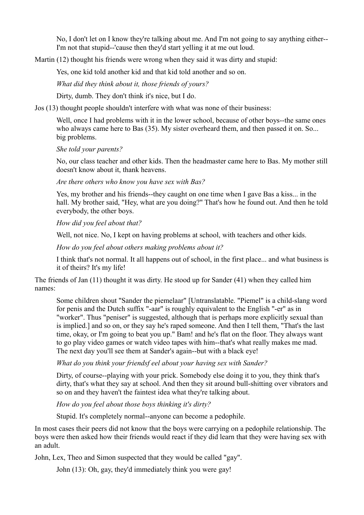No, I don't let on I know they're talking about me. And I'm not going to say anything either-- I'm not that stupid--'cause then they'd start yelling it at me out loud.

Martin (12) thought his friends were wrong when they said it was dirty and stupid:

Yes, one kid told another kid and that kid told another and so on.

*What did they think about it, those friends of yours?*

Dirty, dumb. They don't think it's nice, but I do.

Jos (13) thought people shouldn't interfere with what was none of their business:

Well, once I had problems with it in the lower school, because of other boys--the same ones who always came here to Bas (35). My sister overheard them, and then passed it on. So... big problems.

*She told your parents?*

No, our class teacher and other kids. Then the headmaster came here to Bas. My mother still doesn't know about it, thank heavens.

*Are there others who know you have sex with Bas?*

Yes, my brother and his friends--they caught on one time when I gave Bas a kiss... in the hall. My brother said, "Hey, what are you doing?" That's how he found out. And then he told everybody, the other boys.

*How did you feel about that?*

Well, not nice. No, I kept on having problems at school, with teachers and other kids.

*How do you feel about others making problems about it?*

I think that's not normal. It all happens out of school, in the first place... and what business is it of theirs? It's my life!

The friends of Jan (11) thought it was dirty. He stood up for Sander (41) when they called him names:

Some children shout "Sander the piemelaar" [Untranslatable. "Piemel" is a child-slang word for penis and the Dutch suffix "-aar" is roughly equivalent to the English "-er" as in "worker". Thus "peniser" is suggested, although that is perhaps more explicitly sexual than is implied.] and so on, or they say he's raped someone. And then I tell them, "That's the last time, okay, or I'm going to beat you up." Bam! and he's flat on the floor. They always want to go play video games or watch video tapes with him--that's what really makes me mad. The next day you'll see them at Sander's again--but with a black eye!

*What do you think your friendsf eel about your having sex with Sander?*

Dirty, of course--playing with your prick. Somebody else doing it to you, they think that's dirty, that's what they say at school. And then they sit around bull-shitting over vibrators and so on and they haven't the faintest idea what they're talking about.

*How do you feel about those boys thinking it's dirty?*

Stupid. It's completely normal--anyone can become a pedophile.

In most cases their peers did not know that the boys were carrying on a pedophile relationship. The boys were then asked how their friends would react if they did learn that they were having sex with an adult.

John, Lex, Theo and Simon suspected that they would be called "gay".

John (13): Oh, gay, they'd immediately think you were gay!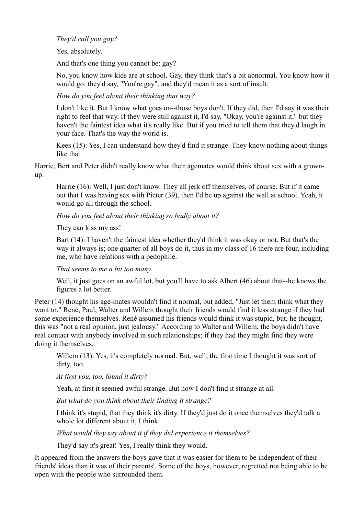*They'd call you gay?*

Yes, absolutely.

And that's one thing you cannot be: gay?

No, you know how kids are at school. Gay, they think that's a bit abnormal. You know how it would go: they'd say, "You're gay", and they'd mean it as a sort of insult.

*How do you feel about their thinking that way?*

I don't like it. But I know what goes on--those boys don't. If they did, then I'd say it was their right to feel that way. If they were still against it, I'd say, "Okay, you're against it," but they haven't the faintest idea what it's really like. But if you tried to tell them that they'd laugh in your face. That's the way the world is.

Kees (15): Yes, I can understand how they'd find it strange. They know nothing about things like that.

Harrie, Bert and Peter didn't really know what their agemates would think about sex with a grownup.

Harrie (16): Well, I just don't know. They all jerk off themselves, of course. But if it came out that I was having sex with Pieter (39), then I'd be up against the wall at school. Yeah, it would go all through the school.

### *How do you feel about their thinking so badly about it?*

They can kiss my ass!

Bart (14): I haven't the faintest idea whether they'd think it was okay or not. But that's the way it always is; one quarter of all boys do it, thus in my class of 16 there are four, including me, who have relations with a pedophile.

*That seems to me a bit too many.*

Well, it just goes on an awful lot, but you'll have to ask Albert (46) about that--he knows the figures a lot better.

Peter (14) thought his age-mates wouldn't find it normal, but added, "Just let them think what they want to." René, Paul, Walter and Willem thought their friends would find it less strange if they had some experience themselves. René assumed his friends would think it was stupid, but, he thought, this was "not a real opinion, just jealousy." According to Walter and Willem, the boys didn't have real contact with anybody involved in such relationships; if they had they might find they were doing it themselves.

Willem (13): Yes, it's completely normal. But, well, the first time I thought it was sort of dirty, too.

*At first you, too, found it dirty?*

Yeah, at first it seemed awful strange. But now I don't find it strange at all.

*But what do you think about their finding it strange?*

I think it's stupid, that they think it's dirty. If they'd just do it once themselves they'd talk a whole lot different about it, I think.

*What would they say about it if they did experience it themselves?*

They'd say it's great! Yes, I really think they would.

It appeared from the answers the boys gave that it was easier for them to be independent of their friends' ideas than it was of their parents'. Some of the boys, however, regretted not being able to be open with the people who surrounded them.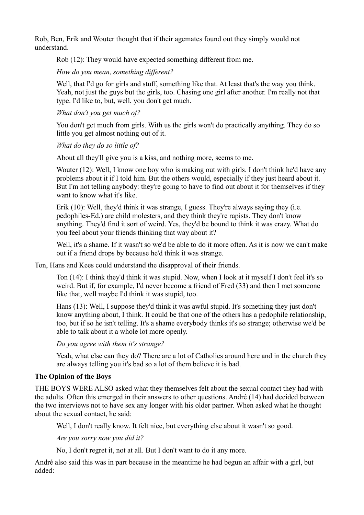Rob, Ben, Erik and Wouter thought that if their agemates found out they simply would not understand.

Rob (12): They would have expected something different from me.

*How do you mean, something different?*

Well, that I'd go for girls and stuff, something like that. At least that's the way you think. Yeah, not just the guys but the girls, too. Chasing one girl after another. I'm really not that type. I'd like to, but, well, you don't get much.

*What don't you get much of?*

You don't get much from girls. With us the girls won't do practically anything. They do so little you get almost nothing out of it.

*What do they do so little of?*

About all they'll give you is a kiss, and nothing more, seems to me.

Wouter (12): Well, I know one boy who is making out with girls. I don't think he'd have any problems about it if I told him. But the others would, especially if they just heard about it. But I'm not telling anybody: they're going to have to find out about it for themselves if they want to know what it's like.

Erik (10): Well, they'd think it was strange, I guess. They're always saying they (i.e. pedophiles-Ed.) are child molesters, and they think they're rapists. They don't know anything. They'd find it sort of weird. Yes, they'd be bound to think it was crazy. What do you feel about your friends thinking that way about it?

Well, it's a shame. If it wasn't so we'd be able to do it more often. As it is now we can't make out if a friend drops by because he'd think it was strange.

Ton, Hans and Kees could understand the disapproval of their friends.

Ton (14): I think they'd think it was stupid. Now, when I look at it myself I don't feel it's so weird. But if, for example, I'd never become a friend of Fred (33) and then I met someone like that, well maybe I'd think it was stupid, too.

Hans (13): Well, I suppose they'd think it was awful stupid. It's something they just don't know anything about, I think. It could be that one of the others has a pedophile relationship, too, but if so he isn't telling. It's a shame everybody thinks it's so strange; otherwise we'd be able to talk about it a whole lot more openly.

*Do you agree with them it's strange?*

Yeah, what else can they do? There are a lot of Catholics around here and in the church they are always telling you it's bad so a lot of them believe it is bad.

### **The Opinion of the Boys**

THE BOYS WERE ALSO asked what they themselves felt about the sexual contact they had with the adults. Often this emerged in their answers to other questions. André (14) had decided between the two interviews not to have sex any longer with his older partner. When asked what he thought about the sexual contact, he said:

Well, I don't really know. It felt nice, but everything else about it wasn't so good.

*Are you sorry now you did it?*

No, I don't regret it, not at all. But I don't want to do it any more.

André also said this was in part because in the meantime he had begun an affair with a girl, but added: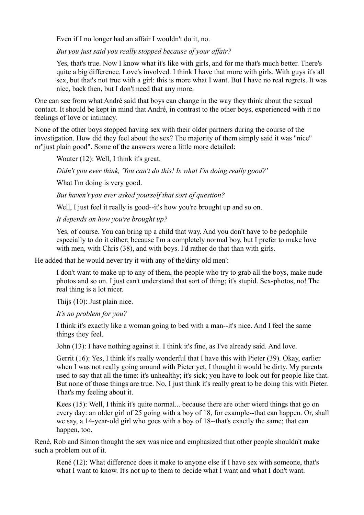Even if I no longer had an affair I wouldn't do it, no.

*But you just said you really stopped because of your affair?*

Yes, that's true. Now I know what it's like with girls, and for me that's much better. There's quite a big difference. Love's involved. I think I have that more with girls. With guys it's all sex, but that's not true with a girl: this is more what I want. But I have no real regrets. It was nice, back then, but I don't need that any more.

One can see from what André said that boys can change in the way they think about the sexual contact. It should be kept in mind that André, in contrast to the other boys, experienced with it no feelings of love or intimacy.

None of the other boys stopped having sex with their older partners during the course of the investigation. How did they feel about the sex? The majority of them simply said it was "nice" or"just plain good". Some of the answers were a little more detailed:

Wouter (12): Well, I think it's great.

*Didn't you ever think, 'You can't do this! Is what I'm doing really good?'*

What I'm doing is very good.

*But haven't you ever asked yourself that sort of question?*

Well, I just feel it really is good--it's how you're brought up and so on.

*It depends on how you're brought up?*

Yes, of course. You can bring up a child that way. And you don't have to be pedophile especially to do it either; because I'm a completely normal boy, but I prefer to make love with men, with Chris (38), and with boys. I'd rather do that than with girls.

He added that he would never try it with any of the'dirty old men':

I don't want to make up to any of them, the people who try to grab all the boys, make nude photos and so on. I just can't understand that sort of thing; it's stupid. Sex-photos, no! The real thing is a lot nicer.

Thijs (10): Just plain nice.

*It's no problem for you?*

I think it's exactly like a woman going to bed with a man--it's nice. And I feel the same things they feel.

John (13): I have nothing against it. I think it's fine, as I've already said. And love.

Gerrit (16): Yes, I think it's really wonderful that I have this with Pieter (39). Okay, earlier when I was not really going around with Pieter yet. I thought it would be dirty. My parents used to say that all the time: it's unhealthy; it's sick; you have to look out for people like that. But none of those things are true. No, I just think it's really great to be doing this with Pieter. That's my feeling about it.

Kees (15): Well, I think it's quite normal... because there are other wierd things that go on every day: an older girl of 25 going with a boy of 18, for example--that can happen. Or, shall we say, a 14-year-old girl who goes with a boy of 18--that's exactly the same; that can happen, too.

René, Rob and Simon thought the sex was nice and emphasized that other people shouldn't make such a problem out of it.

René (12): What difference does it make to anyone else if I have sex with someone, that's what I want to know. It's not up to them to decide what I want and what I don't want.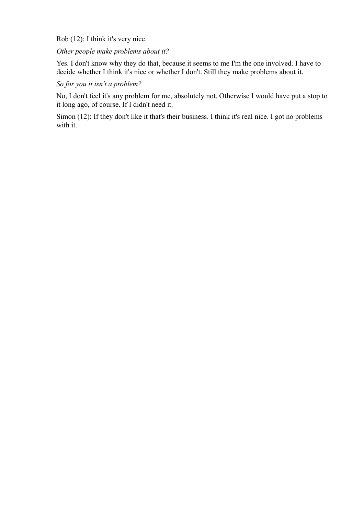Rob (12): I think it's very nice.

*Other people make problems about it?*

Yes. I don't know why they do that, because it seems to me I'm the one involved. I have to decide whether I think it's nice or whether I don't. Still they make problems about it.

#### *So for you it isn't a problem?*

No, I don't feel it's any problem for me, absolutely not. Otherwise I would have put a stop to it long ago, of course. If I didn't need it.

Simon (12): If they don't like it that's their business. I think it's real nice. I got no problems with it.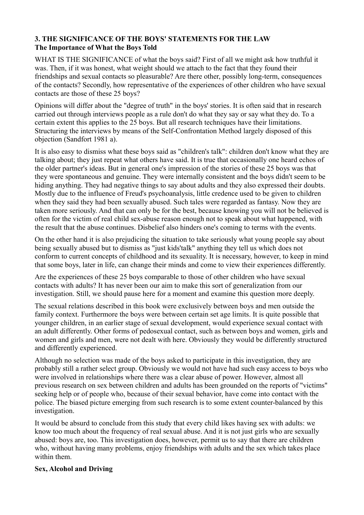### **3. THE SIGNIFICANCE OF THE BOYS' STATEMENTS FOR THE LAW The Importance of What the Boys Told**

WHAT IS THE SIGNIFICANCE of what the boys said? First of all we might ask how truthful it was. Then, if it was honest, what weight should we attach to the fact that they found their friendships and sexual contacts so pleasurable? Are there other, possibly long-term, consequences of the contacts? Secondly, how representative of the experiences of other children who have sexual contacts are those of these 25 boys?

Opinions will differ about the "degree of truth" in the boys' stories. It is often said that in research carried out through interviews people as a rule don't do what they say or say what they do. To a certain extent this applies to the 25 boys. But all research techniques have their limitations. Structuring the interviews by means of the Self-Confrontation Method largely disposed of this objection (Sandfort 1981 a).

It is also easy to dismiss what these boys said as "children's talk": children don't know what they are talking about; they just repeat what others have said. It is true that occasionally one heard echos of the older partner's ideas. But in general one's impression of the stories of these 25 boys was that they were spontaneous and genuine. They were internally consistent and the boys didn't seem to be hiding anything. They had negative things to say about adults and they also expressed their doubts. Mostly due to the influence of Freud's psychoanalysis, little credence used to be given to children when they said they had been sexually abused. Such tales were regarded as fantasy. Now they are taken more seriously. And that can only be for the best, because knowing you will not be believed is often for the victim of real child sex-abuse reason enough not to speak about what happened, with the result that the abuse continues. Disbelief also hinders one's coming to terms with the events.

On the other hand it is also prejudicing the situation to take seriously what young people say about being sexually abused but to dismiss as "just kids'talk" anything they tell us which does not conform to current concepts of childhood and its sexuality. It is necessary, however, to keep in mind that some boys, later in life, can change their minds and come to view their experiences differently.

Are the experiences of these 25 boys comparable to those of other children who have sexual contacts with adults? It has never been our aim to make this sort of generalization from our investigation. Still, we should pause here for a moment and examine this question more deeply.

The sexual relations described in this book were exclusively between boys and men outside the family context. Furthermore the boys were between certain set age limits. It is quite possible that younger children, in an earlier stage of sexual development, would experience sexual contact with an adult differently. Other forms of pedosexual contact, such as between boys and women, girls and women and girls and men, were not dealt with here. Obviously they would be differently structured and differently experienced.

Although no selection was made of the boys asked to participate in this investigation, they are probably still a rather select group. Obviously we would not have had such easy access to boys who were involved in relationships where there was a clear abuse of power. However, almost all previous research on sex between children and adults has been grounded on the reports of "victims" seeking help or of people who, because of their sexual behavior, have come into contact with the police. The biased picture emerging from such research is to some extent counter-balanced by this investigation.

It would be absurd to conclude from this study that every child likes having sex with adults: we know too much about the frequency of real sexual abuse. And it is not just girls who are sexually abused: boys are, too. This investigation does, however, permit us to say that there are children who, without having many problems, enjoy friendships with adults and the sex which takes place within them.

### **Sex, Alcohol and Driving**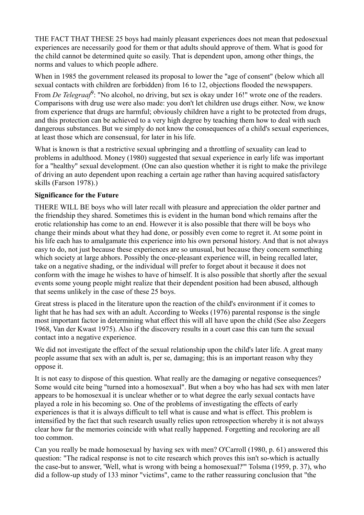THE FACT THAT THESE 25 boys had mainly pleasant experiences does not mean that pedosexual experiences are necessarily good for them or that adults should approve of them. What is good for the child cannot be determined quite so easily. That is dependent upon, among other things, the norms and values to which people adhere.

When in 1985 the government released its proposal to lower the "age of consent" (below which all sexual contacts with children are forbidden) from 16 to 12, objections flooded the newspapers. From *De Telegraaf*<sup>9</sup>: "No alcohol, no driving, but sex is okay under 16!" wrote one of the readers. Comparisons with drug use were also made: you don't let children use drugs either. Now, we know from experience that drugs are harmful; obviously children have a right to be protected from drugs, and this protection can be achieved to a very high degree by teaching them how to deal with such dangerous substances. But we simply do not know the consequences of a child's sexual experiences, at least those which are consensual, for later in his life.

What is known is that a restrictive sexual upbringing and a throttling of sexuality can lead to problems in adulthood. Money (1980) suggested that sexual experience in early life was important for a "healthy" sexual development. (One can also question whether it is right to make the privilege of driving an auto dependent upon reaching a certain age rather than having acquired satisfactory skills (Farson 1978).)

### **Significance for the Future**

THERE WILL BE boys who will later recall with pleasure and appreciation the older partner and the friendship they shared. Sometimes this is evident in the human bond which remains after the erotic relationship has come to an end. However it is also possible that there will be boys who change their minds about what they had done, or possibly even come to regret it. At some point in his life each has to amalgamate this experience into his own personal history. And that is not always easy to do, not just because these experiences are so unusual, but because they concern something which society at large abhors. Possibly the once-pleasant experience will, in being recalled later, take on a negative shading, or the individual will prefer to forget about it because it does not conform with the image he wishes to have of himself. It is also possible that shortly after the sexual events some young people might realize that their dependent position had been abused, although that seems unlikely in the case of these 25 boys.

Great stress is placed in the literature upon the reaction of the child's environment if it comes to light that he has had sex with an adult. According to Weeks (1976) parental response is the single most important factor in determining what effect this will all have upon the child (See also Zeegers 1968, Van der Kwast 1975). Also if the discovery results in a court case this can turn the sexual contact into a negative experience.

We did not investigate the effect of the sexual relationship upon the child's later life. A great many people assume that sex with an adult is, per se, damaging; this is an important reason why they oppose it.

It is not easy to dispose of this question. What really are the damaging or negative consequences? Some would cite being "turned into a homosexual". But when a boy who has had sex with men later appears to be homosexual it is unclear whether or to what degree the early sexual contacts have played a role in his becoming so. One of the problems of investigating the effects of early experiences is that it is always difficult to tell what is cause and what is effect. This problem is intensified by the fact that such research usually relies upon retrospection whereby it is not always clear how far the memories coincide with what really happened. Forgetting and recoloring are all too common.

Can you really be made homosexual by having sex with men? O'Carroll (1980, p. 61) answered this question: "The radical response is not to cite research which proves this isn't so-which is actually the case-but to answer, 'Well, what is wrong with being a homosexual?'" Tolsma (1959, p. 37), who did a follow-up study of 133 minor "victims", came to the rather reassuring conclusion that "the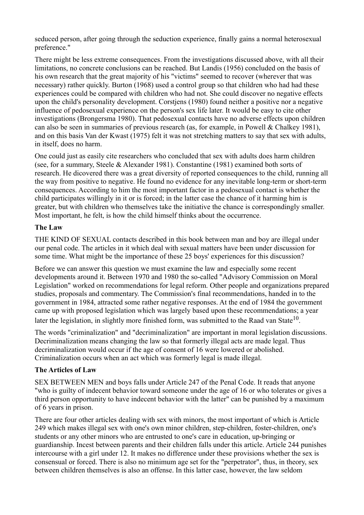seduced person, after going through the seduction experience, finally gains a normal heterosexual preference."

There might be less extreme consequences. From the investigations discussed above, with all their limitations, no concrete conclusions can be reached. But Landis (1956) concluded on the basis of his own research that the great majority of his "victims" seemed to recover (wherever that was necessary) rather quickly. Burton (1968) used a control group so that children who had had these experiences could be compared with children who had not. She could discover no negative effects upon the child's personality development. Corstjens (1980) found neither a positive nor a negative influence of pedosexual experience on the person's sex life later. It would be easy to cite other investigations (Brongersma 1980). That pedosexual contacts have no adverse effects upon children can also be seen in summaries of previous research (as, for example, in Powell & Chalkey 1981), and on this basis Van der Kwast (1975) felt it was not stretching matters to say that sex with adults, in itself, does no harm.

One could just as easily cite researchers who concluded that sex with adults does harm children (see, for a summary, Steele & Alexander 1981). Constantine (1981) examined both sorts of research. He dicovered there was a great diversity of reported consequences to the child, running all the way from positive to negative. He found no evidence for any inevitable long-term or short-term consequences. According to him the most important factor in a pedosexual contact is whether the child participates willingly in it or is forced; in the latter case the chance of it harming him is greater, but with children who themselves take the initiative the chance is correspondingly smaller. Most important, he felt, is how the child himself thinks about the occurrence.

### **The Law**

THE KIND OF SEXUAL contacts described in this book between man and boy are illegal under our penal code. The articles in it which deal with sexual matters have been under discussion for some time. What might be the importance of these 25 boys' experiences for this discussion?

Before we can answer this question we must examine the law and especially some recent developments around it. Between 1970 and 1980 the so-called "Advisory Commission on Moral Legislation" worked on recommendations for legal reform. Other people and organizations prepared studies, proposals and commentary. The Commission's final recommendations, handed in to the government in 1984, attracted some rather negative responses. At the end of 1984 the government came up with proposed legislation which was largely based upon these recommendations; a year later the legislation, in slightly more finished form, was submitted to the Raad van State<sup>10</sup>.

The words "criminalization" and "decriminalization" are important in moral legislation discussions. Decriminalization means changing the law so that formerly illegal acts are made legal. Thus decriminalization would occur if the age of consent of 16 were lowered or abolished. Criminalization occurs when an act which was formerly legal is made illegal.

### **The Articles of Law**

SEX BETWEEN MEN and boys falls under Article 247 of the Penal Code. It reads that anyone "who is guilty of indecent behavior toward someone under the age of 16 or who tolerates or gives a third person opportunity to have indecent behavior with the latter" can be punished by a maximum of 6 years in prison.

There are four other articles dealing with sex with minors, the most important of which is Article 249 which makes illegal sex with one's own minor children, step-children, foster-children, one's students or any other minors who are entrusted to one's care in education, up-bringing or guardianship. Incest between parents and their children falls under this article. Article 244 punishes intercourse with a girl under 12. It makes no difference under these provisions whether the sex is consensual or forced. There is also no minimum age set for the "perpetrator", thus, in theory, sex between children themselves is also an offense. In this latter case, however, the law seldom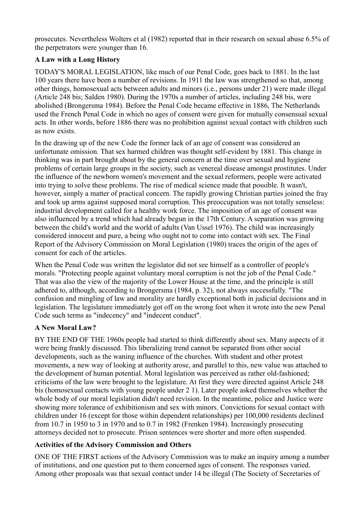prosecutes. Nevertheless Wolters et al (1982) reported that in their research on sexual abuse 6.5% of the perpetrators were younger than 16.

### **A Law with a Long History**

TODAY'S MORAL LEGISLATION, like much of our Penal Code, goes back to 1881. In the last 100 years there have been a number of revisions. In 1911 the law was strengthened so that, among other things, homosexual acts between adults and minors (i.e., persons under 21) were made illegal (Article 248 bis; Salden 1980). During the 1970s a number of articles, including 248 bis, were abolished (Brongersma 1984). Before the Penal Code became effective in 1886, The Netherlands used the French Penal Code in which no ages of consent were given for mutually consensual sexual acts. In other words, before 1886 there was no prohibition against sexual contact with children such as now exists.

In the drawing up of the new Code the former lack of an age of consent was considered an unfortunate omission. That sex harmed children was thought self-evident by 1881. This change in thinking was in part brought about by the general concern at the time over sexual and hygiene problems of certain large groups in the society, such as venereal disease amongst prostitutes. Under the influence of the newborn women's movement and the sexual reformers, people were activated into trying to solve these problems. The rise of medical science made that possible. It wasn't, however, simply a matter of practical concern. The rapidly growing Christian parties joined the fray and took up arms against supposed moral corruption. This preoccupation was not totally senseless: industrial development called for a healthy work force. The imposition of an age of consent was also influenced by a trend which had already begun in the 17th Century. A separation was growing between the child's world and the world of adults (Van Ussel 1976). The child was increasingly considered innocent and pure, a being who ought not to come into contact with sex. The Final Report of the Advisory Commission on Moral Legislation (1980) traces the origin of the ages of consent for each of the articles.

When the Penal Code was written the legislator did not see himself as a controller of people's morals. "Protecting people against voluntary moral corruption is not the job of the Penal Code." That was also the view of the majority of the Lower House at the time, and the principle is still adhered to, although, according to Brongersma (1984, p. 32), not always successfully. "The confusion and mingling of law and morality are hardly exceptional both in judicial decisions and in legislation. The legislature immediately got off on the wrong foot when it wrote into the new Penal Code such terms as "indecency" and "indecent conduct".

### **A New Moral Law?**

BY THE END OF THE 1960s people had started to think differently about sex. Many aspects of it were being frankly discussed. This liberalizing trend cannot be separated from other social developments, such as the waning influence of the churches. With student and other protest movements, a new way of looking at authority arose, and parallel to this, new value was attached to the development of human potential. Moral legislation was perceived as rather old-fashioned; criticisms of the law were brought to the legislature. At first they were directed against Article 248 bis (homosexual contacts with young people under 2 1). Later people asked themselves whether the whole body of our moral legislation didn't need revision. In the meantime, police and Justice were showing more tolerance of exhibitionism and sex with minors. Convictions for sexual contact with children under 16 (except for those within dependent relationships) per 100,000 residents declined from 10.7 in 1950 to 3 in 1970 and to 0.7 in 1982 (Frenken 1984). Increasingly prosecuting attorneys decided not to prosecute. Prison sentences were shorter and more often suspended.

### **Activities of the Advisory Commission and Others**

ONE OF THE FIRST actions of the Advisory Commission was to make an inquiry among a number of institutions, and one question put to them concerned ages of consent. The responses varied. Among other proposals was that sexual contact under 14 be illegal (The Society of Secretaries of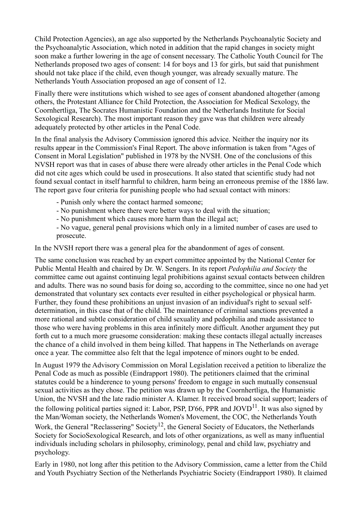Child Protection Agencies), an age also supported by the Netherlands Psychoanalytic Society and the Psychoanalytic Association, which noted in addition that the rapid changes in society might soon make a further lowering in the age of consent necessary. The Catholic Youth Council for The Netherlands proposed two ages of consent: 14 for boys and 13 for girls, but said that punishment should not take place if the child, even though younger, was already sexually mature. The Netherlands Youth Association proposed an age of consent of 12.

Finally there were institutions which wished to see ages of consent abandoned altogether (among others, the Protestant Alliance for Child Protection, the Association for Medical Sexology, the Coornhertliga, The Socrates Humanistic Foundation and the Netherlands Institute for Social Sexological Research). The most important reason they gave was that children were already adequately protected by other articles in the Penal Code.

In the final analysis the Advisory Commission ignored this advice. Neither the inquiry nor its results appear in the Commission's Final Report. The above information is taken from "Ages of Consent in Moral Legislation" published in 1978 by the NVSH. One of the conclusions of this NVSH report was that in cases of abuse there were already other articles in the Penal Code which did not cite ages which could be used in prosecutions. It also stated that scientific study had not found sexual contact in itself harmful to children, harm being an erroneous premise of the 1886 law. The report gave four criteria for punishing people who had sexual contact with minors:

- Punish only where the contact harmed someone;
- No punishment where there were better ways to deal with the situation;
- No punishment which causes more harm than the illegal act;
- No vague, general penal provisions which only in a limited number of cases are used to prosecute.

In the NVSH report there was a general plea for the abandonment of ages of consent.

The same conclusion was reached by an expert committee appointed by the National Center for Public Mental Health and chaired by Dr. W. Sengers. In its report *Pedophilia and Society* the committee came out against continuing legal prohibitions against sexual contacts between children and adults. There was no sound basis for doing so, according to the committee, since no one had yet demonstrated that voluntary sex contacts ever resulted in either psychological or physical harm. Further, they found these prohibitions an unjust invasion of an individual's right to sexual selfdetermination, in this case that of the child. The maintenance of criminal sanctions prevented a more rational and subtle consideration of child sexuality and pedophilia and made assistance to those who were having problems in this area infinitely more difficult. Another argument they put forth cut to a much more gruesome consideration: making these contacts illegal actually increases the chance of a child involved in them being killed. That happens in The Netherlands on average once a year. The committee also felt that the legal impotence of minors ought to be ended.

In August 1979 the Advisory Commission on Moral Legislation received a petition to liberalize the Penal Code as much as possible (Eindrapport 1980). The petitioners claimed that the criminal statutes could be a hinderence to young persons' freedom to engage in such mutually consensual sexual activities as they chose. The petition was drawn up by the Coornhertliga, the Humanistic Union, the NVSH and the late radio minister A. Klamer. It received broad social support; leaders of the following political parties signed it: Labor, PSP, D'66, PPR and  $JOVD<sup>11</sup>$ . It was also signed by the Man/Woman society, the Netherlands Women's Movement, the COC, the Netherlands Youth Work, the General "Reclassering" Society<sup>12</sup>, the General Society of Educators, the Netherlands Society for SocioSexological Research, and lots of other organizations, as well as many influential individuals including scholars in philosophy, criminology, penal and child law, psychiatry and psychology.

Early in 1980, not long after this petition to the Advisory Commission, came a letter from the Child and Youth Psychiatry Section of the Netherlands Psychiatric Society (Eindrapport 1980). It claimed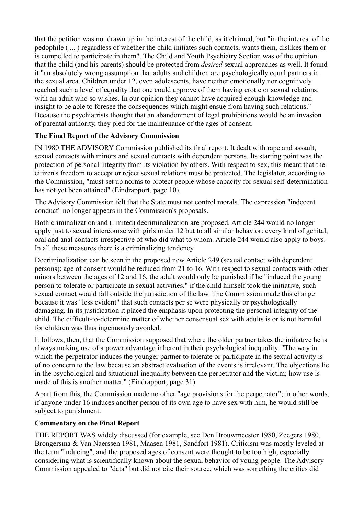that the petition was not drawn up in the interest of the child, as it claimed, but "in the interest of the pedophile ( ... ) regardless of whether the child initiates such contacts, wants them, dislikes them or is compelled to participate in them". The Child and Youth Psychiatry Section was of the opinion that the child (and his parents) should be protected from *desired* sexual approaches as well. It found it "an absolutely wrong assumption that adults and children are psychologically equal partners in the sexual area. Children under 12, even adolescents, have neither emotionally nor cognitively reached such a level of equality that one could approve of them having erotic or sexual relations. with an adult who so wishes. In our opinion they cannot have acquired enough knowledge and insight to be able to foresee the consequences which might ensue from having such relations." Because the psychiatrists thought that an abandonment of legal prohibitions would be an invasion of parental authority, they pled for the maintenance of the ages of consent.

### **The Final Report of the Advisory Commission**

IN 1980 THE ADVISORY Commission published its final report. It dealt with rape and assault, sexual contacts with minors and sexual contacts with dependent persons. Its starting point was the protection of personal integrity from its violation by others. With respect to sex, this meant that the citizen's freedom to accept or reject sexual relations must be protected. The legislator, according to the Commission, "must set up norms to protect people whose capacity for sexual self-determination has not yet been attained" (Eindrapport, page 10).

The Advisory Commission felt that the State must not control morals. The expression "indecent conduct" no longer appears in the Commission's proposals.

Both criminalization and (limited) decriminalization are proposed. Article 244 would no longer apply just to sexual intercourse with girls under 12 but to all similar behavior: every kind of genital, oral and anal contacts irrespective of who did what to whom. Article 244 would also apply to boys. In all these measures there is a criminalizing tendency.

Decriminalization can be seen in the proposed new Article 249 (sexual contact with dependent persons): age of consent would be reduced from 21 to 16. With respect to sexual contacts with other minors between the ages of 12 and 16, the adult would only be punished if he "induced the young person to tolerate or participate in sexual activities." if the child himself took the initiative, such sexual contact would fall outside the jurisdiction of the law. The Commission made this change because it was "less evident" that such contacts per se were physically or psychologically damaging. In its justification it placed the emphasis upon protecting the personal integrity of the child. The difficult-to-determine matter of whether consensual sex with adults is or is not harmful for children was thus ingenuously avoided.

It follows, then, that the Commission supposed that where the older partner takes the initiative he is always making use of a power advantage inherent in their psychological inequality. "The way in which the perpetrator induces the younger partner to tolerate or participate in the sexual activity is of no concern to the law because an abstract evaluation of the events is irrelevant. The objections lie in the psychological and situational inequality between the perpetrator and the victim; how use is made of this is another matter." (Eindrapport, page 31)

Apart from this, the Commission made no other "age provisions for the perpetrator"; in other words, if anyone under 16 induces another person of its own age to have sex with him, he would still be subject to punishment.

### **Commentary on the Final Report**

THE REPORT WAS widely discussed (for example, see Den Brouwmeester 1980, Zeegers 1980, Brongersma & Van Naerssen 1981, Maasen 1981, Sandfort 1981). Criticism was mostly leveled at the term "inducing", and the proposed ages of consent were thought to be too high, especially considering what is scientifically known about the sexual behavior of young people. The Advisory Commission appealed to "data" but did not cite their source, which was something the critics did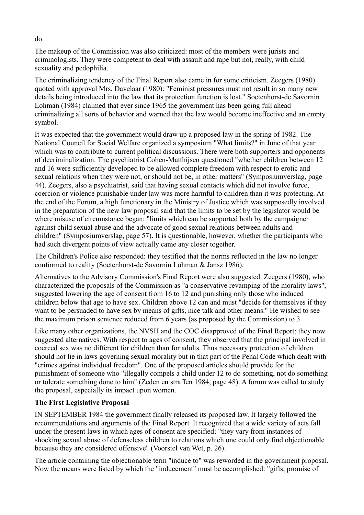The makeup of the Commission was also criticized: most of the members were jurists and criminologists. They were competent to deal with assault and rape but not, really, with child sexuality and pedophilia.

The criminalizing tendency of the Final Report also came in for some criticism. Zeegers (1980) quoted with approval Mrs. Davelaar (1980): "Feminist pressures must not result in so many new details being introduced into the law that its protection function is lost." Soetenhorst-de Savornin Lohman (1984) claimed that ever since 1965 the government has been going full ahead criminalizing all sorts of behavior and warned that the law would become ineffective and an empty symbol.

It was expected that the government would draw up a proposed law in the spring of 1982. The National Council for Social Welfare organized a symposium "What limits?" in June of that year which was to contribute to current political discussions. There were both supporters and opponents of decriminalization. The psychiatrist Cohen-Matthijsen questioned "whether children between 12 and 16 were sufficiently developed to be allowed complete freedom with respect to erotic and sexual relations when they were not, or should not be, in other matters" (Symposiumverslag, page 44). Zeegers, also a psychiatrist, said that having sexual contacts which did not involve force, coercion or violence punishable under law was more harmful to children than it was protecting. At the end of the Forum, a high functionary in the Ministry of Justice which was supposedly involved in the preparation of the new law proposal said that the limits to be set by the legislator would be where misuse of circumstance began: "limits which can be supported both by the campaigner against child sexual abuse and the advocate of good sexual relations between adults and children" (Symposiumverslag, page 57). It is questionable, however, whether the participants who had such divergent points of view actually came any closer together.

The Children's Police also responded: they testified that the norms reflected in the law no longer conformed to reality (Soetenhorst-de Savornin Lohman & Jansz 1986).

Alternatives to the Advisory Commission's Final Report were also suggested. Zeegers (1980), who characterized the proposals of the Commission as "a conservative revamping of the morality laws", suggested lowering the age of consent from 16 to 12 and punishing only those who induced children below that age to have sex. Children above 12 can and must "decide for themselves if they want to be persuaded to have sex by means of gifts, nice talk and other means." He wished to see the maximum prison sentence reduced from 6 years (as proposed by the Commission) to 3.

Like many other organizations, the NVSH and the COC disapproved of the Final Report; they now suggested alternatives. With respect to ages of consent, they observed that the principal involved in coerced sex was no different for children than for adults. Thus necessary protection of children should not lie in laws governing sexual morality but in that part of the Penal Code which dealt with "crimes against individual freedom". One of the proposed articles should provide for the punishment of someone who "illegally compels a child under 12 to do something, not do something or tolerate something done to him" (Zeden en straffen 1984, page 48). A forum was called to study the proposal, especially its impact upon women.

### **The First Legislative Proposal**

IN SEPTEMBER 1984 the government finally released its proposed law. It largely followed the recommendations and arguments of the Final Report. It recognized that a wide variety of acts fall under the present laws in which ages of consent are specified; "they vary from instances of shocking sexual abuse of defenseless children to relations which one could only find objectionable because they are considered offensive" (Voorstel van Wet, p. 26).

The article containing the objectionable term "induce to" was reworded in the government proposal. Now the means were listed by which the "inducement" must be accomplished: "gifts, promise of

do.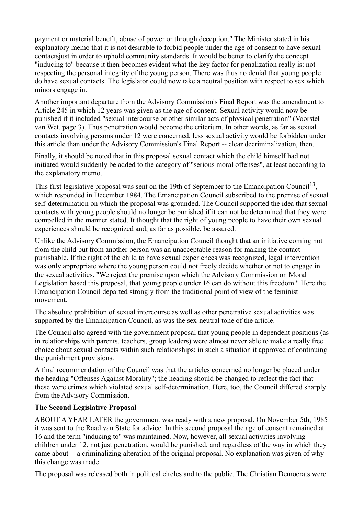payment or material benefit, abuse of power or through deception." The Minister stated in his explanatory memo that it is not desirable to forbid people under the age of consent to have sexual contactsjust in order to uphold community standards. It would be better to clarify the concept "inducing to" because it then becomes evident what the key factor for penalization really is: not respecting the personal integrity of the young person. There was thus no denial that young people do have sexual contacts. The legislator could now take a neutral position with respect to sex which minors engage in.

Another important departure from the Advisory Commission's Final Report was the amendment to Article 245 in which 12 years was given as the age of consent. Sexual activity would now be punished if it included "sexual intercourse or other similar acts of physical penetration" (Voorstel van Wet, page 3). Thus penetration would become the criterium. In other words, as far as sexual contacts involving persons under 12 were concerned, less sexual activity would be forbidden under this article than under the Advisory Commission's Final Report -- clear decriminalization, then.

Finally, it should be noted that in this proposal sexual contact which the child himself had not initiated would suddenly be added to the category of "serious moral offenses", at least according to the explanatory memo.

This first legislative proposal was sent on the 19th of September to the Emancipation Council<sup>13</sup>, which responded in December 1984. The Emancipation Council subscribed to the premise of sexual self-determination on which the proposal was grounded. The Council supported the idea that sexual contacts with young people should no longer be punished if it can not be determined that they were compelled in the manner stated. It thought that the right of young people to have their own sexual experiences should be recognized and, as far as possible, be assured.

Unlike the Advisory Commission, the Emancipation Council thought that an initiative coming not from the child but from another person was an unacceptable reason for making the contact punishable. If the right of the child to have sexual experiences was recognized, legal intervention was only appropriate where the young person could not freely decide whether or not to engage in the sexual activities. "We reject the premise upon which the Advisory Commission on Moral Legislation based this proposal, that young people under 16 can do without this freedom." Here the Emancipation Council departed strongly from the traditional point of view of the feminist movement.

The absolute prohibition of sexual intercourse as well as other penetrative sexual activities was supported by the Emancipation Council, as was the sex-neutral tone of the article.

The Council also agreed with the government proposal that young people in dependent positions (as in relationships with parents, teachers, group leaders) were almost never able to make a really free choice about sexual contacts within such relationships; in such a situation it approved of continuing the punishment provisions.

A final recommendation of the Council was that the articles concerned no longer be placed under the heading "Offenses Against Morality"; the heading should be changed to reflect the fact that these were crimes which violated sexual self-determination. Here, too, the Council differed sharply from the Advisory Commission.

### **The Second Legislative Proposal**

ABOUT A YEAR LATER the government was ready with a new proposal. On November 5th, 1985 it was sent to the Raad van State for advice. In this second proposal the age of consent remained at 16 and the term "inducing to" was maintained. Now, however, all sexual activities involving children under 12, not just penetration, would be punished, and regardless of the way in which they came about -- a criminalizing alteration of the original proposal. No explanation was given of why this change was made.

The proposal was released both in political circles and to the public. The Christian Democrats were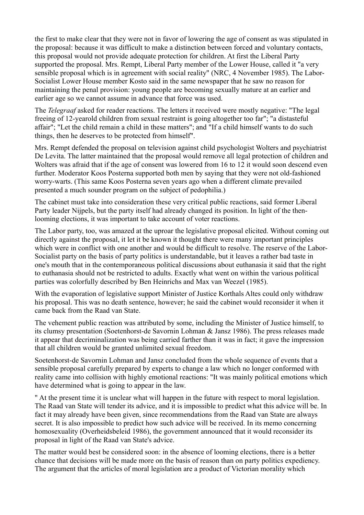the first to make clear that they were not in favor of lowering the age of consent as was stipulated in the proposal: because it was difficult to make a distinction between forced and voluntary contacts, this proposal would not provide adequate protection for children. At first the Liberal Party supported the proposal. Mrs. Rempt, Liberal Party member of the Lower House, called it "a very sensible proposal which is in agreement with social reality" (NRC, 4 November 1985). The Labor-Socialist Lower House member Kosto said in the same newspaper that he saw no reason for maintaining the penal provision: young people are becoming sexually mature at an earlier and earlier age so we cannot assume in advance that force was used.

The *Telegraaf* asked for reader reactions. The letters it received were mostly negative: "The legal freeing of 12-yearold children from sexual restraint is going altogether too far"; "a distasteful affair"; "Let the child remain a child in these matters"; and "If a child himself wants to do such things, then he deserves to be protected from himself".

Mrs. Rempt defended the proposal on television against child psychologist Wolters and psychiatrist De Levita. The latter maintained that the proposal would remove all legal protection of children and Wolters was afraid that if the age of consent was lowered from 16 to 12 it would soon descend even further. Moderator Koos Posterna supported both men by saying that they were not old-fashioned worry-warts. (This same Koos Posterna seven years ago when a different climate prevailed presented a much sounder program on the subject of pedophilia.)

The cabinet must take into consideration these very critical public reactions, said former Liberal Party leader Nijpels, but the party itself had already changed its position. In light of the thenlooming elections, it was important to take account of voter reactions.

The Labor party, too, was amazed at the uproar the legislative proposal elicited. Without coming out directly against the proposal, it let it be known it thought there were many important principles which were in conflict with one another and would be difficult to resolve. The reserve of the Labor-Socialist party on the basis of party politics is understandable, but it leaves a rather bad taste in one's mouth that in the contemporaneous political discussions about euthanasia it said that the right to euthanasia should not be restricted to adults. Exactly what went on within the various political parties was colorfully described by Ben Heinrichs and Max van Weezel (1985).

With the evaporation of legislative support Minister of Justice Korthals Altes could only withdraw his proposal. This was no death sentence, however; he said the cabinet would reconsider it when it came back from the Raad van State.

The vehement public reaction was attributed by some, including the Minister of Justice himself, to its clumsy presentation (Soetenhorst-de Savornin Lohman & Jansz 1986). The press releases made it appear that decriminalization was being carried farther than it was in fact; it gave the impression that all children would be granted unlimited sexual freedom.

Soetenhorst-de Savornin Lohman and Jansz concluded from the whole sequence of events that a sensible proposal carefully prepared by experts to change a law which no longer conformed with reality came into collision with highly emotional reactions: "It was mainly political emotions which have determined what is going to appear in the law.

" At the present time it is unclear what will happen in the future with respect to moral legislation. The Raad van State will tender its advice, and it is impossible to predict what this advice will be. In fact it may already have been given, since recommendations from the Raad van State are always secret. It is also impossible to predict how such advice will be received. In its memo concerning homosexuality (Overheidsbeleid 1986), the government announced that it would reconsider its proposal in light of the Raad van State's advice.

The matter would best be considered soon: in the absence of looming elections, there is a better chance that decisions will be made more on the basis of reason than on party politics expediency. The argument that the articles of moral legislation are a product of Victorian morality which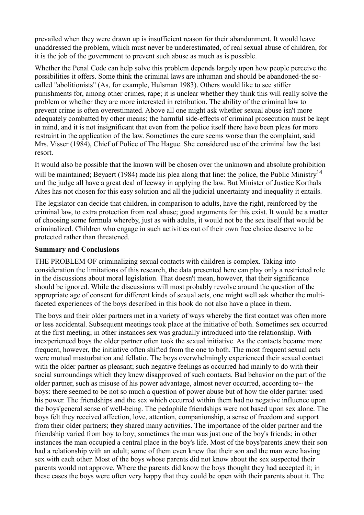prevailed when they were drawn up is insufficient reason for their abandonment. It would leave unaddressed the problem, which must never be underestimated, of real sexual abuse of children, for it is the job of the government to prevent such abuse as much as is possible.

Whether the Penal Code can help solve this problem depends largely upon how people perceive the possibilities it offers. Some think the criminal laws are inhuman and should be abandoned-the socalled "abolitionists" (As, for example, Hulsman 1983). Others would like to see stiffer punishments for, among other crimes, rape; it is unclear whether they think this will really solve the problem or whether they are more interested in retribution. The ability of the criminal law to prevent crime is often overestimated. Above all one might ask whether sexual abuse isn't more adequately combatted by other means; the harmful side-effects of criminal prosecution must be kept in mind, and it is not insignificant that even from the police itself there have been pleas for more restraint in the application of the law. Sometimes the cure seems worse than the complaint, said Mrs. Visser (1984), Chief of Police of The Hague. She considered use of the criminal law the last resort.

It would also be possible that the known will be chosen over the unknown and absolute prohibition will be maintained; Beyaert (1984) made his plea along that line: the police, the Public Ministry<sup>14</sup> and the judge all have a great deal of leeway in applying the law. But Minister of Justice Korthals Altes has not chosen for this easy solution and all the judicial uncertainty and inequality it entails.

The legislator can decide that children, in comparison to adults, have the right, reinforced by the criminal law, to extra protection from real abuse; good arguments for this exist. It would be a matter of choosing some formula whereby, just as with adults, it would not be the sex itself that would be criminalized. Children who engage in such activities out of their own free choice deserve to be protected rather than threatened.

#### **Summary and Conclusions**

THE PROBLEM OF criminalizing sexual contacts with children is complex. Taking into consideration the limitations of this research, the data presented here can play only a restricted role in the discussions about moral legislation. That doesn't mean, however, that their significance should be ignored. While the discussions will most probably revolve around the question of the appropriate age of consent for different kinds of sexual acts, one might well ask whether the multifaceted experiences of the boys described in this book do not also have a place in them.

The boys and their older partners met in a variety of ways whereby the first contact was often more or less accidental. Subsequent meetings took place at the initiative of both. Sometimes sex occurred at the first meeting; in other instances sex was gradually introduced into the relationship. With inexperienced boys the older partner often took the sexual initiative. As the contacts became more frequent, however, the initiative often shifted from the one to both. The most frequent sexual acts were mutual masturbation and fellatio. The boys overwhelmingly experienced their sexual contact with the older partner as pleasant; such negative feelings as occurred had mainly to do with their social surroundings which they knew disapproved of such contacts. Bad behavior on the part of the older partner, such as misuse of his power advantage, almost never occurred, according to $\sim$  the boys: there seemed to be not so much a question of power abuse but of how the older partner used his power. The friendships and the sex which occurred within them had no negative influence upon the boys'general sense of well-being. The pedophile friendships were not based upon sex alone. The boys felt they received affection, love, attention, companionship, a sense of freedom and support from their older partners; they shared many activities. The importance of the older partner and the friendship varied from boy to boy; sometimes the man was just one of the boy's friends; in other instances the man occupied a central place in the boy's life. Most of the boys'parents knew their son had a relationship with an adult; some of them even knew that their son and the man were having sex with each other. Most of the boys whose parents did not know about the sex suspected their parents would not approve. Where the parents did know the boys thought they had accepted it; in these cases the boys were often very happy that they could be open with their parents about it. The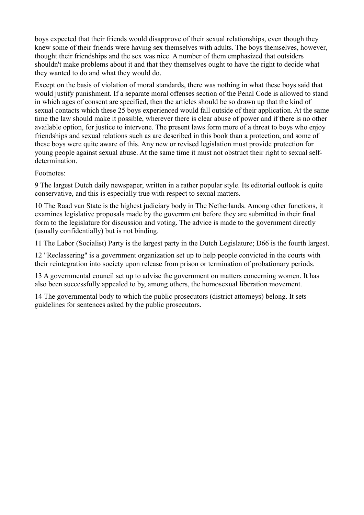boys expected that their friends would disapprove of their sexual relationships, even though they knew some of their friends were having sex themselves with adults. The boys themselves, however, thought their friendships and the sex was nice. A number of them emphasized that outsiders shouldn't make problems about it and that they themselves ought to have the right to decide what they wanted to do and what they would do.

Except on the basis of violation of moral standards, there was nothing in what these boys said that would justify punishment. If a separate moral offenses section of the Penal Code is allowed to stand in which ages of consent are specified, then the articles should be so drawn up that the kind of sexual contacts which these 25 boys experienced would fall outside of their application. At the same time the law should make it possible, wherever there is clear abuse of power and if there is no other available option, for justice to intervene. The present laws form more of a threat to boys who enjoy friendships and sexual relations such as are described in this book than a protection, and some of these boys were quite aware of this. Any new or revised legislation must provide protection for young people against sexual abuse. At the same time it must not obstruct their right to sexual selfdetermination.

Footnotes:

9 The largest Dutch daily newspaper, written in a rather popular style. Its editorial outlook is quite conservative, and this is especially true with respect to sexual matters.

10 The Raad van State is the highest judiciary body in The Netherlands. Among other functions, it examines legislative proposals made by the governm ent before they are submitted in their final form to the legislature for discussion and voting. The advice is made to the government directly (usually confidentially) but is not binding.

11 The Labor (Socialist) Party is the largest party in the Dutch Legislature; D66 is the fourth largest.

12 "Reclassering" is a government organization set up to help people convicted in the courts with their reintegration into society upon release from prison or termination of probationary periods.

13 A governmental council set up to advise the government on matters concerning women. It has also been successfully appealed to by, among others, the homosexual liberation movement.

14 The governmental body to which the public prosecutors (district attorneys) belong. It sets guidelines for sentences asked by the public prosecutors.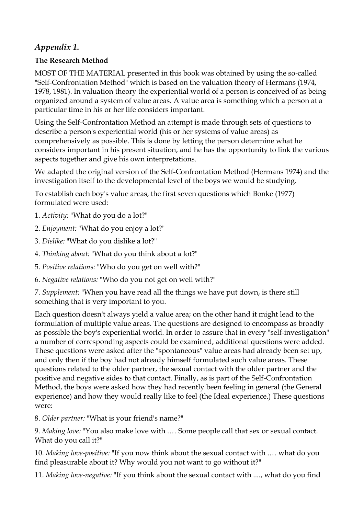# *Appendix 1.*

### **The Research Method**

MOST OF THE MATERIAL presented in this book was obtained by using the so-called "Self-Confrontation Method" which is based on the valuation theory of Hermans (1974, 1978, 1981). In valuation theory the experiential world of a person is conceived of as being organized around a system of value areas. A value area is something which a person at a particular time in his or her life considers important.

Using the Self-Confrontation Method an attempt is made through sets of questions to describe a person's experiential world (his or her systems of value areas) as comprehensively as possible. This is done by letting the person determine what he considers important in his present situation, and he has the opportunity to link the various aspects together and give his own interpretations.

We adapted the original version of the Self-Confrontation Method (Hermans 1974) and the investigation itself to the developmental level of the boys we would be studying.

To establish each boy's value areas, the first seven questions which Bonke (1977) formulated were used:

- 1. *Activity:* "What do you do a lot?"
- 2. *Enjoyment:* "What do you enjoy a lot?"
- 3. *Dislike:* "What do you dislike a lot?"
- 4. *Thinking about:* "What do you think about a lot?"
- 5. *Positive relations:* "Who do you get on well with?"
- 6. *Negative relations:* "Who do you not get on well with?"

7. *Supplement:* "When you have read all the things we have put down, is there still something that is very important to you.

Each question doesn't always yield a value area; on the other hand it might lead to the formulation of multiple value areas. The questions are designed to encompass as broadly as possible the boy's experiential world. In order to assure that in every "self-investigation" a number of corresponding aspects could be examined, additional questions were added. These questions were asked after the "spontaneous" value areas had already been set up, and only then if the boy had not already himself formulated such value areas. These questions related to the older partner, the sexual contact with the older partner and the positive and negative sides to that contact. Finally, as is part of the Self-Confrontation Method, the boys were asked how they had recently been feeling in general (the General experience) and how they would really like to feel (the Ideal experience.) These questions were:

8. *Older partner:* "What is your friend's name?"

9. *Making love:* "You also make love with .… Some people call that sex or sexual contact. What do you call it?"

10. *Making love-positive:* "If you now think about the sexual contact with .… what do you find pleasurable about it? Why would you not want to go without it?"

11. *Making love-negative:* "If you think about the sexual contact with ...., what do you find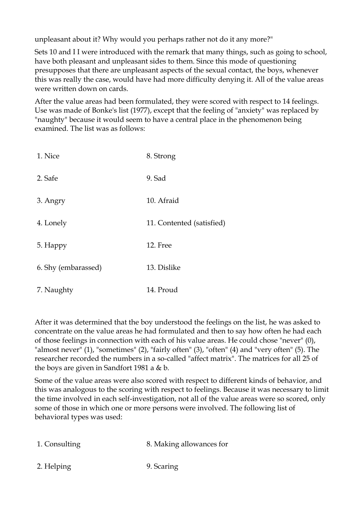unpleasant about it? Why would you perhaps rather not do it any more?"

Sets 10 and I I were introduced with the remark that many things, such as going to school, have both pleasant and unpleasant sides to them. Since this mode of questioning presupposes that there are unpleasant aspects of the sexual contact, the boys, whenever this was really the case, would have had more difficulty denying it. All of the value areas were written down on cards.

After the value areas had been formulated, they were scored with respect to 14 feelings. Use was made of Bonke's list (1977), except that the feeling of "anxiety" was replaced by "naughty" because it would seem to have a central place in the phenomenon being examined. The list was as follows:

| 1. Nice             | 8. Strong                 |
|---------------------|---------------------------|
| 2. Safe             | 9. Sad                    |
| 3. Angry            | 10. Afraid                |
| 4. Lonely           | 11. Contented (satisfied) |
| 5. Happy            | 12. Free                  |
| 6. Shy (embarassed) | 13. Dislike               |
| 7. Naughty          | 14. Proud                 |

After it was determined that the boy understood the feelings on the list, he was asked to concentrate on the value areas he had formulated and then to say how often he had each of those feelings in connection with each of his value areas. He could chose "never" (0), "almost never" (1), "sometimes" (2), "fairly often" (3), "often" (4) and "very often" (5). The researcher recorded the numbers in a so-called "affect matrix". The matrices for all 25 of the boys are given in Sandfort 1981 a & b.

Some of the value areas were also scored with respect to different kinds of behavior, and this was analogous to the scoring with respect to feelings. Because it was necessary to limit the time involved in each self-investigation, not all of the value areas were so scored, only some of those in which one or more persons were involved. The following list of behavioral types was used:

| 1. Consulting | 8. Making allowances for |
|---------------|--------------------------|
|               |                          |

2. Helping 9. Scaring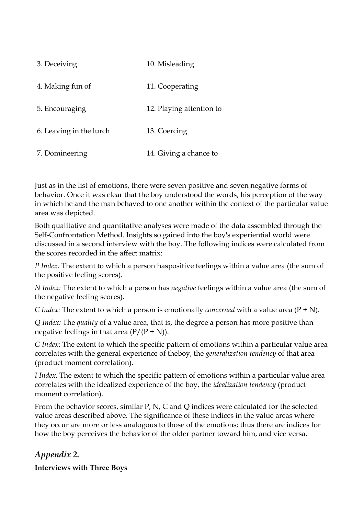| 3. Deceiving            | 10. Misleading           |
|-------------------------|--------------------------|
| 4. Making fun of        | 11. Cooperating          |
| 5. Encouraging          | 12. Playing attention to |
| 6. Leaving in the lurch | 13. Coercing             |
| 7. Domineering          | 14. Giving a chance to   |

Just as in the list of emotions, there were seven positive and seven negative forms of behavior. Once it was clear that the boy understood the words, his perception of the way in which he and the man behaved to one another within the context of the particular value area was depicted.

Both qualitative and quantitative analyses were made of the data assembled through the Self-Confrontation Method. Insights so gained into the boy's experiential world were discussed in a second interview with the boy. The following indices were calculated from the scores recorded in the affect matrix:

*P Index:* The extent to which a person haspositive feelings within a value area (the sum of the positive feeling scores).

*N Index:* The extent to which a person has *negative* feelings within a value area (the sum of the negative feeling scores).

*C Index:* The extent to which a person is emotionally *concerned* with a value area (P + N).

*Q Index:* The *quality* of a value area, that is, the degree a person has more positive than negative feelings in that area  $(P/(P+N))$ .

*G Index:* The extent to which the specific pattern of emotions within a particular value area correlates with the general experience of theboy, the *generalization tendency* of that area (product moment correlation).

*I Index*. The extent to which the specific pattern of emotions within a particular value area correlates with the idealized experience of the boy, the *idealization tendency* (product moment correlation).

From the behavior scores, similar P, N, C and Q indices were calculated for the selected value areas described above. The significance of these indices in the value areas where they occur are more or less analogous to those of the emotions; thus there are indices for how the boy perceives the behavior of the older partner toward him, and vice versa.

# *Appendix 2.*

**Interviews with Three Boys**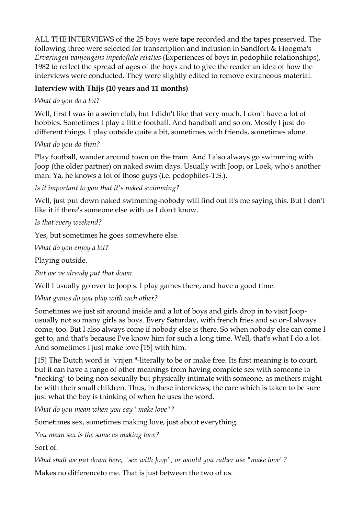ALL THE INTERVIEWS of the 25 boys were tape recorded and the tapes preserved. The following three were selected for transcription and inclusion in Sandfort & Hoogma's *Ervaringen vanjongens inpedoftele relaties* (Experiences of boys in pedophile relationships), 1982 to reflect the spread of ages of the boys and to give the reader an idea of how the interviews were conducted. They were slightly edited to remove extraneous material.

# **Interview with Thijs (10 years and 11 months)**

# *What do you do a lot?*

Well, first I was in a swim club, but I didn't like that very much. I don't have a lot of hobbies. Sometimes I play a little football. And handball and so on. Mostly I just do different things. I play outside quite a bit, sometimes with friends, sometimes alone.

# *What do you do then?*

Play football, wander around town on the tram. And I also always go swimming with Joop (the older partner) on naked swim days. Usually with Joop, or Loek, who's another man. Ya, he knows a lot of those guys (i.e. pedophiles-T.S.).

*Is it important to you that it's naked swimming?*

Well, just put down naked swimming-nobody will find out it's me saying this. But I don't like it if there's someone else with us I don't know.

# *Is that every weekend?*

Yes, but sometimes he goes somewhere else.

*What do you enjoy a lot?*

Playing outside.

*But we've already put that down.*

Well I usually go over to Joop's. I play games there, and have a good time.

# *What games do you play with each other?*

Sometimes we just sit around inside and a lot of boys and girls drop in to visit Joopusually not so many girls as boys. Every Saturday, with french fries and so on-I always come, too. But I also always come if nobody else is there. So when nobody else can come I get to, and that's because I've know him for such a long time. Well, that's what I do a lot. And sometimes I just make love [15] with him.

[15] The Dutch word is "vrijen "-literally to be or make free. Its first meaning is to court, but it can have a range of other meanings from having complete sex with someone to "necking" to being non-sexually but physically intimate with someone, as mothers might be with their small children. Thus, in these interviews, the care which is taken to be sure just what the boy is thinking of when he uses the word.

*What do you mean when you say "make love"?*

Sometimes sex, sometimes making love, just about everything.

*You mean sex is the same as making love?*

Sort of.

*What shall we put down here, "sex with Joop", or would you rather use "make love"?*

Makes no differenceto me. That is just between the two of us.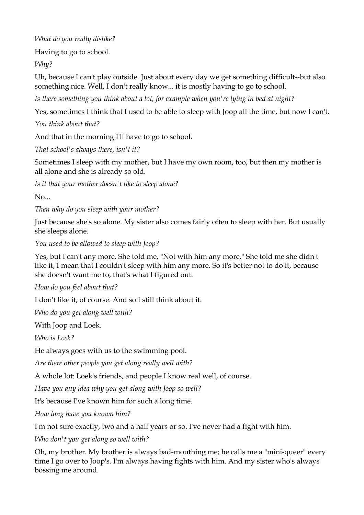*What do you really dislike?*

Having to go to school.

*Why?*

Uh, because I can't play outside. Just about every day we get something difficult--but also something nice. Well, I don't really know... it is mostly having to go to school.

*Is there something you think about a lot, for example when you're lying in bed at night?*

Yes, sometimes I think that I used to be able to sleep with Joop all the time, but now I can't.

*You think about that?*

And that in the morning I'll have to go to school.

*That school's always there, isn't it?*

Sometimes I sleep with my mother, but I have my own room, too, but then my mother is all alone and she is already so old.

*Is it that your mother doesn't like to sleep alone?*

No...

*Then why do you sleep with your mother?*

Just because she's so alone. My sister also comes fairly often to sleep with her. But usually she sleeps alone.

*You used to be allowed to sleep with Joop?*

Yes, but I can't any more. She told me, "Not with him any more." She told me she didn't like it, I mean that I couldn't sleep with him any more. So it's better not to do it, because she doesn't want me to, that's what I figured out.

*How do you feel about that?*

I don't like it, of course. And so I still think about it.

*Who do you get along well with?*

With Joop and Loek.

*Who is Loek?*

He always goes with us to the swimming pool.

*Are there other people you get along really well with?*

A whole lot: Loek's friends, and people I know real well, of course.

*Have you any idea why you get along with Joop so well?*

It's because I've known him for such a long time.

*How long have you known him?*

I'm not sure exactly, two and a half years or so. I've never had a fight with him.

*Who don't you get along so well with?*

Oh, my brother. My brother is always bad-mouthing me; he calls me a "mini-queer" every time I go over to Joop's. I'm always having fights with him. And my sister who's always bossing me around.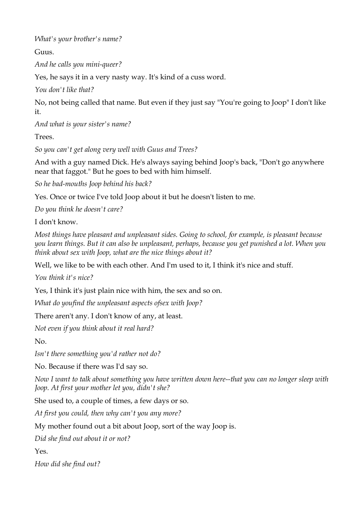*What's your brother's name?*

 $G<sub>11115</sub>$ 

*And he calls you mini-queer?*

Yes, he says it in a very nasty way. It's kind of a cuss word.

*You don't like that?*

No, not being called that name. But even if they just say "You're going to Joop" I don't like it.

*And what is your sister's name?*

Trees.

*So you can't get along very well with Guus and Trees?*

And with a guy named Dick. He's always saying behind Joop's back, "Don't go anywhere near that faggot." But he goes to bed with him himself.

*So he bad-mouths Joop behind his back?*

Yes. Once or twice I've told Joop about it but he doesn't listen to me.

*Do you think he doesn't care?*

I don't know.

*Most things have pleasant and unpleasant sides. Going to school, for example, is pleasant because you learn things. But it can also be unpleasant, perhaps, because you get punished a lot. When you think about sex with Joop, what are the nice things about it?*

Well, we like to be with each other. And I'm used to it, I think it's nice and stuff.

*You think it's nice?*

Yes, I think it's just plain nice with him, the sex and so on.

*What do youfind the unpleasant aspects ofsex with Joop?*

There aren't any. I don't know of any, at least.

*Not even if you think about it real hard?*

No.

*Isn't there something you'd rather not do?*

No. Because if there was I'd say so.

*Now I want to talk about something you have written down here--that you can no longer sleep with Joop. At first your mother let you, didn't she?*

She used to, a couple of times, a few days or so.

*At first you could, then why can't you any more?*

My mother found out a bit about Joop, sort of the way Joop is.

*Did she find out about it or not?*

Yes.

*How did she find out?*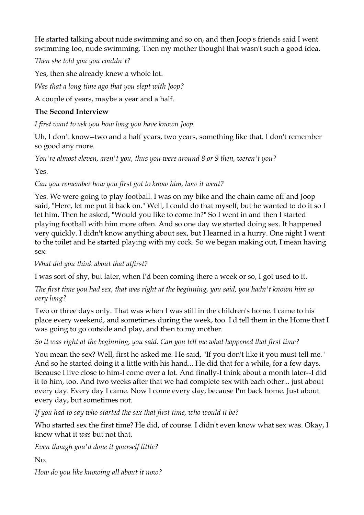He started talking about nude swimming and so on, and then Joop's friends said I went swimming too, nude swimming. Then my mother thought that wasn't such a good idea.

*Then she told you you couldn't?*

Yes, then she already knew a whole lot.

*Was that a long time ago that you slept with Joop?*

A couple of years, maybe a year and a half.

# **The Second Interview**

*I first want to ask you how long you have known Joop.*

Uh, I don't know--two and a half years, two years, something like that. I don't remember so good any more.

*You're almost eleven, aren't you, thus you were around 8 or 9 then, weren't you?*

Yes.

*Can you remember how you first got to know him, how it went?*

Yes. We were going to play football. I was on my bike and the chain came off and Joop said, "Here, let me put it back on." Well, I could do that myself, but he wanted to do it so I let him. Then he asked, "Would you like to come in?" So I went in and then I started playing football with him more often. And so one day we started doing sex. It happened very quickly. I didn't know anything about sex, but I learned in a hurry. One night I went to the toilet and he started playing with my cock. So we began making out, I mean having sex.

*What did you think about that atfirst?*

I was sort of shy, but later, when I'd been coming there a week or so, I got used to it.

*The first time you had sex, that was right at the beginning, you said, you hadn't known him so very long?*

Two or three days only. That was when I was still in the children's home. I came to his place every weekend, and sometimes during the week, too. I'd tell them in the Home that I was going to go outside and play, and then to my mother.

*So it was right at the beginning, you said. Can you tell me what happened that first time?*

You mean the sex? Well, first he asked me. He said, "If you don't like it you must tell me." And so he started doing it a little with his hand... He did that for a while, for a few days. Because I live close to him-I come over a lot. And finally-I think about a month later--I did it to him, too. And two weeks after that we had complete sex with each other... just about every day. Every day I came. Now I come every day, because I'm back home. Just about every day, but sometimes not.

*If you had to say who started the sex that first time, who would it be?*

Who started sex the first time? He did, of course. I didn't even know what sex was. Okay, I knew what it *was* but not that.

*Even though you'd done it yourself little?*

No.

*How do you like knowing all about it now?*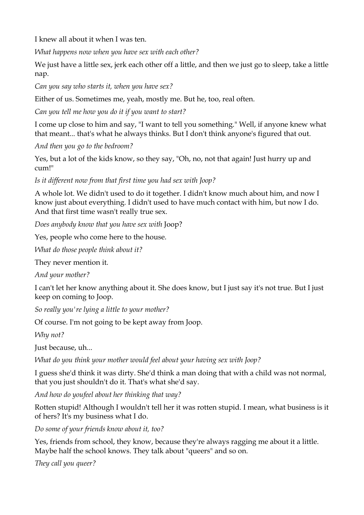I knew all about it when I was ten.

*What happens now when you have sex with each other?*

We just have a little sex, jerk each other off a little, and then we just go to sleep, take a little nap.

*Can you say who starts it, when you have sex?*

Either of us. Sometimes me, yeah, mostly me. But he, too, real often.

*Can you tell me how you do it if you want to start?*

I come up close to him and say, "I want to tell you something." Well, if anyone knew what that meant... that's what he always thinks. But I don't think anyone's figured that out.

*And then you go to the bedroom?*

Yes, but a lot of the kids know, so they say, "Oh, no, not that again! Just hurry up and cum!"

*Is it different now from that first time you had sex with Joop?*

A whole lot. We didn't used to do it together. I didn't know much about him, and now I know just about everything. I didn't used to have much contact with him, but now I do. And that first time wasn't really true sex.

*Does anybody know that you have sex with* Joop?

Yes, people who come here to the house.

*What do those people think about it?*

They never mention it.

*And your mother?*

I can't let her know anything about it. She does know, but I just say it's not true. But I just keep on coming to Joop.

*So really you're lying a little to your mother?*

Of course. I'm not going to be kept away from Joop.

*Why not?*

Just because, uh...

*What do you think your mother would feel about your having sex with Joop?*

I guess she'd think it was dirty. She'd think a man doing that with a child was not normal, that you just shouldn't do it. That's what she'd say.

*And how do youfeel about her thinking that way?*

Rotten stupid! Although I wouldn't tell her it was rotten stupid. I mean, what business is it of hers? It's my business what I do.

*Do some of your friends know about it, too?*

Yes, friends from school, they know, because they're always ragging me about it a little. Maybe half the school knows. They talk about "queers" and so on.

*They call you queer?*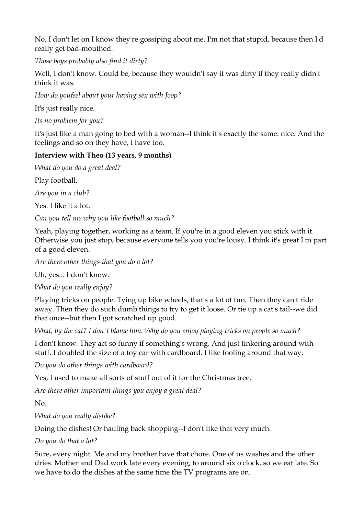No, I don't let on I know they're gossiping about me. I'm not that stupid, because then I'd really get bad-mouthed.

*Those boys probably also find it dirty?*

Well, I don't know. Could be, because they wouldn't say it was dirty if they really didn't think it was.

*How do youfeel about your having sex with Joop?*

It's just really nice.

*Its no problem for you?*

It's just like a man going to bed with a woman--I think it's exactly the same: nice. And the feelings and so on they have, I have too.

# **Interview with Theo (13 years, 9 months)**

*What do you do a great deal?*

Play football.

*Are you in a club?*

Yes. I like it a lot.

*Can you tell me why you like football so much?*

Yeah, playing together, working as a team. If you're in a good eleven you stick with it. Otherwise you just stop, because everyone tells you you're lousy. I think it's great I'm part of a good eleven.

*Are there other things that you do a lot?*

Uh, yes... I don't know.

*What do you really enjoy?*

Playing tricks on people. Tying up bike wheels, that's a lot of fun. Then they can't ride away. Then they do such dumb things to try to get it loose. Or tie up a cat's tail--we did that once--but then I got scratched up good.

*What, by the cat? I don't blame him. Why do you enjoy playing tricks on people so much?*

I don't know. They act so funny if something's wrong. And just tinkering around with stuff. I doubled the size of a toy car with cardboard. I like fooling around that way.

*Do you do other things with cardboard?*

Yes, I used to make all sorts of stuff out of it for the Christmas tree.

*Are there other important things you enjoy a great deal?*

No.

*What do you really dislike?*

Doing the dishes! Or hauling back shopping--I don't like that very much.

*Do you do that a lot?*

Sure, every night. Me and my brother have that chore. One of us washes and the other dries. Mother and Dad work late every evening, to around six o'clock, so we eat late. So we have to do the dishes at the same time the TV programs are on.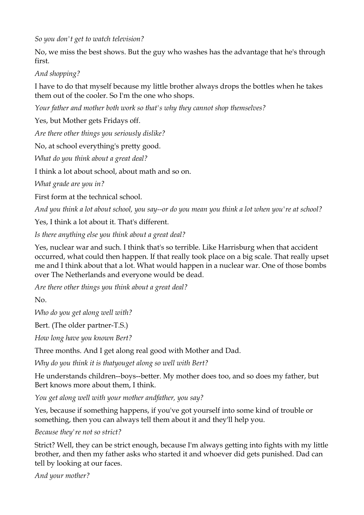*So you don't get to watch television?*

No, we miss the best shows. But the guy who washes has the advantage that he's through first.

# *And shopping?*

I have to do that myself because my little brother always drops the bottles when he takes them out of the cooler. So I'm the one who shops.

*Your father and mother both work so that's why they cannot shop themselves?*

Yes, but Mother gets Fridays off.

*Are there other things you seriously dislike?*

No, at school everything's pretty good.

*What do you think about a great deal?*

I think a lot about school, about math and so on.

*What grade are you in?*

First form at the technical school.

*And you think a lot about school, you say--or do you mean you think a lot when you're at school?*

Yes, I think a lot about it. That's different.

*Is there anything else you think about a great deal?*

Yes, nuclear war and such. I think that's so terrible. Like Harrisburg when that accident occurred, what could then happen. If that really took place on a big scale. That really upset me and I think about that a lot. What would happen in a nuclear war. One of those bombs over The Netherlands and everyone would be dead.

*Are there other things you think about a great deal?*

No.

*Who do you get along well with?*

Bert. (The older partner-T.S.)

*How long have you known Bert?*

Three months. And I get along real good with Mother and Dad.

*Why do you think it is thatyouget along so well with Bert?*

He understands children--boys--better. My mother does too, and so does my father, but Bert knows more about them, I think.

*You get along well with your mother andfather, you say?*

Yes, because if something happens, if you've got yourself into some kind of trouble or something, then you can always tell them about it and they'll help you.

*Because they're not so strict?*

Strict? Well, they can be strict enough, because I'm always getting into fights with my little brother, and then my father asks who started it and whoever did gets punished. Dad can tell by looking at our faces.

*And your mother?*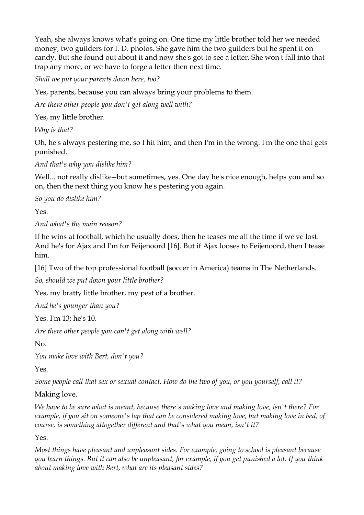Yeah, she always knows what's going on. One time my little brother told her we needed money, two guilders for I. D. photos. She gave him the two guilders but he spent it on candy. But she found out about it and now she's got to see a letter. She won't fall into that trap any more, or we have to forge a letter then next time.

*Shall we put your parents down here, too?*

Yes, parents, because you can always bring your problems to them.

*Are there other people you don't get along well with?*

Yes, my little brother.

*Why is that?*

Oh, he's always pestering me, so I hit him, and then I'm in the wrong. I'm the one that gets punished.

*And that's why you dislike him?*

Well... not really dislike--but sometimes, yes. One day he's nice enough, helps you and so on, then the next thing you know he's pestering you again.

*So you do dislike him?*

Yes.

*And what's the main reason?*

If he wins at football, which he usually does, then he teases me all the time if we've lost. And he's for Ajax and I'm for Feijenoord [16]. But if Ajax looses to Feijenoord, then I tease him.

[16] Two of the top professional football (soccer in America) teams in The Netherlands.

*So, should we put down your little brother?*

Yes, my bratty little brother, my pest of a brother.

*And he's younger than you?*

Yes. I'm 13; he's 10.

*Are there other people you can't get along with well?*

No.

*You make love with Bert, don't you?*

Yes.

*Some people call that sex or sexual contact. How do the two of you, or you yourself, call it?*

Making love.

*We have to be sure what is meant, because there's making love and making love, isn't there? For example, if you sit on someone's lap that can be considered making love, but making love in bed, of course, is something altogether different and that's what you mean, isn't it?*

Yes.

*Most things have pleasant and unpleasant sides. For example, going to school is pleasant because you learn things. But it can also be unpleasant, for example, if you get punished a lot. If you think about making love with Bert, what are its pleasant sides?*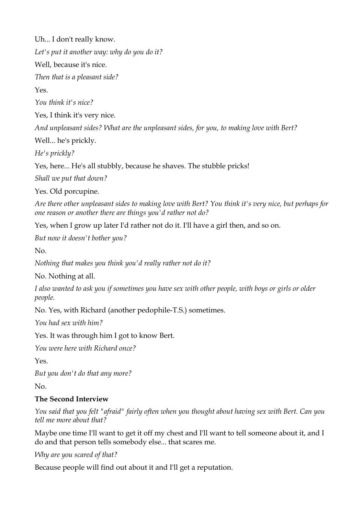Uh... I don't really know. *Let's put it another way: why do you do it?* Well, because it's nice. *Then that is a pleasant side?* Yes. *You think it's nice?* Yes, I think it's very nice. *And unpleasant sides? What are the unpleasant sides, for you, to making love with Bert?* Well... he's prickly. *He's prickly?* Yes, here... He's all stubbly, because he shaves. The stubble pricks! *Shall we put that down?*

Yes. Old porcupine.

*Are there other unpleasant sides to making love with Bert? You think it's very nice, but perhaps for one reason or another there are things you'd rather not do?*

Yes, when I grow up later I'd rather not do it. I'll have a girl then, and so on.

*But now it doesn't bother you?*

No.

*Nothing that makes you think you'd really rather not do it?*

No. Nothing at all.

*I also wanted to ask you if sometimes you have sex with other people, with boys or girls or older people.*

No. Yes, with Richard (another pedophile-T.S.) sometimes.

*You had sex with him?*

Yes. It was through him I got to know Bert.

*You were here with Richard once?*

Yes.

*But you don't do that any more?*

No.

# **The Second Interview**

*You said that you felt "afraid" fairly often when you thought about having sex with Bert. Can you tell me more about that?*

Maybe one time I'll want to get it off my chest and I'll want to tell someone about it, and I do and that person tells somebody else... that scares me.

*Why are you scared of that?*

Because people will find out about it and I'll get a reputation.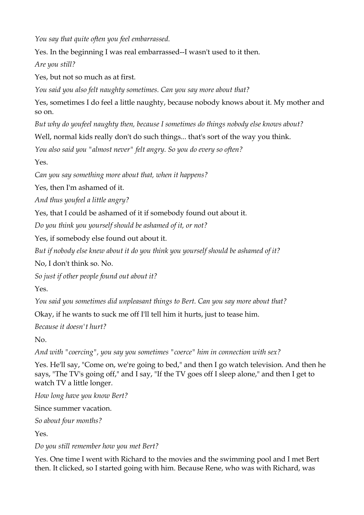*You say that quite often you feel embarrassed.*

Yes. In the beginning I was real embarrassed--I wasn't used to it then.

*Are you still?*

Yes, but not so much as at first.

*You said you also felt naughty sometimes. Can you say more about that?*

Yes, sometimes I do feel a little naughty, because nobody knows about it. My mother and so on.

*But why do youfeel naughty then, because I sometimes do things nobody else knows about?*

Well, normal kids really don't do such things... that's sort of the way you think.

*You also said you "almost never" felt angry. So you do every so often?*

Yes.

*Can you say something more about that, when it happens?*

Yes, then I'm ashamed of it.

*And thus youfeel a little angry?*

Yes, that I could be ashamed of it if somebody found out about it.

*Do you think you yourself should be ashamed of it, or not?*

Yes, if somebody else found out about it.

*But if nobody else knew about it do you think you yourself should be ashamed of it?*

No, I don't think so. No.

*So just if other people found out about it?*

Yes.

*You said you sometimes did unpleasant things to Bert. Can you say more about that?*

Okay, if he wants to suck me off I'll tell him it hurts, just to tease him.

*Because it doesn't hurt?*

No.

*And with "coercing", you say you sometimes "coerce" him in connection with sex?*

Yes. He'll say, "Come on, we're going to bed," and then I go watch television. And then he says, "The TV's going off," and I say, "If the TV goes off I sleep alone," and then I get to watch TV a little longer.

*How long have you know Bert?*

Since summer vacation.

*So about four months?*

Yes.

*Do you still remember how you met Bert?*

Yes. One time I went with Richard to the movies and the swimming pool and I met Bert then. It clicked, so I started going with him. Because Rene, who was with Richard, was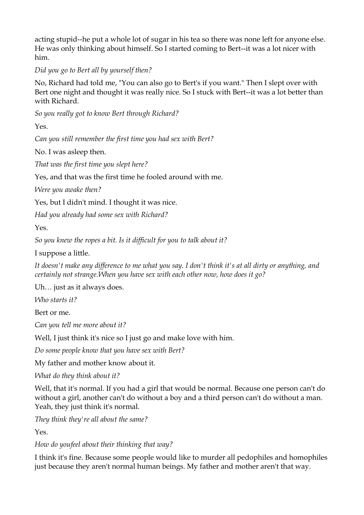acting stupid--he put a whole lot of sugar in his tea so there was none left for anyone else. He was only thinking about himself. So I started coming to Bert--it was a lot nicer with him.

*Did you go to Bert all by yourself then?*

No, Richard had told me, "You can also go to Bert's if you want." Then I slept over with Bert one night and thought it was really nice. So I stuck with Bert--it was a lot better than with Richard.

*So you really got to know Bert through Richard?*

Yes.

*Can you still remember the first time you had sex with Bert?*

No. I was asleep then.

*That was the first time you slept here?*

Yes, and that was the first time he fooled around with me.

*Were you awake then?*

Yes, but I didn't mind. I thought it was nice.

*Had you already had some sex with Richard?*

Yes.

*So you knew the ropes a bit. Is it difficult for you to talk about it?*

I suppose a little.

*It doesn't make any difference to me what you say. I don't think it's at all dirty or anything, and certainly not strange.When you have sex with each other now, how does it go?*

Uh… just as it always does.

*Who starts it?*

Bert or me.

*Can you tell me more about it?*

Well, I just think it's nice so I just go and make love with him.

*Do some people know that you have sex with Bert?*

My father and mother know about it.

*What do they think about it?*

Well, that it's normal. If you had a girl that would be normal. Because one person can't do without a girl, another can't do without a boy and a third person can't do without a man. Yeah, they just think it's normal.

*They think they're all about the same?*

Yes.

*How do youfeel about their thinking that way?*

I think it's fine. Because some people would like to murder all pedophiles and homophiles just because they aren't normal human beings. My father and mother aren't that way.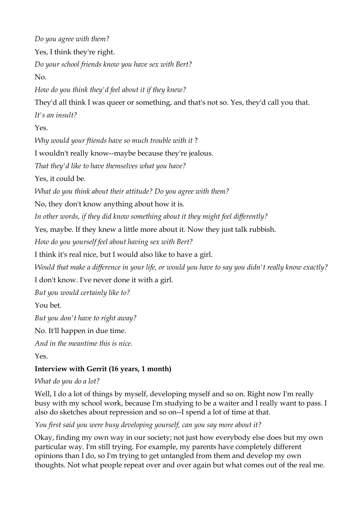*Do you agree with them?* Yes, I think they're right. *Do your school friends know you have sex with Bert?* No. *How do you think they'd feel about it if they knew?* They'd all think I was queer or something, and that's not so. Yes, they'd call you that. *It's an insult?* Yes. *Why would your ftiends have so much trouble with it* ? I wouldn't really know--maybe because they're jealous. *That they'd like to have themselves what you have?* Yes, it could be. *What do you think about their attitude? Do you agree with them?* No, they don't know anything about how it is. *In other words, if they did know something about it they might feel differently?* Yes, maybe. If they knew a little more about it. Now they just talk rubbish. *How do you yourself feel about having sex with Bert?* I think it's real nice, but I would also like to have a girl. *Would that make a difference in your life, or would you have to say you didn't really know exactly?* I don't know. I've never done it with a girl. *But you would certainly like to?* You bet. *But you don't have to right away?* No. It'll happen in due time. *And in the meantime this is nice.* Yes.

### **Interview with Gerrit (16 years, 1 month)**

#### *What do you do a lot?*

Well, I do a lot of things by myself, developing myself and so on. Right now I'm really busy with my school work, because I'm studying to be a waiter and I really want to pass. I also do sketches about repression and so on--I spend a lot of time at that.

*You first said you were busy developing yourself, can you say more about it?*

Okay, finding my own way in our society; not just how everybody else does but my own particular way. I'm still trying. For example, my parents have completely different opinions than I do, so I'm trying to get untangled from them and develop my own thoughts. Not what people repeat over and over again but what comes out of the real me.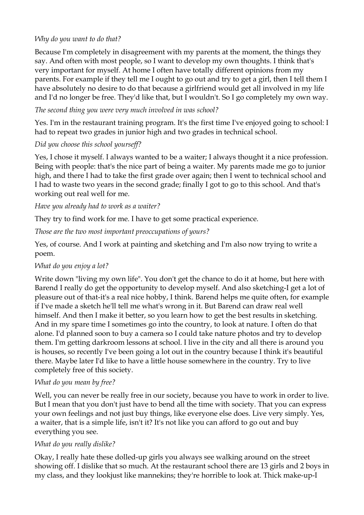## *Why do you want to do that?*

Because I'm completely in disagreement with my parents at the moment, the things they say. And often with most people, so I want to develop my own thoughts. I think that's very important for myself. At home I often have totally different opinions from my parents. For example if they tell me I ought to go out and try to get a girl, then I tell them I have absolutely no desire to do that because a girlfriend would get all involved in my life and I'd no longer be free. They'd like that, but I wouldn't. So I go completely my own way.

# *The second thing you were very much involved in was school?*

Yes. I'm in the restaurant training program. It's the first time I've enjoyed going to school: I had to repeat two grades in junior high and two grades in technical school.

# *Did you choose this school yourseff?*

Yes, I chose it myself. I always wanted to be a waiter; I always thought it a nice profession. Being with people: that's the nice part of being a waiter. My parents made me go to junior high, and there I had to take the first grade over again; then I went to technical school and I had to waste two years in the second grade; finally I got to go to this school. And that's working out real well for me.

# *Have you already had to work as a waiter?*

They try to find work for me. I have to get some practical experience.

*Those are the two most important preoccupations of yours?*

Yes, of course. And I work at painting and sketching and I'm also now trying to write a poem.

### *What do you enjoy a lot?*

Write down "living my own life". You don't get the chance to do it at home, but here with Barend I really do get the opportunity to develop myself. And also sketching-I get a lot of pleasure out of that-it's a real nice hobby, I think. Barend helps me quite often, for example if I've made a sketch he'll tell me what's wrong in it. But Barend can draw real well himself. And then I make it better, so you learn how to get the best results in sketching. And in my spare time I sometimes go into the country, to look at nature. I often do that alone. I'd planned soon to buy a camera so I could take nature photos and try to develop them. I'm getting darkroom lessons at school. I live in the city and all there is around you is houses, so recently I've been going a lot out in the country because I think it's beautiful there. Maybe later I'd like to have a little house somewhere in the country. Try to live completely free of this society.

### *What do you mean by free?*

Well, you can never be really free in our society, because you have to work in order to live. But I mean that you don't just have to bend all the time with society. That you can express your own feelings and not just buy things, like everyone else does. Live very simply. Yes, a waiter, that is a simple life, isn't it? It's not like you can afford to go out and buy everything you see.

### *What do you really dislike?*

Okay, I really hate these dolled-up girls you always see walking around on the street showing off. I dislike that so much. At the restaurant school there are 13 girls and 2 boys in my class, and they lookjust like mannekins; they're horrible to look at. Thick make-up-I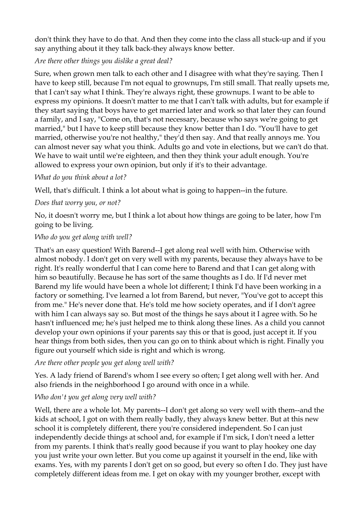don't think they have to do that. And then they come into the class all stuck-up and if you say anything about it they talk back-they always know better.

# *Are there other things you dislike a great deal?*

Sure, when grown men talk to each other and I disagree with what they're saying. Then I have to keep still, because I'm not equal to grownups, I'm still small. That really upsets me, that I can't say what I think. They're always right, these grownups. I want to be able to express my opinions. It doesn't matter to me that I can't talk with adults, but for example if they start saying that boys have to get married later and work so that later they can found a family, and I say, "Come on, that's not necessary, because who says we're going to get married," but I have to keep still because they know better than I do. "You'll have to get married, otherwise you're not healthy," they'd then say. And that really annoys me. You can almost never say what you think. Adults go and vote in elections, but we can't do that. We have to wait until we're eighteen, and then they think your adult enough. You're allowed to express your own opinion, but only if it's to their advantage.

### *What do you think about a lot?*

Well, that's difficult. I think a lot about what is going to happen--in the future.

# *Does that worry you, or not?*

No, it doesn't worry me, but I think a lot about how things are going to be later, how I'm going to be living.

# *Who do you get along with well?*

That's an easy question! With Barend--I get along real well with him. Otherwise with almost nobody. I don't get on very well with my parents, because they always have to be right. It's really wonderful that I can come here to Barend and that I can get along with him so beautifully. Because he has sort of the same thoughts as I do. If I'd never met Barend my life would have been a whole lot different; I think I'd have been working in a factory or something. I've learned a lot from Barend, but never, "You've got to accept this from me." He's never done that. He's told me how society operates, and if I don't agree with him I can always say so. But most of the things he says about it I agree with. So he hasn't influenced me; he's just helped me to think along these lines. As a child you cannot develop your own opinions if your parents say this or that is good, just accept it. If you hear things from both sides, then you can go on to think about which is right. Finally you figure out yourself which side is right and which is wrong.

# *Are there other people you get along well with?*

Yes. A lady friend of Barend's whom I see every so often; I get along well with her. And also friends in the neighborhood I go around with once in a while.

# *Who don't you get along very well with?*

Well, there are a whole lot. My parents--I don't get along so very well with them--and the kids at school, I got on with them really badly, they always knew better. But at this new school it is completely different, there you're considered independent. So I can just independently decide things at school and, for example if I'm sick, I don't need a letter from my parents. I think that's really good because if you want to play hookey one day you just write your own letter. But you come up against it yourself in the end, like with exams. Yes, with my parents I don't get on so good, but every so often I do. They just have completely different ideas from me. I get on okay with my younger brother, except with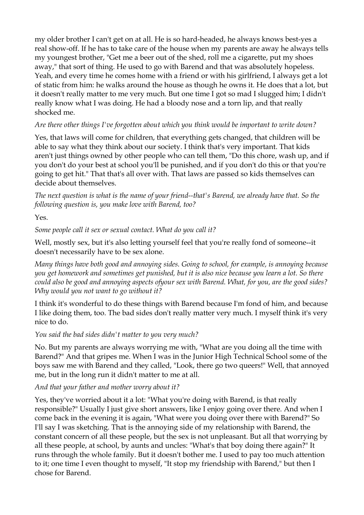my older brother I can't get on at all. He is so hard-headed, he always knows best-yes a real show-off. If he has to take care of the house when my parents are away he always tells my youngest brother, "Get me a beer out of the shed, roll me a cigarette, put my shoes away," that sort of thing. He used to go with Barend and that was absolutely hopeless. Yeah, and every time he comes home with a friend or with his girlfriend, I always get a lot of static from him: he walks around the house as though he owns it. He does that a lot, but it doesn't really matter to me very much. But one time I got so mad I slugged him; I didn't really know what I was doing. He had a bloody nose and a torn lip, and that really shocked me.

### *Are there other things I've forgotten about which you think would be important to write down?*

Yes, that laws will come for children, that everything gets changed, that children will be able to say what they think about our society. I think that's very important. That kids aren't just things owned by other people who can tell them, "Do this chore, wash up, and if you don't do your best at school you'll be punished, and if you don't do this or that you're going to get hit." That that's all over with. That laws are passed so kids themselves can decide about themselves.

*The next question is what is the name of your friend--that's Barend, we already have that. So the following question is, you make love with Barend, too?*

Yes.

*Some people call it sex or sexual contact. What do you call it?*

Well, mostly sex, but it's also letting yourself feel that you're really fond of someone--it doesn't necessarily have to be sex alone.

*Many things have both good and annoying sides. Going to school, for example, is annoying because you get homework and sometimes get punished, but it is also nice because you learn a lot. So there could also be good and annoying aspects ofyour sex with Barend. What, for you, are the good sides? Why would you not want to go without it?*

I think it's wonderful to do these things with Barend because I'm fond of him, and because I like doing them, too. The bad sides don't really matter very much. I myself think it's very nice to do.

*You said the bad sides didn't matter to you very much?*

No. But my parents are always worrying me with, "What are you doing all the time with Barend?" And that gripes me. When I was in the Junior High Technical School some of the boys saw me with Barend and they called, "Look, there go two queers!" Well, that annoyed me, but in the long run it didn't matter to me at all.

### *And that your father and mother worry about it?*

Yes, they've worried about it a lot: "What you're doing with Barend, is that really responsible?" Usually I just give short answers, like I enjoy going over there. And when I come back in the evening it is again, "What were you doing over there with Barend?" So I'll say I was sketching. That is the annoying side of my relationship with Barend, the constant concern of all these people, but the sex is not unpleasant. But all that worrying by all these people, at school, by aunts and uncles: "What's that boy doing there again?" It runs through the whole family. But it doesn't bother me. I used to pay too much attention to it; one time I even thought to myself, "It stop my friendship with Barend," but then I chose for Barend.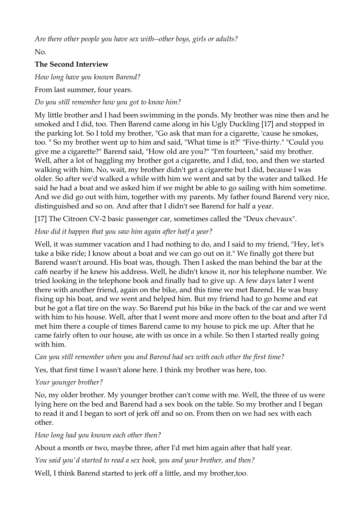*Are there other people you have sex with--other boys, girls or adults?*

No.

# **The Second Interview**

*How long have you known Barend?*

From last summer, four years.

# *Do you still remember how you got to know him?*

My little brother and I had been swimming in the ponds. My brother was nine then and he smoked and I did, too. Then Barend came along in his Ugly Duckling [17] and stopped in the parking lot. So I told my brother, "Go ask that man for a cigarette, 'cause he smokes, too. " So my brother went up to him and said, "What time is it?" "Five-thirty." "Could you give me a cigarette?" Barend said, "How old are you?" "I'm fourteen," said my brother. Well, after a lot of haggling my brother got a cigarette, and I did, too, and then we started walking with him. No, wait, my brother didn't get a cigarette but I did, because I was older. So after we'd walked a while with him we went and sat by the water and talked. He said he had a boat and we asked him if we might be able to go sailing with him sometime. And we did go out with him, together with my parents. My father found Barend very nice, distinguished and so on. And after that I didn't see Barend for half a year.

[17] The Citroen CV-2 basic passenger car, sometimes called the "Deux chevaux".

# *How did it happen that you saw him again after hatf a year?*

Well, it was summer vacation and I had nothing to do, and I said to my friend, "Hey, let's take a bike ride; I know about a boat and we can go out on it." We finally got there but Barend wasn't around. His boat was, though. Then I asked the man behind the bar at the caf6 nearby if he knew his address. Well, he didn't know it, nor his telephone number. We tried looking in the telephone book and finally had to give up. A few days later I went there with another friend, again on the bike, and this time we met Barend. He was busy fixing up his boat, and we went and helped him. But my friend had to go home and eat but he got a flat tire on the way. So Barend put his bike in the back of the car and we went with him to his house. Well, after that I went more and more often to the boat and after I'd met him there a couple of times Barend came to my house to pick me up. After that he came fairly often to our house, ate with us once in a while. So then I started really going with him.

# *Can you still remember when you and Barend had sex with each other the first time?*

Yes, that first time I wasn't alone here. I think my brother was here, too.

# *Your younger brother?*

No, my older brother. My younger brother can't come with me. Well, the three of us were lying here on the bed and Barend had a sex book on the table. So my brother and I began to read it and I began to sort of jerk off and so on. From then on we had sex with each other.

# *How long had you known each other then?*

About a month or two, maybe three, after I'd met him again after that half year.

*You said you'd started to read a sex book, you and your brother, and then?*

Well, I think Barend started to jerk off a little, and my brother,too.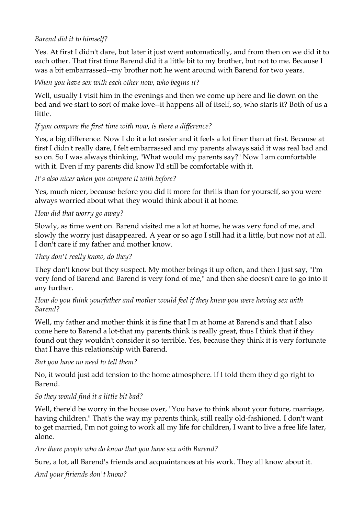# *Barend did it to himself?*

Yes. At first I didn't dare, but later it just went automatically, and from then on we did it to each other. That first time Barend did it a little bit to my brother, but not to me. Because I was a bit embarrassed--my brother not: he went around with Barend for two years.

## *When you have sex with each other now, who begins it?*

Well, usually I visit him in the evenings and then we come up here and lie down on the bed and we start to sort of make love--it happens all of itself, so, who starts it? Both of us a little.

# *If you compare the first time with now, is there a difference?*

Yes, a big difference. Now I do it a lot easier and it feels a lot finer than at first. Because at first I didn't really dare, I felt embarrassed and my parents always said it was real bad and so on. So I was always thinking, "What would my parents say?" Now I am comfortable with it. Even if my parents did know I'd still be comfortable with it.

# *It's also nicer when you compare it with before?*

Yes, much nicer, because before you did it more for thrills than for yourself, so you were always worried about what they would think about it at home.

### *How did that worry go away?*

Slowly, as time went on. Barend visited me a lot at home, he was very fond of me, and slowly the worry just disappeared. A year or so ago I still had it a little, but now not at all. I don't care if my father and mother know.

### *They don't really know, do they?*

They don't know but they suspect. My mother brings it up often, and then I just say, "I'm very fond of Barend and Barend is very fond of me," and then she doesn't care to go into it any further.

### *How do you think yourfather and mother would feel if they knew you were having sex with Barend?*

Well, my father and mother think it is fine that I'm at home at Barend's and that I also come here to Barend a lot-that my parents think is really great, thus I think that if they found out they wouldn't consider it so terrible. Yes, because they think it is very fortunate that I have this relationship with Barend.

### *But you have no need to tell them?*

No, it would just add tension to the home atmosphere. If I told them they'd go right to Barend.

# *So they would find it a little bit bad?*

Well, there'd be worry in the house over, "You have to think about your future, marriage, having children." That's the way my parents think, still really old-fashioned. I don't want to get married, I'm not going to work all my life for children, I want to live a free life later, alone.

### *Are there people who do know that you have sex with Barend?*

Sure, a lot, all Barend's friends and acquaintances at his work. They all know about it.

*And your firiends don't know?*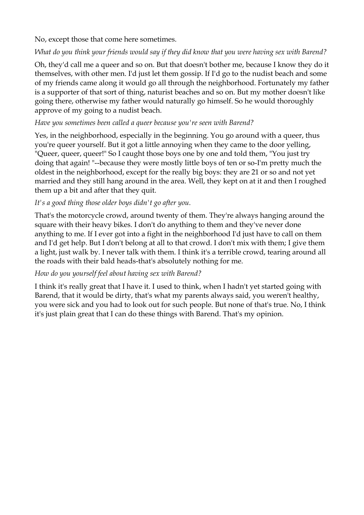No, except those that come here sometimes.

## *What do you think your friends would say if they did know that you were having sex with Barend?*

Oh, they'd call me a queer and so on. But that doesn't bother me, because I know they do it themselves, with other men. I'd just let them gossip. If I'd go to the nudist beach and some of my friends came along it would go all through the neighborhood. Fortunately my father is a supporter of that sort of thing, naturist beaches and so on. But my mother doesn't like going there, otherwise my father would naturally go himself. So he would thoroughly approve of my going to a nudist beach.

# *Have you sometimes been called a queer because you're seen with Barend?*

Yes, in the neighborhood, especially in the beginning. You go around with a queer, thus you're queer yourself. But it got a little annoying when they came to the door yelling, "Queer, queer, queer!" So I caught those boys one by one and told them, "You just try doing that again! "--because they were mostly little boys of ten or so-I'm pretty much the oldest in the neighborhood, except for the really big boys: they are 21 or so and not yet married and they still hang around in the area. Well, they kept on at it and then I roughed them up a bit and after that they quit.

# *It's a good thing those older boys didn't go after you.*

That's the motorcycle crowd, around twenty of them. They're always hanging around the square with their heavy bikes. I don't do anything to them and they've never done anything to me. If I ever got into a fight in the neighborhood I'd just have to call on them and I'd get help. But I don't belong at all to that crowd. I don't mix with them; I give them a light, just walk by. I never talk with them. I think it's a terrible crowd, tearing around all the roads with their bald heads-that's absolutely nothing for me.

# *How do you yourself feel about having sex with Barend?*

I think it's really great that I have it. I used to think, when I hadn't yet started going with Barend, that it would be dirty, that's what my parents always said, you weren't healthy, you were sick and you had to look out for such people. But none of that's true. No, I think it's just plain great that I can do these things with Barend. That's my opinion.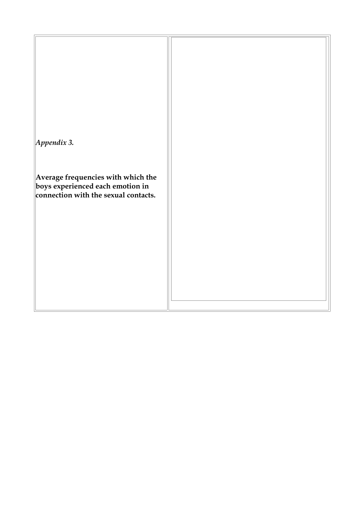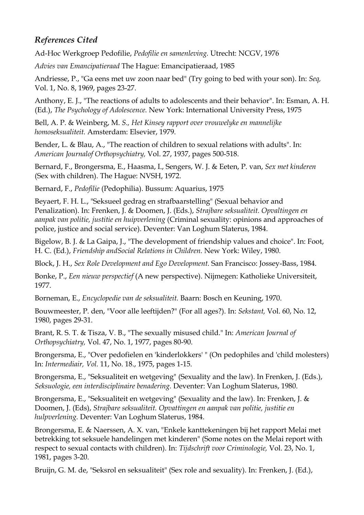# *References Cited*

Ad-Hoc Werkgroep Pedofilie, *Pedofilie en samenleving.* Utrecht: NCGV, 1976

*Advies van Emancipatieraad* The Hague: Emancipatieraad, 1985

Andriesse, P., "Ga eens met uw zoon naar bed" (Try going to bed with your son). In: *Seq,* Vol. 1, No. 8, 1969, pages 23-27.

Anthony, E. J., "The reactions of adults to adolescents and their behavior". In: Esman, A. H. (Ed.), *The Psychology of Adolescence.* New York: International University Press, 1975

Bell, A. P. & Weinberg, M. *S., Het Kinsey rapport over vrouwelyke en mannelijke homoseksualiteit.* Amsterdam: Elsevier, 1979.

Bender, L. & Blau, A., "The reaction of children to sexual relations with adults". In: *American Journalof Orthopsychiatry,* Vol. 27, 1937, pages 500-518.

Bernard, F., Brongersma, E., Haasma, I., Sengers, W. J. & Eeten, P. van, *Sex met kinderen* (Sex with children). The Hague: NVSH, 1972.

Bernard, F., *Pedofilie* (Pedophilia). Bussum: Aquarius, 1975

Beyaert, F. H. L., "Seksueel gedrag en strafbaarstelling" (Sexual behavior and Penalization). In: Frenken, J. & Doomen, J. (Eds.), *Strajbare seksualiteit. Opvaltingen en aanpak van politie, justitie en huipverlening* (Criminal sexuality: opinions and approaches of police, justice and social service). Deventer: Van Loghum Slaterus, 1984.

Bigelow, B. J. & La Gaipa, J., "The development of friendship values and choice". In: Foot, H. C. (Ed.), *Friendship andSocial Relations in Children.* New York: Wiley, 1980.

Block, J. H., *Sex Role Development and Ego Development.* San Francisco: Jossey-Bass, 1984.

Bonke, P., *Een nieuw perspectief* (A new perspective). Nijmegen: Katholieke Universiteit, 1977.

Borneman, E., *Encyclopedie van de seksualiteit.* Baarn: Bosch en Keuning, 1970.

Bouwmeester, P. den, "Voor alle leeftijden?" (For all ages?). In: *Sekstant,* Vol. 60, No. 12, 1980, pages 29-31.

Brant, R. S. T. & Tisza, V. B., "The sexually misused child." In: *American Journal of Orthopsychiatry,* Vol. 47, No. 1, 1977, pages 80-90.

Brongersma, E., "Over pedofielen en 'kinderlokkers' " (On pedophiles and 'child molesters) In: *Intermediair, Vol.* 11, No. 18., 1975, pages 1-15.

Brongersma, E., "Seksualiteit en wetgeving" (Sexuality and the law). In Frenken, J. (Eds.), *Seksuologie, een interdisciplinaire benadering.* Deventer: Van Loghum Slaterus, 1980.

Brongersma, E., "Seksualiteit en wetgeving" (Sexuality and the law). In: Frenken, J. & Doomen, J. (Eds), *Strajbare seksualiteit. Opvattingen en aanpak van politie, justitie en hulpverlening.* Deventer: Van Loghum Slaterus, 1984.

Brongersma, E. & Naerssen, A. X. van, "Enkele kanttekeningen bij het rapport Melai met betrekking tot seksuele handelingen met kinderen" (Some notes on the Melai report with respect to sexual contacts with children). In: *Tijdschrift voor Criminologie,* Vol. 23, No. 1, 1981, pages 3-20.

Bruijn, G. M. de, "Seksrol en seksualiteit" (Sex role and sexuality). In: Frenken, J. (Ed.),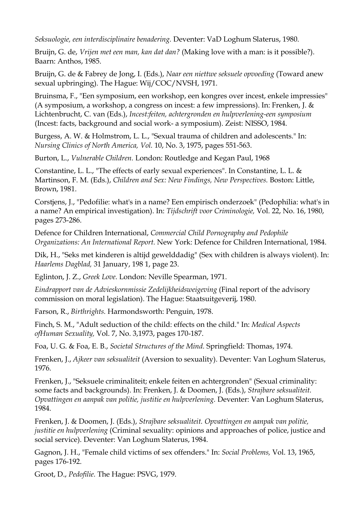*Seksuologie, een interdisciplinaire benadering.* Deventer: VaD Loghum Slaterus, 1980.

Bruijn, G. de, *Vrijen met een man, kan dat dan?* (Making love with a man: is it possible?). Baarn: Anthos, 1985.

Bruijn, G. de & Fabrey de Jong, I. (Eds.), *Naar een niettwe seksuele opvoeding* (Toward anew sexual upbringing). The Hague: Wij/COC/NVSH, 1971.

Bruinsma, F., "Een symposium, een workshop, een kongres over incest, enkele impressies" (A symposium, a workshop, a congress on incest: a few impressions). In: Frenken, J. & Lichtenbrucht, C. van (Eds.), *Incest:feiten, achtergronden en hulpverlening-een symposium* (Incest: facts, background and social work- a symposium). Zeist: NISSO, 1984.

Burgess, A. W. & Holmstrom, L. L., "Sexual trauma of children and adolescents." In: *Nursing Clinics of North America, Vol.* 10, No. 3, 1975, pages 551-563.

Burton, L., *Vulnerable Children.* London: Routledge and Kegan Paul, 1968

Constantine, L. L., "The effects of early sexual experiences". In Constantine, L. L. & Martinson, F. M. (Eds.), *Children and Sex: New Findings, New Perspectives.* Boston: Little, Brown, 1981.

Corstjens, J., "Pedofilie: what's in a name? Een empirisch onderzoek" (Pedophilia: what's in a name? An empirical investigation). In: *Tijdschrift voor Criminologie,* Vol. 22, No. 16, 1980, pages 273-286.

Defence for Children International, *Commercial Child Pornography and Pedophile Organizations: An International Report.* New York: Defence for Children International, 1984.

Dik, H., "Seks met kinderen is altijd gewelddadig" (Sex with children is always violent). In: *Haarlems Dagblad,* 31 January, 198 1, page 23.

Eglinton, J. Z., *Greek Love.* London: Neville Spearman, 1971.

*Eindrapport van de Advieskornmissie Zedelijkheidsweigeving* (Final report of the advisory commission on moral legislation). The Hague: Staatsuitgeverij, 1980.

Farson, R., *Birthrights.* Harmondsworth: Penguin, 1978.

Finch, S. M., "Adult seduction of the child: effects on the child." In: *Medical Aspects ofHuman Sexuality,* Vol. 7, No. 3,1973, pages 170-187.

Foa, U. G. & Foa, E. B., *Societal Structures of the Mind.* Springfield: Thomas, 1974.

Frenken, J., *Ajkeer van seksualiteit* (Aversion to sexuality). Deventer: Van Loghum Slaterus, 1976.

Frenken, J., "Seksuele criminaliteit; enkele feiten en achtergronden" (Sexual criminality: some facts and backgrounds). In: Frenken, J. & Doomen, J. (Eds.), *Strajbare seksualiteit. Opvattingen en aanpak van politie, justitie en hulpverlening.* Deventer: Van Loghum Slaterus, 1984.

Frenken, J. & Doomen, J. (Eds.), *Strajbare seksualiteit. Opvattingen en aanpak van politie, justitie en hulpverlening* (Criminal sexuality: opinions and approaches of police, justice and social service). Deventer: Van Loghum Slaterus, 1984.

Gagnon, J. H., "Female child victims of sex offenders." In: *Social Problems,* Vol. 13, 1965, pages 176-192.

Groot, D., *Pedofilie.* The Hague: PSVG, 1979.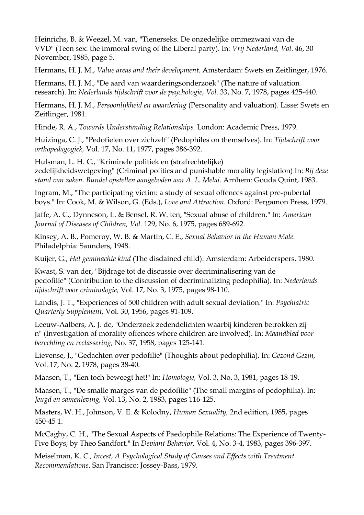Heinrichs, B. & Weezel, M. van, "Tienerseks. De onzedelijke ommezwaai van de VVD" (Teen sex: the immoral swing of the Liberal party). In: *Vrij Nederland, Vol.* 46, 30 November, 1985, page 5.

Hermans, H. J. M., *Value areas and their development.* Amsterdam: Swets en Zeitlinger, 1976.

Hermans, H. J. M., "De aard van waarderingsonderzoek" (The nature of valuation research). In: *Nederlands tijdschrift voor de psychologie, Vol.* 33, No. 7, 1978, pages 425-440.

Hermans, H. J. M., *Persoonlijkheid en waardering* (Personality and valuation). Lisse: Swets en Zeitlinger, 1981.

Hinde, R. A., *Towards Understanding Relationships.* London: Academic Press, 1979.

Huizinga, C. J., "Pedofielen over zichzelf" (Pedophiles on themselves). In: *Tijdschrift voor orthopedagogiek,* Vol. 17, No. 11, 1977, pages 386-392.

Hulsman, L. H. C., "Kriminele politiek en (strafrechtelijke) zedelijkheidswetgeving" (Criminal politics and punishable morality legislation) In: *Bij deze stand van zaken. Bundel opstellen aangeboden aan A. L. Melai.* Arnhem: Gouda Quint, 1983.

Ingram, M., "The participating victim: a study of sexual offences against pre-pubertal boys." In: Cook, M. & Wilson, G. (Eds.), *Love and Attraction.* Oxford: Pergamon Press, 1979.

Jaffe, A. C., Dynneson, L. & Bensel, R. W. ten, "Sexual abuse of children." In: *American Journal of Diseases of Children, Vol.* 129, No. 6, 1975, pages 689-692.

Kinsey, A. B., Pomeroy, W. B. & Martin, C. E., *Sexual Behavior in the Human Male.* Philadelphia: Saunders, 1948.

Kuijer, G., *Het geminachte kind* (The disdained child). Amsterdam: Arbeiderspers, 1980.

Kwast, S. van der, "Bijdrage tot de discussie over decriminalisering van de pedofilie" (Contribution to the discussion of decriminalizing pedophilia). In: *Nederlands iijdschrift voor criminologie,* Vol. 17, No. 3, 1975, pages 98-110.

Landis, J. T., "Experiences of 500 children with adult sexual deviation." In: *Psychiatric Quarterly Supplement,* Vol. 30, 1956, pages 91-109.

Leeuw-Aalbers, A. J. de, "Onderzoek zedendelichten waarbij kinderen betrokken zij n" (Investigation of morality offences where children are involved). In: *Maandblad voor berechling en reclassering,* No. 37, 1958, pages 125-141.

Lievense, J., "Gedachten over pedofilie" (Thoughts about pedophilia). In: *Gezond Gezin,* Vol. 17, No. 2, 1978, pages 38-40.

Maasen, T., "Een toch beweegt het!" In: *Homologie,* Vol. 3, No. 3, 1981, pages 18-19.

Maasen, T., "De smalle marges van de pedofilie" (The small margins of pedophilia). In: *Jeugd en samenleving,* Vol. 13, No. 2, 1983, pages 116-125.

Masters, W. H., Johnson, V. E. & Kolodny, *Human Sexuality,* 2nd edition, 1985, pages 450-45 1.

McCaghy, C. H., "The Sexual Aspects of Paedophile Relations: The Experience of Twenty-Five Boys, by Theo Sandfort." In *Deviant Behavior,* Vol. 4, No. 3-4, 1983, pages 396-397.

Meiselman, K. *C., Incest, A Psychological Study of Causes and Effects with Treatment Recommendations.* San Francisco: Jossey-Bass, 1979.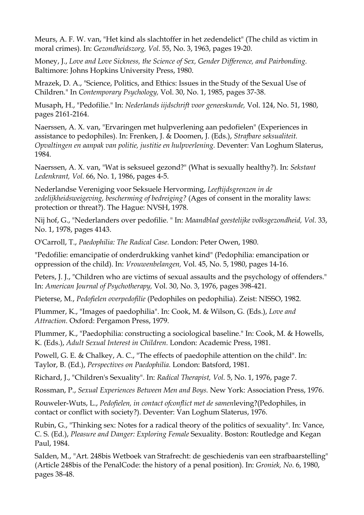Meurs, A. F. W. van, "Het kind als slachtoffer in het zedendelict" (The child as victim in moral crimes). In: *Gezondheidszorg, Vol.* 55, No. 3, 1963, pages 19-20.

Money, J., *Love and Love Sickness, the Science of Sex, Gender Difference, and Pairbonding.* Baltimore: Johns Hopkins University Press, 1980.

Mrazek, D. A., "Science, Politics, and Ethics: Issues in the Study of the Sexual Use of Children." In *Contemporary Psychology,* Vol. 30, No. 1, 1985, pages 37-38.

Musaph, H., "Pedofilie." In: *Nederlands iijdschrift voor geneeskunde,* Vol. 124, No. 51, 1980, pages 2161-2164.

Naerssen, A. X. van, "Ervaringen met hulpverlening aan pedofielen" (Experiences in assistance to pedophiles). In: Frenken, J. & Doomen, J. (Eds.), *Strafbare seksualiteit. Opvaltingen en aanpak van politie, justitie en hulpverlening.* Deventer: Van Loghum Slaterus, 1984.

Naerssen, A. X. van, "Wat is seksueel gezond?" (What is sexually healthy?). In: *Sekstant Ledenkrant, Vol.* 66, No. 1, 1986, pages 4-5.

Nederlandse Vereniging voor Seksuele Hervorming, *Leeftijdsgrenzen in de zedelijkheidsweigeving, bescherming of bedreiging?* (Ages of consent in the morality laws: protection or threat?). The Hague: NVSH, 1978.

Nij hof, G., "Nederlanders over pedofilie. " In: *Maandblad geestelijke volksgezondheid, Vol.* 33, No. 1, 1978, pages 4143.

O'Carroll, T., *Paedophilia: The Radical Case.* London: Peter Owen, 1980.

"Pedofilie: emancipatie of onderdrukking vanhet kind" (Pedophilia: emancipation or oppression of the child). In: *Vrouwenbelangen,* Vol. 45, No. 5, 1980, pages 14-16.

Peters, J. J., "Children who are victims of sexual assaults and the psychology of offenders." In: *American Journal of Psychotherapy,* Vol. 30, No. 3, 1976, pages 398-421.

Pieterse, M., *Pedofielen overpedofilie* (Pedophiles on pedophilia). Zeist: NISSO, 1982.

Plummer, K., "Images of paedophilia". In: Cook, M. & Wilson, G. (Eds.), *Love and Attraction.* Oxford: Pergamon Press, 1979.

Plummer, K., "Paedophilia: constructing a sociological baseline." In: Cook, M. & Howells, K. (Eds.), *Adult Sexual Interest in Children.* London: Academic Press, 1981.

Powell, G. E. & Chalkey, A. C., "The effects of paedophile attention on the child". In: Taylor, B. (Ed.), *Perspectives on Paedophilia.* London: Batsford, 1981.

Richard, J., "Children's Sexuality". In: *Radical Therapist, Vol.* 5, No. 1, 1976, page 7.

Rossman, P., *Sexual Experiences Between Men and Boys.* New York: Association Press, 1976.

Rouweler-Wuts, L., *Pedofielen, in contact ofconflict met de samen*leving?(Pedophiles, in contact or conflict with society?). Deventer: Van Loghum Slaterus, 1976.

Rubin, G., "Thinking sex: Notes for a radical theory of the politics of sexuality". In: Vance, C. S. (Ed.), *Pleasure and Danger: Exploring Female* Sexuality. Boston: Routledge and Kegan Paul, 1984.

SaIden, M., "Art. 248bis Wetboek van Strafrecht: de geschiedenis van een strafbaarstelling" (Article 248bis of the PenalCode: the history of a penal position). In: *Groniek, No*. 6, 1980, pages 38-48.